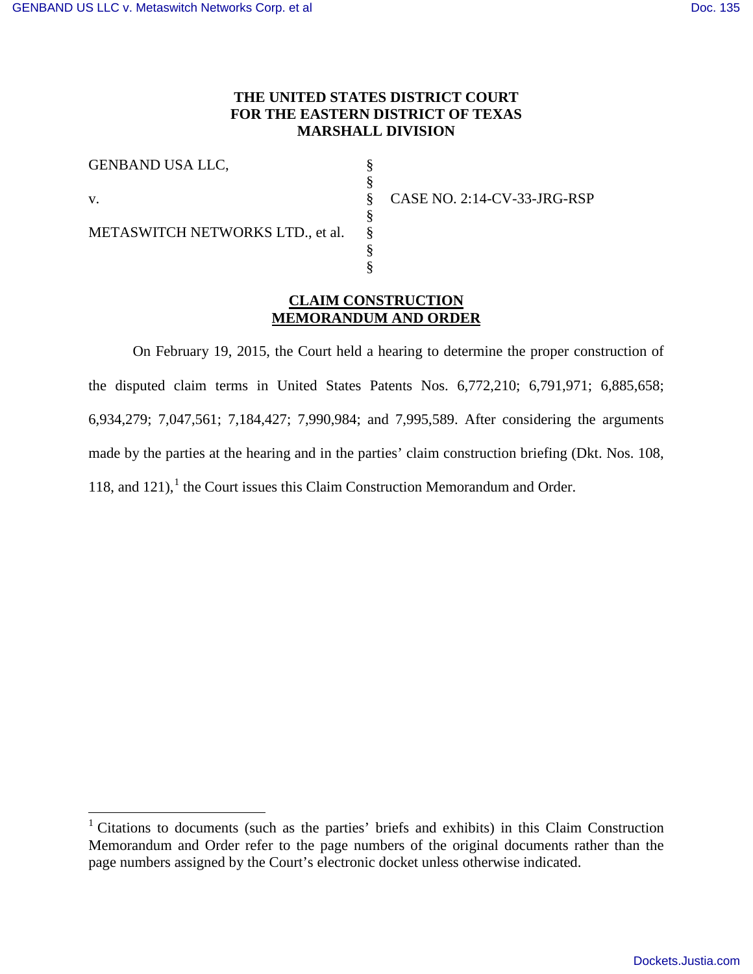## **THE UNITED STATES DISTRICT COURT FOR THE EASTERN DISTRICT OF TEXAS MARSHALL DIVISION**

§ §

§ § §

v.

 $\overline{a}$ 

§ § CASE NO. 2:14-CV-33-JRG-RSP

METASWITCH NETWORKS LTD., et al.

## **CLAIM CONSTRUCTION MEMORANDUM AND ORDER**

On February 19, 2015, the Court held a hearing to determine the proper construction of the disputed claim terms in United States Patents Nos. 6,772,210; 6,791,971; 6,885,658; 6,934,279; 7,047,561; 7,184,427; 7,990,984; and 7,995,589. After considering the arguments made by the parties at the hearing and in the parties' claim construction briefing (Dkt. Nos. 108, [1](#page-0-0)18, and 121), $<sup>1</sup>$  the Court issues this Claim Construction Memorandum and Order.</sup>

<span id="page-0-0"></span><sup>&</sup>lt;sup>1</sup> Citations to documents (such as the parties' briefs and exhibits) in this Claim Construction Memorandum and Order refer to the page numbers of the original documents rather than the page numbers assigned by the Court's electronic docket unless otherwise indicated.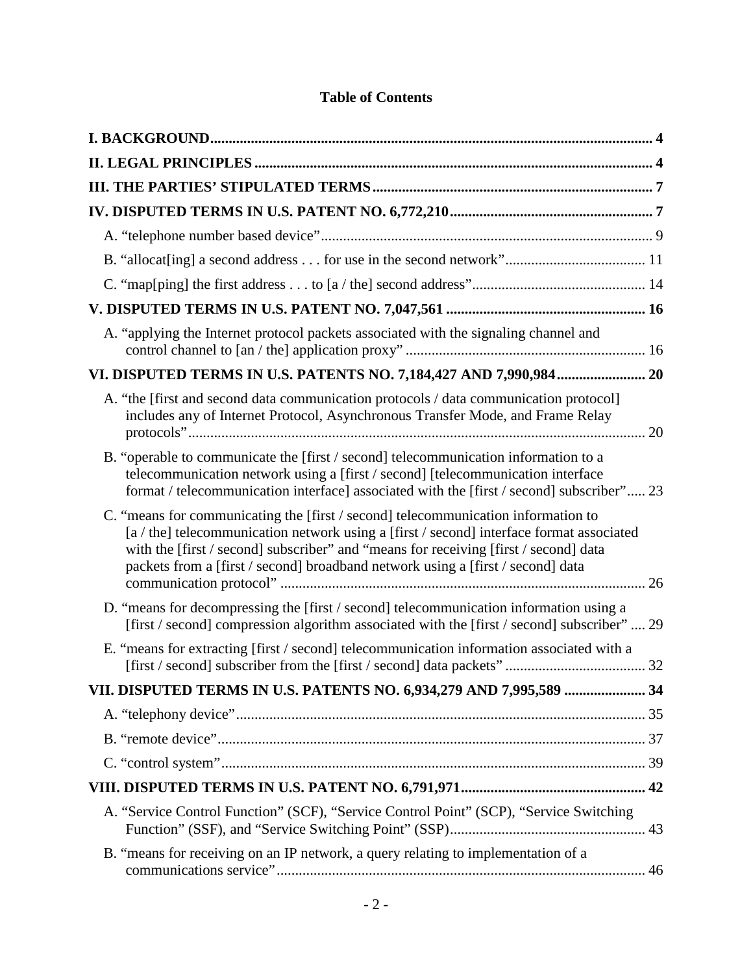| A. "applying the Internet protocol packets associated with the signaling channel and                                                                                                                                                                                                                                                                     |  |
|----------------------------------------------------------------------------------------------------------------------------------------------------------------------------------------------------------------------------------------------------------------------------------------------------------------------------------------------------------|--|
| VI. DISPUTED TERMS IN U.S. PATENTS NO. 7,184,427 AND 7,990,984 20                                                                                                                                                                                                                                                                                        |  |
| A. "the [first and second data communication protocols / data communication protocol]<br>includes any of Internet Protocol, Asynchronous Transfer Mode, and Frame Relay                                                                                                                                                                                  |  |
| B. "operable to communicate the [first / second] telecommunication information to a<br>telecommunication network using a [first / second] [telecommunication interface<br>format / telecommunication interface] associated with the [first / second] subscriber" 23                                                                                      |  |
| C. "means for communicating the [first / second] telecommunication information to<br>[a / the] telecommunication network using a [first / second] interface format associated<br>with the [first / second] subscriber" and "means for receiving [first / second] data<br>packets from a [first / second] broadband network using a [first / second] data |  |
| D. "means for decompressing the [first / second] telecommunication information using a<br>[first / second] compression algorithm associated with the [first / second] subscriber"  29                                                                                                                                                                    |  |
| E. "means for extracting [first / second] telecommunication information associated with a                                                                                                                                                                                                                                                                |  |
| VII. DISPUTED TERMS IN U.S. PATENTS NO. 6,934,279 AND 7,995,589  34                                                                                                                                                                                                                                                                                      |  |
|                                                                                                                                                                                                                                                                                                                                                          |  |
|                                                                                                                                                                                                                                                                                                                                                          |  |
|                                                                                                                                                                                                                                                                                                                                                          |  |
|                                                                                                                                                                                                                                                                                                                                                          |  |
| A. "Service Control Function" (SCF), "Service Control Point" (SCP), "Service Switching                                                                                                                                                                                                                                                                   |  |
| B. "means for receiving on an IP network, a query relating to implementation of a                                                                                                                                                                                                                                                                        |  |

# **Table of Contents**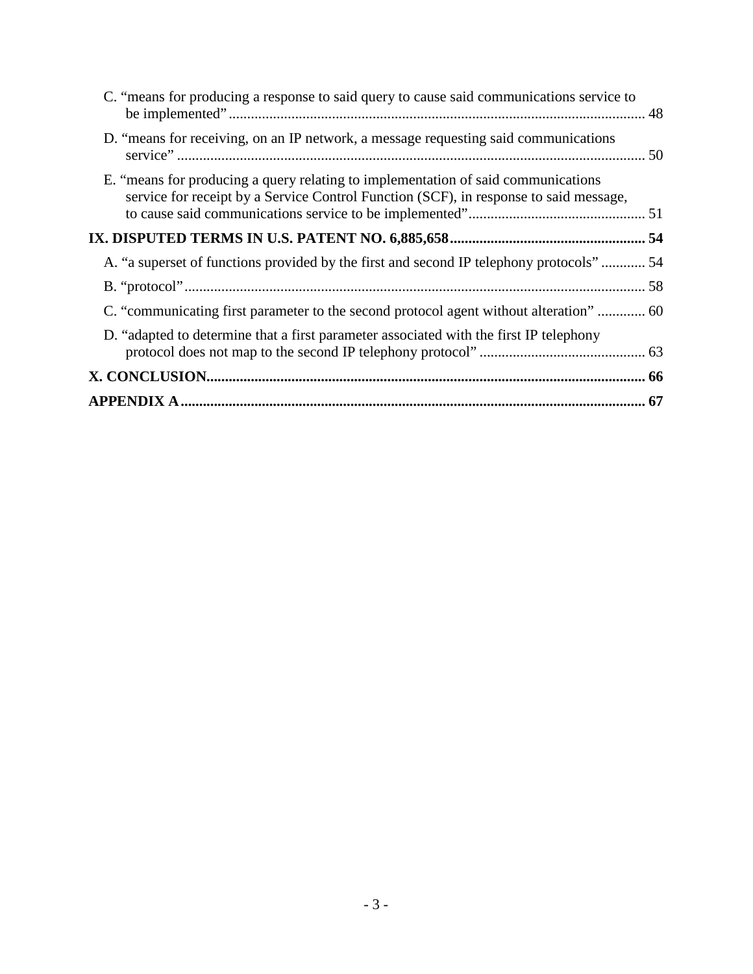| C. "means for producing a response to said query to cause said communications service to                                                                                   |  |
|----------------------------------------------------------------------------------------------------------------------------------------------------------------------------|--|
| D. "means for receiving, on an IP network, a message requesting said communications                                                                                        |  |
| E. "means for producing a query relating to implementation of said communications<br>service for receipt by a Service Control Function (SCF), in response to said message, |  |
|                                                                                                                                                                            |  |
| A. "a superset of functions provided by the first and second IP telephony protocols" 54                                                                                    |  |
|                                                                                                                                                                            |  |
| C. "communicating first parameter to the second protocol agent without alteration"  60                                                                                     |  |
| D. "adapted to determine that a first parameter associated with the first IP telephony                                                                                     |  |
|                                                                                                                                                                            |  |
|                                                                                                                                                                            |  |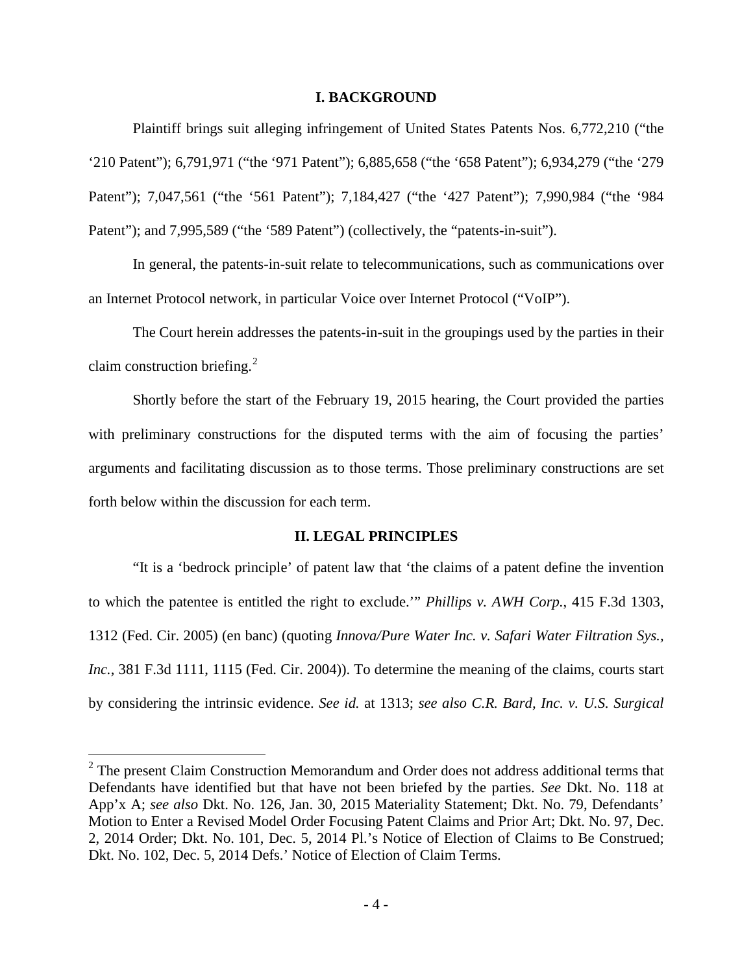### **I. BACKGROUND**

<span id="page-3-0"></span>Plaintiff brings suit alleging infringement of United States Patents Nos. 6,772,210 ("the '210 Patent"); 6,791,971 ("the '971 Patent"); 6,885,658 ("the '658 Patent"); 6,934,279 ("the '279 Patent"); 7,047,561 ("the '561 Patent"); 7,184,427 ("the '427 Patent"); 7,990,984 ("the '984 Patent"); and 7,995,589 ("the '589 Patent") (collectively, the "patents-in-suit").

 In general, the patents-in-suit relate to telecommunications, such as communications over an Internet Protocol network, in particular Voice over Internet Protocol ("VoIP").

 The Court herein addresses the patents-in-suit in the groupings used by the parties in their claim construction briefing. $^{2}$  $^{2}$  $^{2}$ 

Shortly before the start of the February 19, 2015 hearing, the Court provided the parties with preliminary constructions for the disputed terms with the aim of focusing the parties' arguments and facilitating discussion as to those terms. Those preliminary constructions are set forth below within the discussion for each term.

### **II. LEGAL PRINCIPLES**

<span id="page-3-1"></span>"It is a 'bedrock principle' of patent law that 'the claims of a patent define the invention to which the patentee is entitled the right to exclude.'" *Phillips v. AWH Corp.*, 415 F.3d 1303, 1312 (Fed. Cir. 2005) (en banc) (quoting *Innova/Pure Water Inc. v. Safari Water Filtration Sys., Inc.*, 381 F.3d 1111, 1115 (Fed. Cir. 2004)). To determine the meaning of the claims, courts start by considering the intrinsic evidence. *See id.* at 1313; *see also C.R. Bard, Inc. v. U.S. Surgical* 

<span id="page-3-2"></span><sup>&</sup>lt;sup>2</sup> The present Claim Construction Memorandum and Order does not address additional terms that Defendants have identified but that have not been briefed by the parties. *See* Dkt. No. 118 at App'x A; *see also* Dkt. No. 126, Jan. 30, 2015 Materiality Statement; Dkt. No. 79, Defendants' Motion to Enter a Revised Model Order Focusing Patent Claims and Prior Art; Dkt. No. 97, Dec. 2, 2014 Order; Dkt. No. 101, Dec. 5, 2014 Pl.'s Notice of Election of Claims to Be Construed; Dkt. No. 102, Dec. 5, 2014 Defs.' Notice of Election of Claim Terms.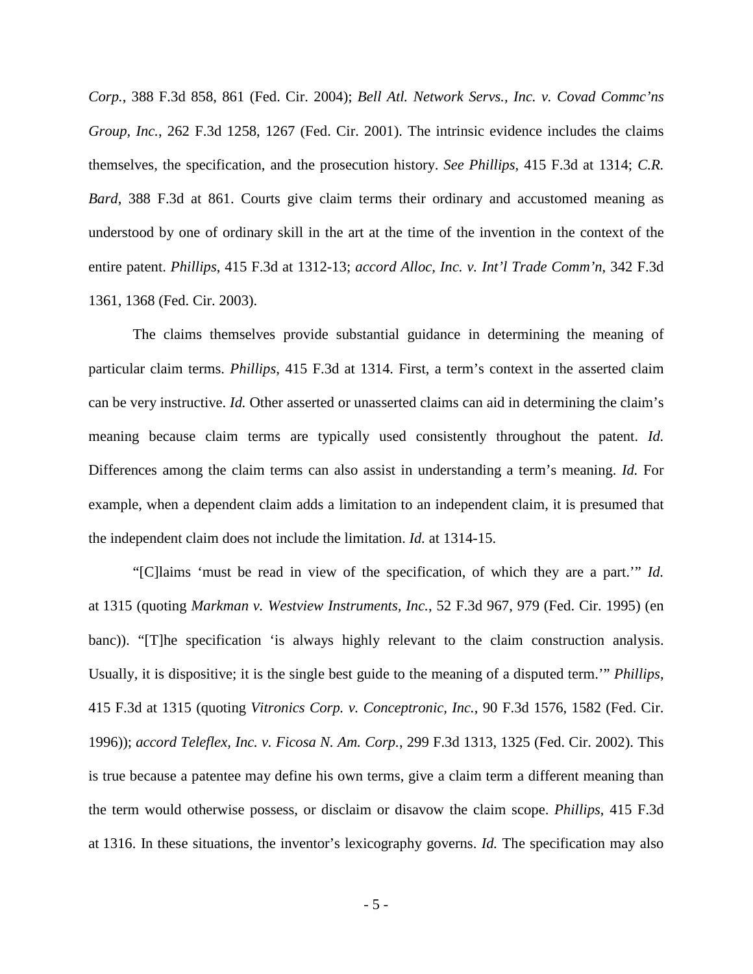*Corp.*, 388 F.3d 858, 861 (Fed. Cir. 2004); *Bell Atl. Network Servs., Inc. v. Covad Commc'ns Group, Inc.*, 262 F.3d 1258, 1267 (Fed. Cir. 2001). The intrinsic evidence includes the claims themselves, the specification, and the prosecution history. *See Phillips*, 415 F.3d at 1314; *C.R. Bard*, 388 F.3d at 861. Courts give claim terms their ordinary and accustomed meaning as understood by one of ordinary skill in the art at the time of the invention in the context of the entire patent. *Phillips*, 415 F.3d at 1312-13; *accord Alloc, Inc. v. Int'l Trade Comm'n*, 342 F.3d 1361, 1368 (Fed. Cir. 2003).

The claims themselves provide substantial guidance in determining the meaning of particular claim terms. *Phillips*, 415 F.3d at 1314. First, a term's context in the asserted claim can be very instructive. *Id.* Other asserted or unasserted claims can aid in determining the claim's meaning because claim terms are typically used consistently throughout the patent. *Id.* Differences among the claim terms can also assist in understanding a term's meaning. *Id.* For example, when a dependent claim adds a limitation to an independent claim, it is presumed that the independent claim does not include the limitation. *Id.* at 1314-15.

"[C]laims 'must be read in view of the specification, of which they are a part.'" *Id.* at 1315 (quoting *Markman v. Westview Instruments, Inc.*, 52 F.3d 967, 979 (Fed. Cir. 1995) (en banc)). "[T]he specification 'is always highly relevant to the claim construction analysis. Usually, it is dispositive; it is the single best guide to the meaning of a disputed term.'" *Phillips*, 415 F.3d at 1315 (quoting *Vitronics Corp. v. Conceptronic, Inc.*, 90 F.3d 1576, 1582 (Fed. Cir. 1996)); *accord Teleflex, Inc. v. Ficosa N. Am. Corp.*, 299 F.3d 1313, 1325 (Fed. Cir. 2002). This is true because a patentee may define his own terms, give a claim term a different meaning than the term would otherwise possess, or disclaim or disavow the claim scope. *Phillips*, 415 F.3d at 1316. In these situations, the inventor's lexicography governs. *Id.* The specification may also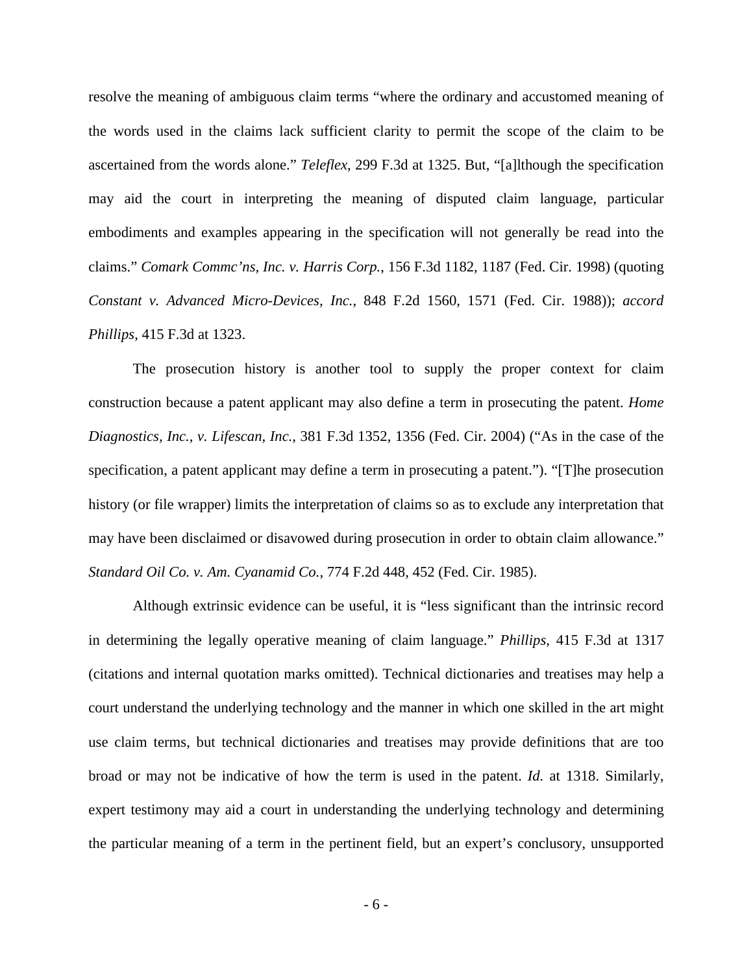resolve the meaning of ambiguous claim terms "where the ordinary and accustomed meaning of the words used in the claims lack sufficient clarity to permit the scope of the claim to be ascertained from the words alone." *Teleflex*, 299 F.3d at 1325. But, "[a]lthough the specification may aid the court in interpreting the meaning of disputed claim language, particular embodiments and examples appearing in the specification will not generally be read into the claims." *Comark Commc'ns, Inc. v. Harris Corp.*, 156 F.3d 1182, 1187 (Fed. Cir. 1998) (quoting *Constant v. Advanced Micro-Devices, Inc.*, 848 F.2d 1560, 1571 (Fed. Cir. 1988)); *accord Phillips*, 415 F.3d at 1323.

The prosecution history is another tool to supply the proper context for claim construction because a patent applicant may also define a term in prosecuting the patent. *Home Diagnostics, Inc., v. Lifescan, Inc.*, 381 F.3d 1352, 1356 (Fed. Cir. 2004) ("As in the case of the specification, a patent applicant may define a term in prosecuting a patent."). "[T]he prosecution history (or file wrapper) limits the interpretation of claims so as to exclude any interpretation that may have been disclaimed or disavowed during prosecution in order to obtain claim allowance." *Standard Oil Co. v. Am. Cyanamid Co.*, 774 F.2d 448, 452 (Fed. Cir. 1985).

Although extrinsic evidence can be useful, it is "less significant than the intrinsic record in determining the legally operative meaning of claim language." *Phillips*, 415 F.3d at 1317 (citations and internal quotation marks omitted). Technical dictionaries and treatises may help a court understand the underlying technology and the manner in which one skilled in the art might use claim terms, but technical dictionaries and treatises may provide definitions that are too broad or may not be indicative of how the term is used in the patent. *Id.* at 1318. Similarly, expert testimony may aid a court in understanding the underlying technology and determining the particular meaning of a term in the pertinent field, but an expert's conclusory, unsupported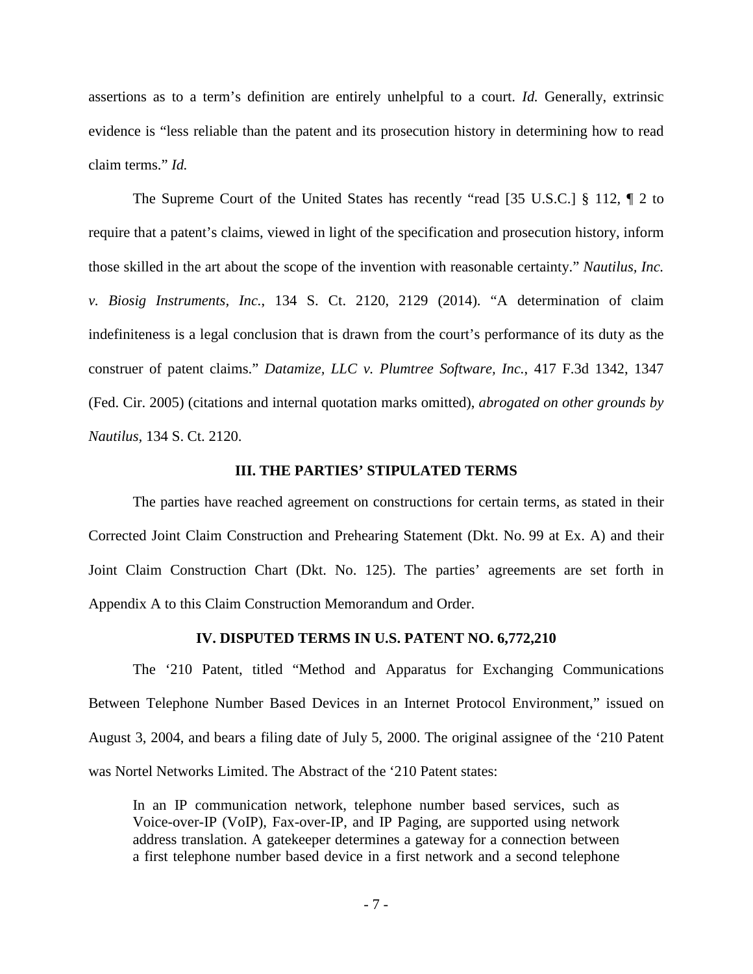assertions as to a term's definition are entirely unhelpful to a court. *Id.* Generally, extrinsic evidence is "less reliable than the patent and its prosecution history in determining how to read claim terms." *Id.*

 The Supreme Court of the United States has recently "read [35 U.S.C.] § 112, ¶ 2 to require that a patent's claims, viewed in light of the specification and prosecution history, inform those skilled in the art about the scope of the invention with reasonable certainty." *Nautilus, Inc. v. Biosig Instruments, Inc.*, 134 S. Ct. 2120, 2129 (2014). "A determination of claim indefiniteness is a legal conclusion that is drawn from the court's performance of its duty as the construer of patent claims." *Datamize, LLC v. Plumtree Software, Inc.*, 417 F.3d 1342, 1347 (Fed. Cir. 2005) (citations and internal quotation marks omitted), *abrogated on other grounds by Nautilus,* 134 S. Ct. 2120.

#### **III. THE PARTIES' STIPULATED TERMS**

<span id="page-6-0"></span>The parties have reached agreement on constructions for certain terms, as stated in their Corrected Joint Claim Construction and Prehearing Statement (Dkt. No. 99 at Ex. A) and their Joint Claim Construction Chart (Dkt. No. 125). The parties' agreements are set forth in Appendix A to this Claim Construction Memorandum and Order.

## **IV. DISPUTED TERMS IN U.S. PATENT NO. 6,772,210**

<span id="page-6-1"></span>The '210 Patent, titled "Method and Apparatus for Exchanging Communications Between Telephone Number Based Devices in an Internet Protocol Environment," issued on August 3, 2004, and bears a filing date of July 5, 2000. The original assignee of the '210 Patent was Nortel Networks Limited. The Abstract of the '210 Patent states:

In an IP communication network, telephone number based services, such as Voice-over-IP (VoIP), Fax-over-IP, and IP Paging, are supported using network address translation. A gatekeeper determines a gateway for a connection between a first telephone number based device in a first network and a second telephone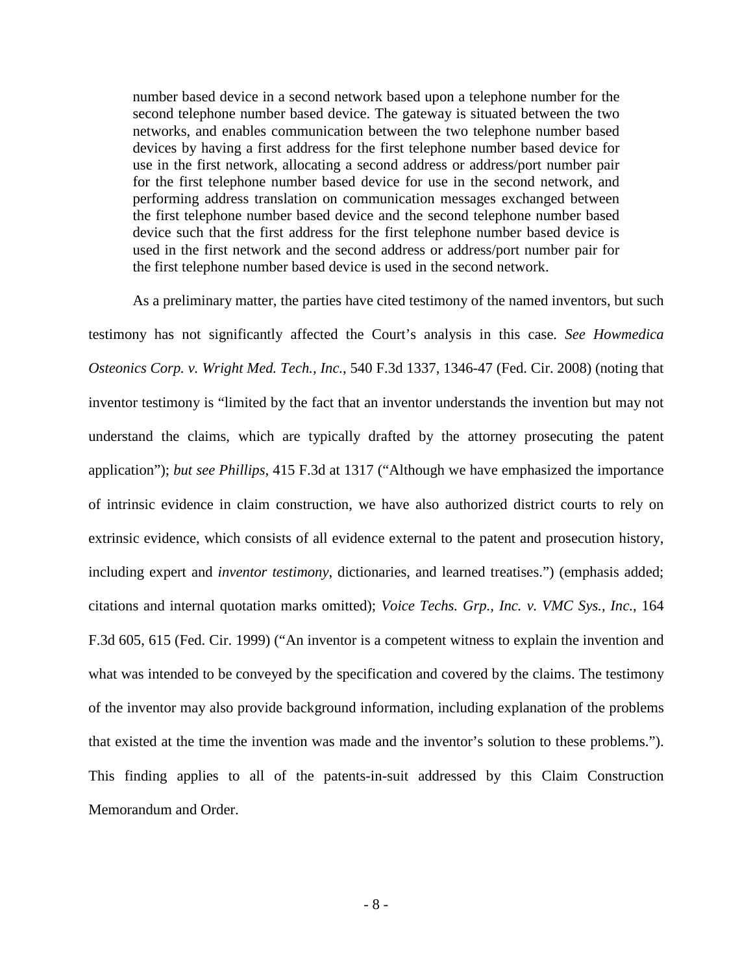number based device in a second network based upon a telephone number for the second telephone number based device. The gateway is situated between the two networks, and enables communication between the two telephone number based devices by having a first address for the first telephone number based device for use in the first network, allocating a second address or address/port number pair for the first telephone number based device for use in the second network, and performing address translation on communication messages exchanged between the first telephone number based device and the second telephone number based device such that the first address for the first telephone number based device is used in the first network and the second address or address/port number pair for the first telephone number based device is used in the second network.

As a preliminary matter, the parties have cited testimony of the named inventors, but such testimony has not significantly affected the Court's analysis in this case. *See Howmedica Osteonics Corp. v. Wright Med. Tech., Inc.*, 540 F.3d 1337, 1346-47 (Fed. Cir. 2008) (noting that inventor testimony is "limited by the fact that an inventor understands the invention but may not understand the claims, which are typically drafted by the attorney prosecuting the patent application"); *but see Phillips*, 415 F.3d at 1317 ("Although we have emphasized the importance of intrinsic evidence in claim construction, we have also authorized district courts to rely on extrinsic evidence, which consists of all evidence external to the patent and prosecution history, including expert and *inventor testimony*, dictionaries, and learned treatises.") (emphasis added; citations and internal quotation marks omitted); *Voice Techs. Grp., Inc. v. VMC Sys., Inc.*, 164 F.3d 605, 615 (Fed. Cir. 1999) ("An inventor is a competent witness to explain the invention and what was intended to be conveyed by the specification and covered by the claims. The testimony of the inventor may also provide background information, including explanation of the problems that existed at the time the invention was made and the inventor's solution to these problems."). This finding applies to all of the patents-in-suit addressed by this Claim Construction Memorandum and Order.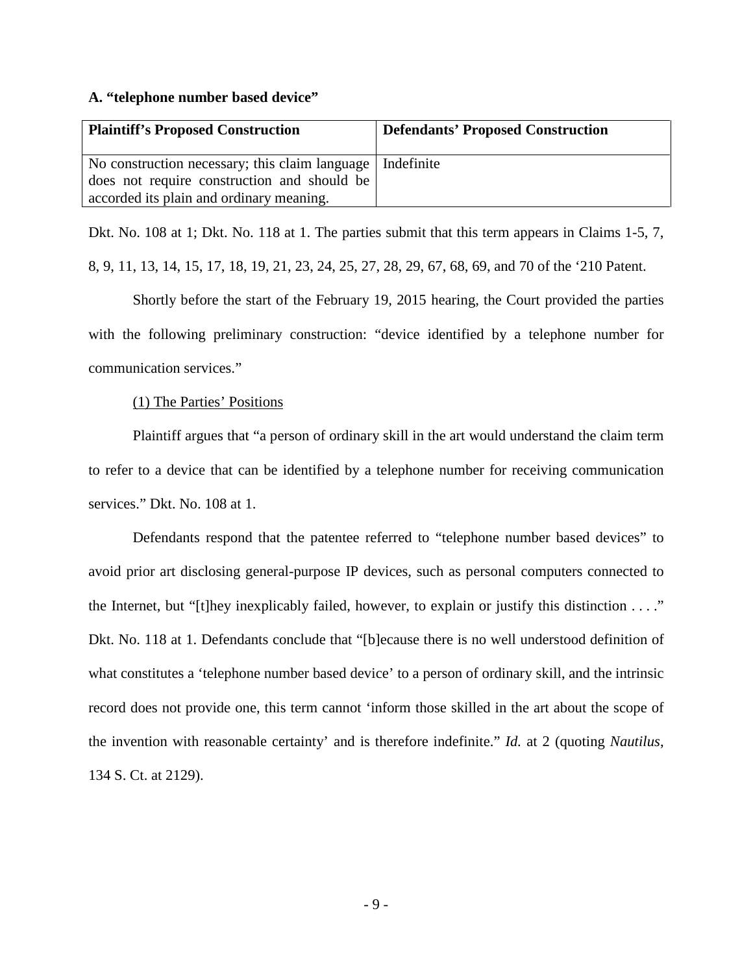#### <span id="page-8-0"></span>**A. "telephone number based device"**

| <b>Plaintiff's Proposed Construction</b>                    | <b>Defendants' Proposed Construction</b> |
|-------------------------------------------------------------|------------------------------------------|
| No construction necessary; this claim language   Indefinite |                                          |
| does not require construction and should be                 |                                          |
| accorded its plain and ordinary meaning.                    |                                          |

Dkt. No. 108 at 1; Dkt. No. 118 at 1. The parties submit that this term appears in Claims 1-5, 7,

8, 9, 11, 13, 14, 15, 17, 18, 19, 21, 23, 24, 25, 27, 28, 29, 67, 68, 69, and 70 of the '210 Patent.

Shortly before the start of the February 19, 2015 hearing, the Court provided the parties with the following preliminary construction: "device identified by a telephone number for communication services."

(1) The Parties' Positions

Plaintiff argues that "a person of ordinary skill in the art would understand the claim term to refer to a device that can be identified by a telephone number for receiving communication services." Dkt. No. 108 at 1.

Defendants respond that the patentee referred to "telephone number based devices" to avoid prior art disclosing general-purpose IP devices, such as personal computers connected to the Internet, but "[t]hey inexplicably failed, however, to explain or justify this distinction . . . ." Dkt. No. 118 at 1. Defendants conclude that "[b]ecause there is no well understood definition of what constitutes a 'telephone number based device' to a person of ordinary skill, and the intrinsic record does not provide one, this term cannot 'inform those skilled in the art about the scope of the invention with reasonable certainty' and is therefore indefinite." *Id.* at 2 (quoting *Nautilus*, 134 S. Ct. at 2129).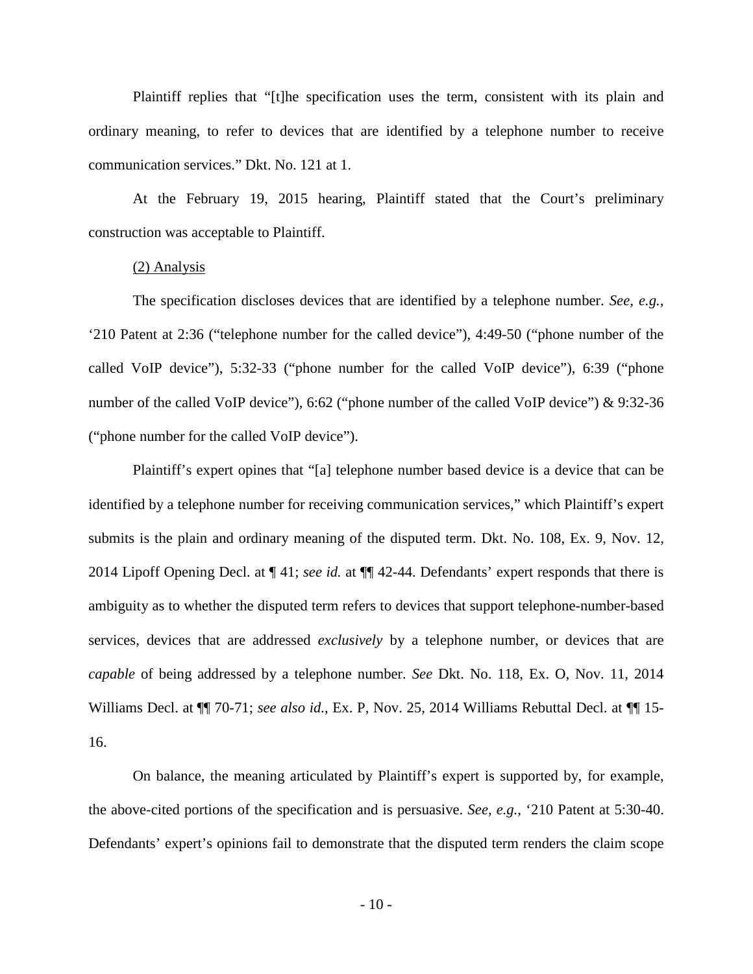Plaintiff replies that "[t]he specification uses the term, consistent with its plain and ordinary meaning, to refer to devices that are identified by a telephone number to receive communication services." Dkt. No. 121 at 1.

At the February 19, 2015 hearing, Plaintiff stated that the Court's preliminary construction was acceptable to Plaintiff.

#### (2) Analysis

The specification discloses devices that are identified by a telephone number. *See, e.g.,* '210 Patent at 2:36 ("telephone number for the called device"), 4:49-50 ("phone number of the called VoIP device"), 5:32-33 ("phone number for the called VoIP device"), 6:39 ("phone number of the called VoIP device"), 6:62 ("phone number of the called VoIP device") & 9:32-36 ("phone number for the called VoIP device").

Plaintiff's expert opines that "[a] telephone number based device is a device that can be identified by a telephone number for receiving communication services," which Plaintiff's expert submits is the plain and ordinary meaning of the disputed term. Dkt. No. 108, Ex. 9, Nov. 12, 2014 Lipoff Opening Decl. at ¶ 41; *see id.* at ¶¶ 42-44. Defendants' expert responds that there is ambiguity as to whether the disputed term refers to devices that support telephone-number-based services, devices that are addressed *exclusively* by a telephone number, or devices that are *capable* of being addressed by a telephone number. *See* Dkt. No. 118, Ex. O, Nov. 11, 2014 Williams Decl. at ¶¶ 70-71; *see also id.*, Ex. P, Nov. 25, 2014 Williams Rebuttal Decl. at ¶¶ 15- 16.

On balance, the meaning articulated by Plaintiff's expert is supported by, for example, the above-cited portions of the specification and is persuasive. *See, e.g.,* '210 Patent at 5:30-40. Defendants' expert's opinions fail to demonstrate that the disputed term renders the claim scope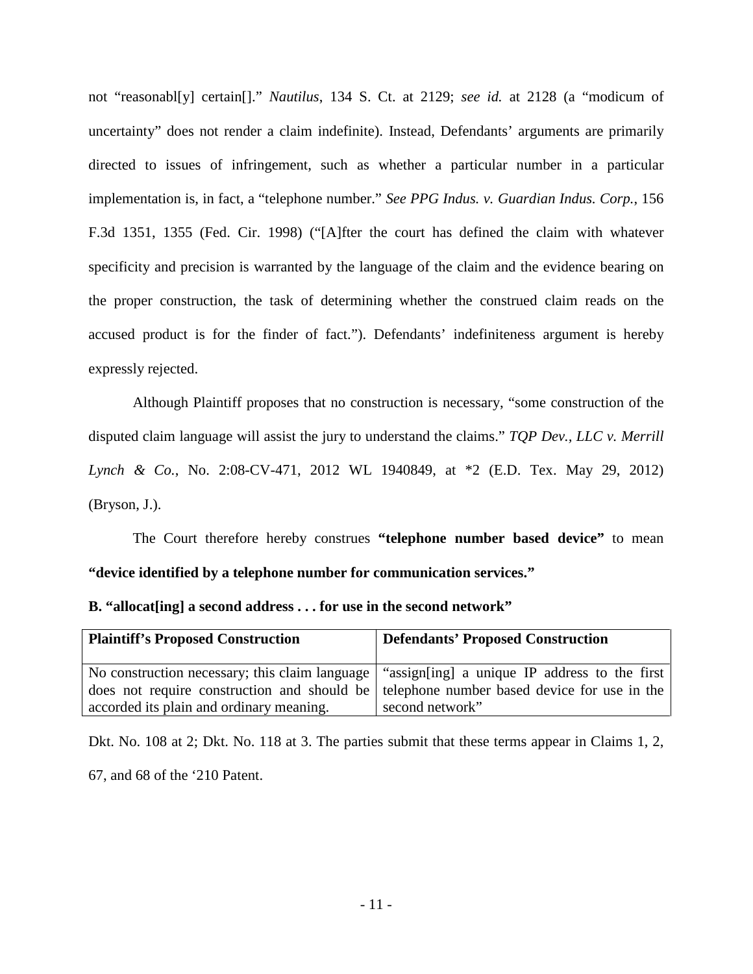not "reasonabl[y] certain[]." *Nautilus*, 134 S. Ct. at 2129; *see id.* at 2128 (a "modicum of uncertainty" does not render a claim indefinite). Instead, Defendants' arguments are primarily directed to issues of infringement, such as whether a particular number in a particular implementation is, in fact, a "telephone number." *See PPG Indus. v. Guardian Indus. Corp.*, 156 F.3d 1351, 1355 (Fed. Cir. 1998) ("[A]fter the court has defined the claim with whatever specificity and precision is warranted by the language of the claim and the evidence bearing on the proper construction, the task of determining whether the construed claim reads on the accused product is for the finder of fact."). Defendants' indefiniteness argument is hereby expressly rejected.

Although Plaintiff proposes that no construction is necessary, "some construction of the disputed claim language will assist the jury to understand the claims." *TQP Dev., LLC v. Merrill Lynch & Co.*, No. 2:08-CV-471, 2012 WL 1940849, at \*2 (E.D. Tex. May 29, 2012) (Bryson, J.).

The Court therefore hereby construes **"telephone number based device"** to mean **"device identified by a telephone number for communication services."**

<span id="page-10-0"></span>

|  | B. "allocat[ing] a second address for use in the second network" |  |  |  |  |  |  |
|--|------------------------------------------------------------------|--|--|--|--|--|--|
|--|------------------------------------------------------------------|--|--|--|--|--|--|

| <b>Plaintiff's Proposed Construction</b> | <b>Defendants' Proposed Construction</b>                                                       |
|------------------------------------------|------------------------------------------------------------------------------------------------|
|                                          | No construction necessary; this claim language   "assign[ing] a unique IP address to the first |
|                                          | does not require construction and should be telephone number based device for use in the       |
| accorded its plain and ordinary meaning. | second network"                                                                                |

Dkt. No. 108 at 2; Dkt. No. 118 at 3. The parties submit that these terms appear in Claims 1, 2, 67, and 68 of the '210 Patent.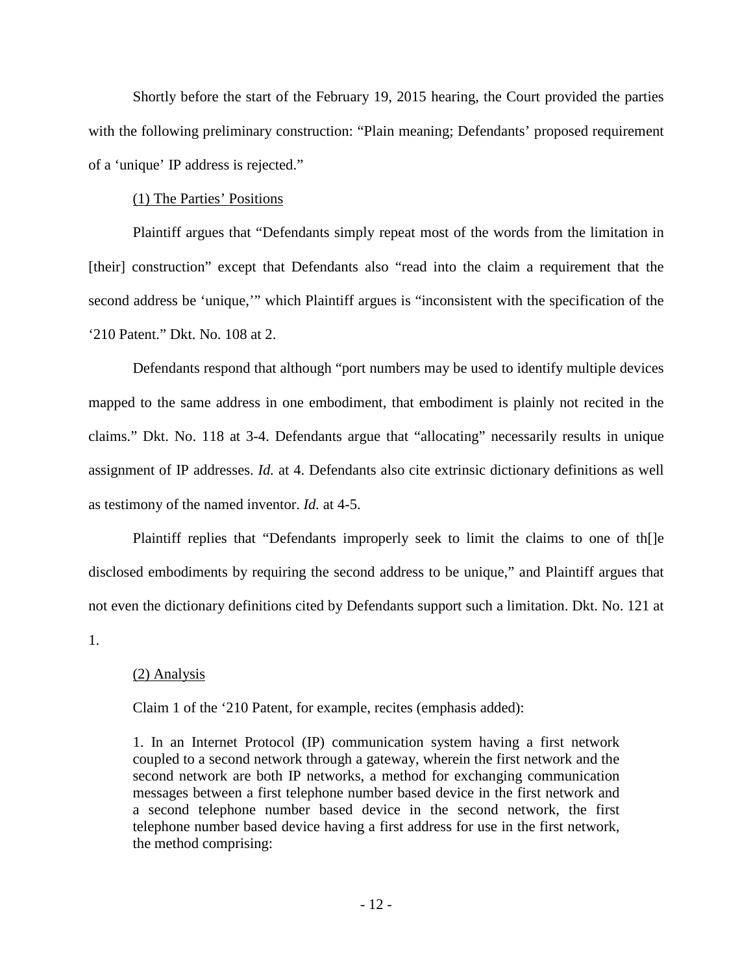Shortly before the start of the February 19, 2015 hearing, the Court provided the parties with the following preliminary construction: "Plain meaning; Defendants' proposed requirement of a 'unique' IP address is rejected."

## (1) The Parties' Positions

Plaintiff argues that "Defendants simply repeat most of the words from the limitation in [their] construction" except that Defendants also "read into the claim a requirement that the second address be 'unique,'" which Plaintiff argues is "inconsistent with the specification of the '210 Patent." Dkt. No. 108 at 2.

Defendants respond that although "port numbers may be used to identify multiple devices mapped to the same address in one embodiment, that embodiment is plainly not recited in the claims." Dkt. No. 118 at 3-4. Defendants argue that "allocating" necessarily results in unique assignment of IP addresses. *Id.* at 4. Defendants also cite extrinsic dictionary definitions as well as testimony of the named inventor. *Id.* at 4-5.

Plaintiff replies that "Defendants improperly seek to limit the claims to one of th[]e disclosed embodiments by requiring the second address to be unique," and Plaintiff argues that not even the dictionary definitions cited by Defendants support such a limitation. Dkt. No. 121 at 1.

## (2) Analysis

Claim 1 of the '210 Patent, for example, recites (emphasis added):

1. In an Internet Protocol (IP) communication system having a first network coupled to a second network through a gateway, wherein the first network and the second network are both IP networks, a method for exchanging communication messages between a first telephone number based device in the first network and a second telephone number based device in the second network, the first telephone number based device having a first address for use in the first network, the method comprising: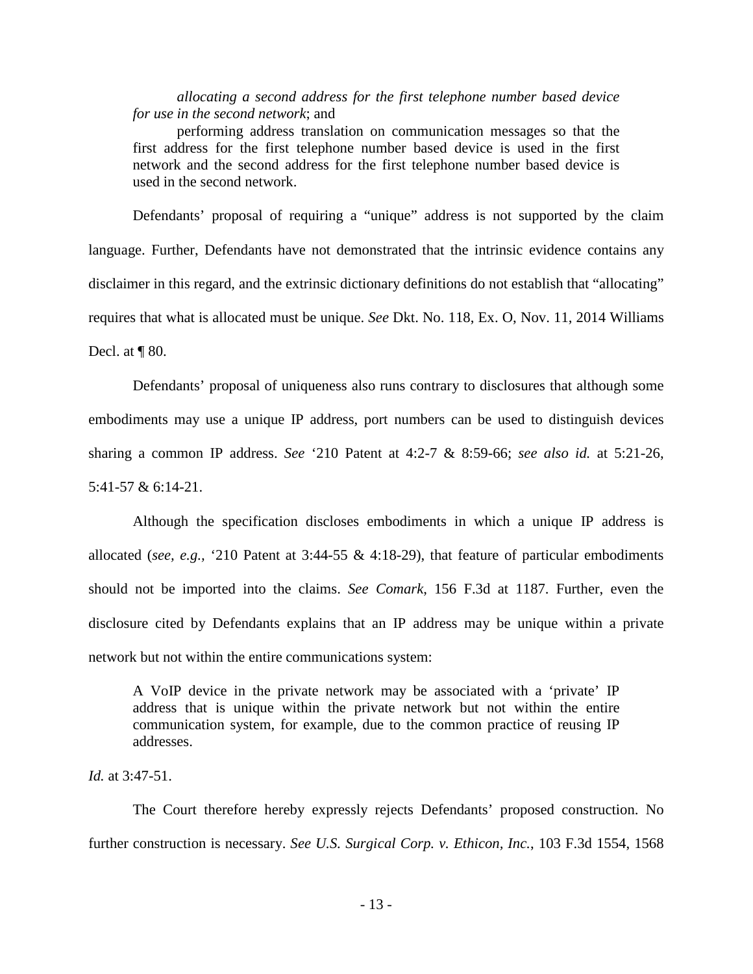*allocating a second address for the first telephone number based device for use in the second network*; and

performing address translation on communication messages so that the first address for the first telephone number based device is used in the first network and the second address for the first telephone number based device is used in the second network.

Defendants' proposal of requiring a "unique" address is not supported by the claim language. Further, Defendants have not demonstrated that the intrinsic evidence contains any disclaimer in this regard, and the extrinsic dictionary definitions do not establish that "allocating" requires that what is allocated must be unique. *See* Dkt. No. 118, Ex. O, Nov. 11, 2014 Williams Decl. at  $\P$  80.

Defendants' proposal of uniqueness also runs contrary to disclosures that although some embodiments may use a unique IP address, port numbers can be used to distinguish devices sharing a common IP address. *See* '210 Patent at 4:2-7 & 8:59-66; *see also id.* at 5:21-26, 5:41-57 & 6:14-21.

Although the specification discloses embodiments in which a unique IP address is allocated (*see, e.g.,* '210 Patent at 3:44-55 & 4:18-29), that feature of particular embodiments should not be imported into the claims. *See Comark*, 156 F.3d at 1187. Further, even the disclosure cited by Defendants explains that an IP address may be unique within a private network but not within the entire communications system:

A VoIP device in the private network may be associated with a 'private' IP address that is unique within the private network but not within the entire communication system, for example, due to the common practice of reusing IP addresses.

*Id.* at 3:47-51.

The Court therefore hereby expressly rejects Defendants' proposed construction. No further construction is necessary. *See U.S. Surgical Corp. v. Ethicon, Inc.*, 103 F.3d 1554, 1568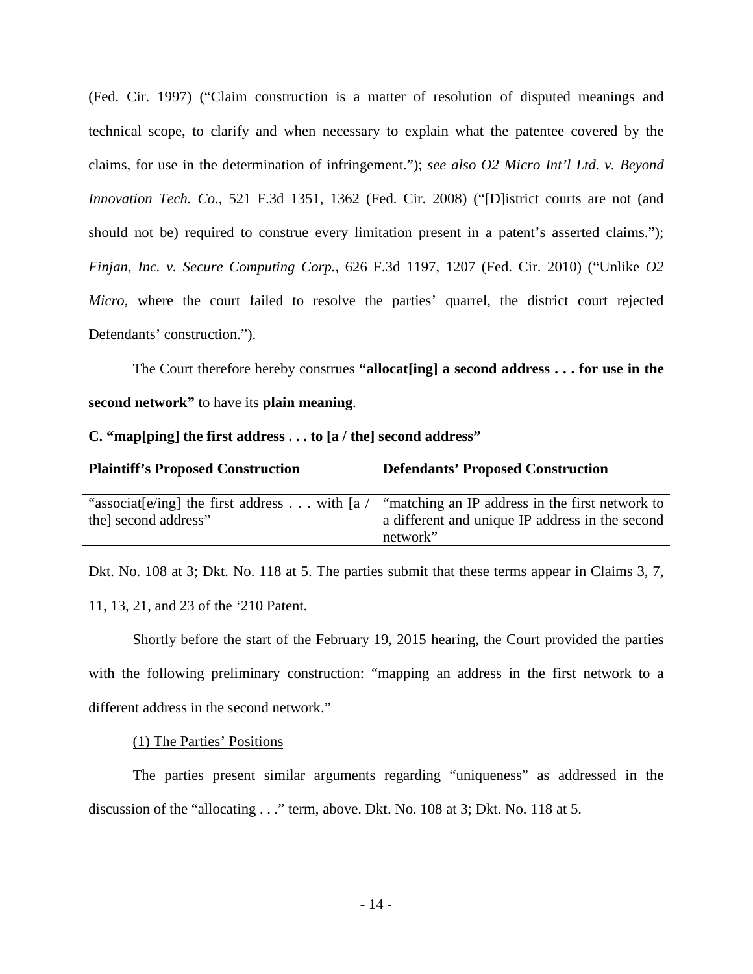(Fed. Cir. 1997) ("Claim construction is a matter of resolution of disputed meanings and technical scope, to clarify and when necessary to explain what the patentee covered by the claims, for use in the determination of infringement."); *see also O2 Micro Int'l Ltd. v. Beyond Innovation Tech. Co.*, 521 F.3d 1351, 1362 (Fed. Cir. 2008) ("[D]istrict courts are not (and should not be) required to construe every limitation present in a patent's asserted claims."); *Finjan, Inc. v. Secure Computing Corp.*, 626 F.3d 1197, 1207 (Fed. Cir. 2010) ("Unlike *O2 Micro*, where the court failed to resolve the parties' quarrel, the district court rejected Defendants' construction.").

The Court therefore hereby construes **"allocat[ing] a second address . . . for use in the second network"** to have its **plain meaning**.

### <span id="page-13-0"></span>**C. "map[ping] the first address . . . to [a / the] second address"**

| <b>Plaintiff's Proposed Construction</b> | <b>Defendants' Proposed Construction</b>                                                                                                          |
|------------------------------------------|---------------------------------------------------------------------------------------------------------------------------------------------------|
| the second address"                      | "associat[e/ing] the first address with [a /   "matching an IP address in the first network to<br>a different and unique IP address in the second |
|                                          | network"                                                                                                                                          |

Dkt. No. 108 at 3; Dkt. No. 118 at 5. The parties submit that these terms appear in Claims 3, 7, 11, 13, 21, and 23 of the '210 Patent.

Shortly before the start of the February 19, 2015 hearing, the Court provided the parties with the following preliminary construction: "mapping an address in the first network to a different address in the second network."

## (1) The Parties' Positions

The parties present similar arguments regarding "uniqueness" as addressed in the discussion of the "allocating . . ." term, above. Dkt. No. 108 at 3; Dkt. No. 118 at 5.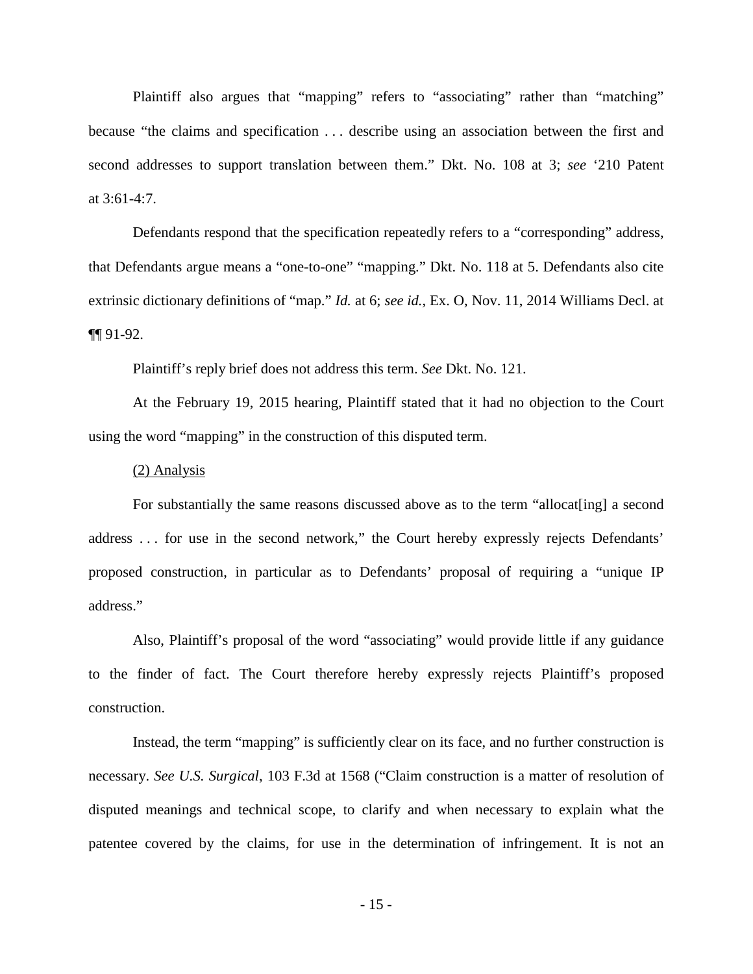Plaintiff also argues that "mapping" refers to "associating" rather than "matching" because "the claims and specification . . . describe using an association between the first and second addresses to support translation between them." Dkt. No. 108 at 3; *see* '210 Patent at 3:61-4:7.

Defendants respond that the specification repeatedly refers to a "corresponding" address, that Defendants argue means a "one-to-one" "mapping." Dkt. No. 118 at 5. Defendants also cite extrinsic dictionary definitions of "map." *Id.* at 6; *see id.*, Ex. O, Nov. 11, 2014 Williams Decl. at ¶¶ 91-92.

Plaintiff's reply brief does not address this term. *See* Dkt. No. 121.

At the February 19, 2015 hearing, Plaintiff stated that it had no objection to the Court using the word "mapping" in the construction of this disputed term.

#### (2) Analysis

For substantially the same reasons discussed above as to the term "allocat[ing] a second address . . . for use in the second network," the Court hereby expressly rejects Defendants' proposed construction, in particular as to Defendants' proposal of requiring a "unique IP address."

Also, Plaintiff's proposal of the word "associating" would provide little if any guidance to the finder of fact. The Court therefore hereby expressly rejects Plaintiff's proposed construction.

Instead, the term "mapping" is sufficiently clear on its face, and no further construction is necessary. *See U.S. Surgical*, 103 F.3d at 1568 ("Claim construction is a matter of resolution of disputed meanings and technical scope, to clarify and when necessary to explain what the patentee covered by the claims, for use in the determination of infringement. It is not an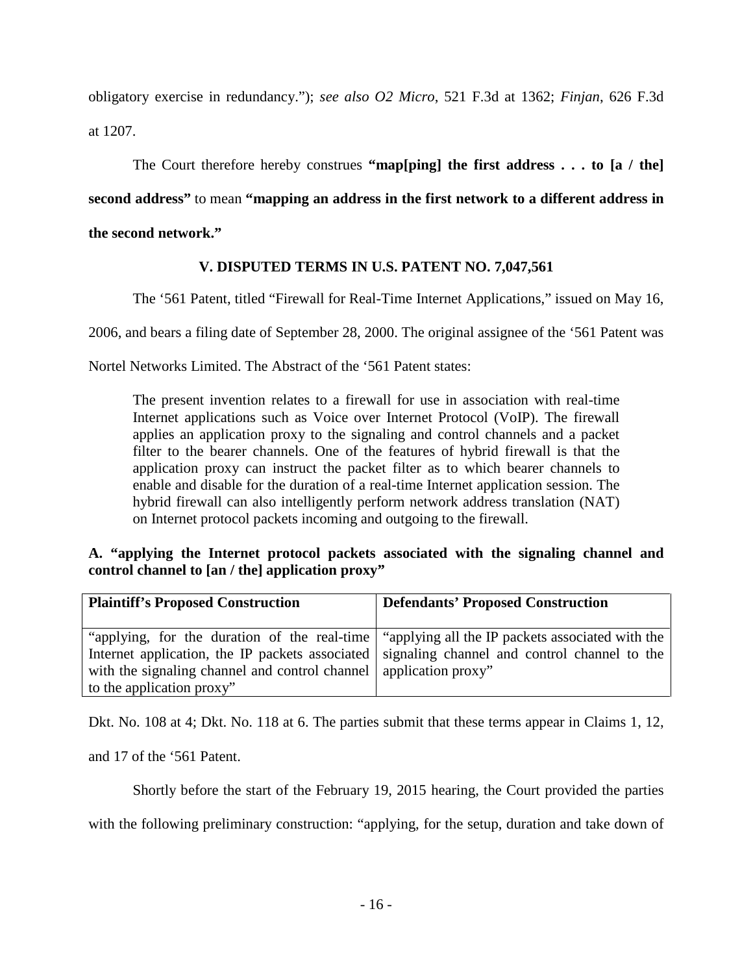obligatory exercise in redundancy."); *see also O2 Micro*, 521 F.3d at 1362; *Finjan*, 626 F.3d at 1207.

The Court therefore hereby construes **"map[ping] the first address . . . to [a / the] second address"** to mean **"mapping an address in the first network to a different address in the second network."**

# **V. DISPUTED TERMS IN U.S. PATENT NO. 7,047,561**

<span id="page-15-0"></span>The '561 Patent, titled "Firewall for Real-Time Internet Applications," issued on May 16,

2006, and bears a filing date of September 28, 2000. The original assignee of the '561 Patent was

Nortel Networks Limited. The Abstract of the '561 Patent states:

The present invention relates to a firewall for use in association with real-time Internet applications such as Voice over Internet Protocol (VoIP). The firewall applies an application proxy to the signaling and control channels and a packet filter to the bearer channels. One of the features of hybrid firewall is that the application proxy can instruct the packet filter as to which bearer channels to enable and disable for the duration of a real-time Internet application session. The hybrid firewall can also intelligently perform network address translation (NAT) on Internet protocol packets incoming and outgoing to the firewall.

## <span id="page-15-1"></span>**A. "applying the Internet protocol packets associated with the signaling channel and control channel to [an / the] application proxy"**

| <b>Plaintiff's Proposed Construction</b>                            | <b>Defendants' Proposed Construction</b>                                                      |
|---------------------------------------------------------------------|-----------------------------------------------------------------------------------------------|
| with the signaling channel and control channel   application proxy" | "applying, for the duration of the real-time "applying all the IP packets associated with the |
| to the application proxy"                                           | Internet application, the IP packets associated signaling channel and control channel to the  |

Dkt. No. 108 at 4; Dkt. No. 118 at 6. The parties submit that these terms appear in Claims 1, 12,

and 17 of the '561 Patent.

Shortly before the start of the February 19, 2015 hearing, the Court provided the parties

with the following preliminary construction: "applying, for the setup, duration and take down of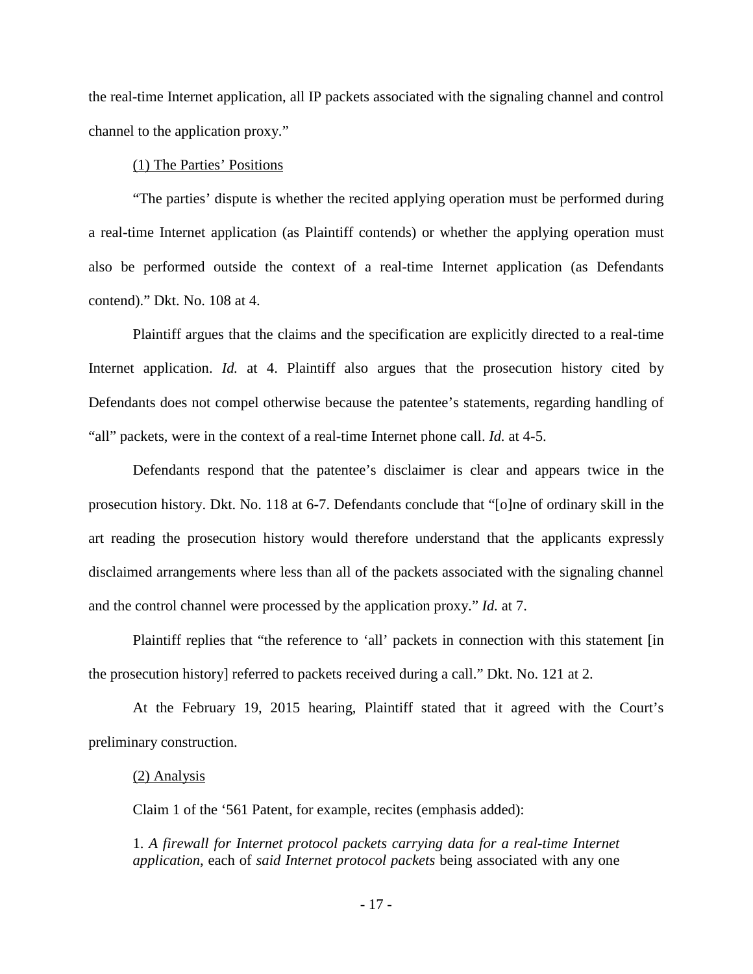the real-time Internet application, all IP packets associated with the signaling channel and control channel to the application proxy."

### (1) The Parties' Positions

"The parties' dispute is whether the recited applying operation must be performed during a real-time Internet application (as Plaintiff contends) or whether the applying operation must also be performed outside the context of a real-time Internet application (as Defendants contend)." Dkt. No. 108 at 4.

Plaintiff argues that the claims and the specification are explicitly directed to a real-time Internet application. *Id.* at 4. Plaintiff also argues that the prosecution history cited by Defendants does not compel otherwise because the patentee's statements, regarding handling of "all" packets, were in the context of a real-time Internet phone call. *Id.* at 4-5.

Defendants respond that the patentee's disclaimer is clear and appears twice in the prosecution history. Dkt. No. 118 at 6-7. Defendants conclude that "[o]ne of ordinary skill in the art reading the prosecution history would therefore understand that the applicants expressly disclaimed arrangements where less than all of the packets associated with the signaling channel and the control channel were processed by the application proxy." *Id.* at 7.

Plaintiff replies that "the reference to 'all' packets in connection with this statement [in the prosecution history] referred to packets received during a call." Dkt. No. 121 at 2.

At the February 19, 2015 hearing, Plaintiff stated that it agreed with the Court's preliminary construction.

#### (2) Analysis

Claim 1 of the '561 Patent, for example, recites (emphasis added):

1. *A firewall for Internet protocol packets carrying data for a real-time Internet application*, each of *said Internet protocol packets* being associated with any one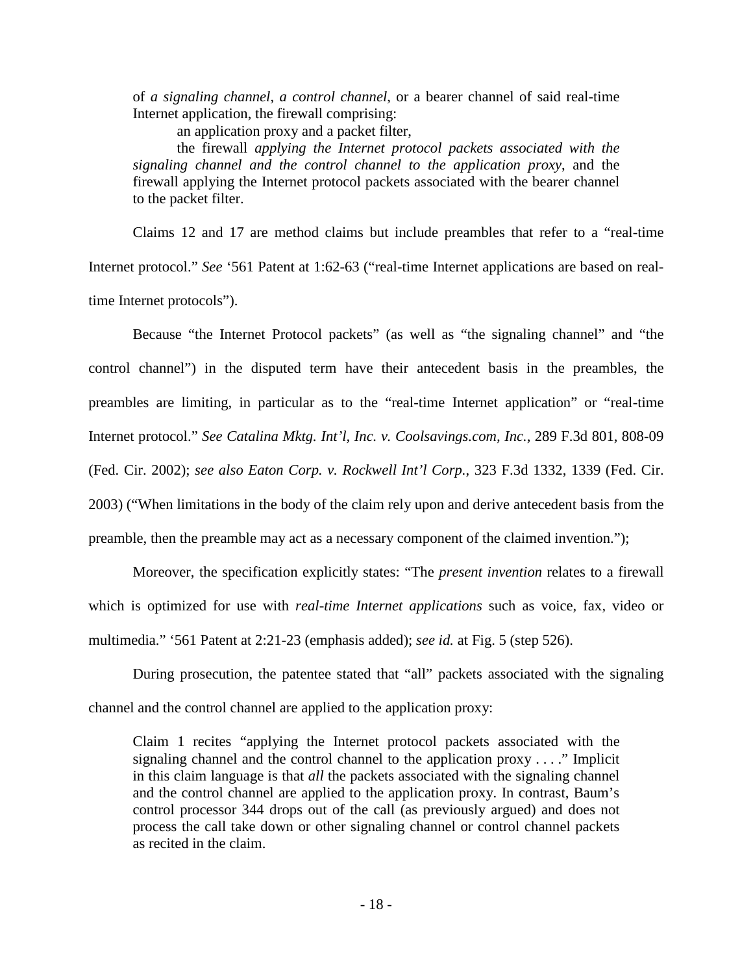of *a signaling channel*, *a control channel*, or a bearer channel of said real-time Internet application, the firewall comprising:

an application proxy and a packet filter,

the firewall *applying the Internet protocol packets associated with the signaling channel and the control channel to the application proxy*, and the firewall applying the Internet protocol packets associated with the bearer channel to the packet filter.

Claims 12 and 17 are method claims but include preambles that refer to a "real-time Internet protocol." *See* '561 Patent at 1:62-63 ("real-time Internet applications are based on realtime Internet protocols").

Because "the Internet Protocol packets" (as well as "the signaling channel" and "the control channel") in the disputed term have their antecedent basis in the preambles, the preambles are limiting, in particular as to the "real-time Internet application" or "real-time Internet protocol." *See Catalina Mktg. Int'l, Inc. v. Coolsavings.com, Inc.*, 289 F.3d 801, 808-09 (Fed. Cir. 2002); *see also Eaton Corp. v. Rockwell Int'l Corp.*, 323 F.3d 1332, 1339 (Fed. Cir. 2003) ("When limitations in the body of the claim rely upon and derive antecedent basis from the preamble, then the preamble may act as a necessary component of the claimed invention.");

 Moreover, the specification explicitly states: "The *present invention* relates to a firewall which is optimized for use with *real-time Internet applications* such as voice, fax, video or multimedia." '561 Patent at 2:21-23 (emphasis added); *see id.* at Fig. 5 (step 526).

During prosecution, the patentee stated that "all" packets associated with the signaling channel and the control channel are applied to the application proxy:

Claim 1 recites "applying the Internet protocol packets associated with the signaling channel and the control channel to the application proxy . . . ." Implicit in this claim language is that *all* the packets associated with the signaling channel and the control channel are applied to the application proxy. In contrast, Baum's control processor 344 drops out of the call (as previously argued) and does not process the call take down or other signaling channel or control channel packets as recited in the claim.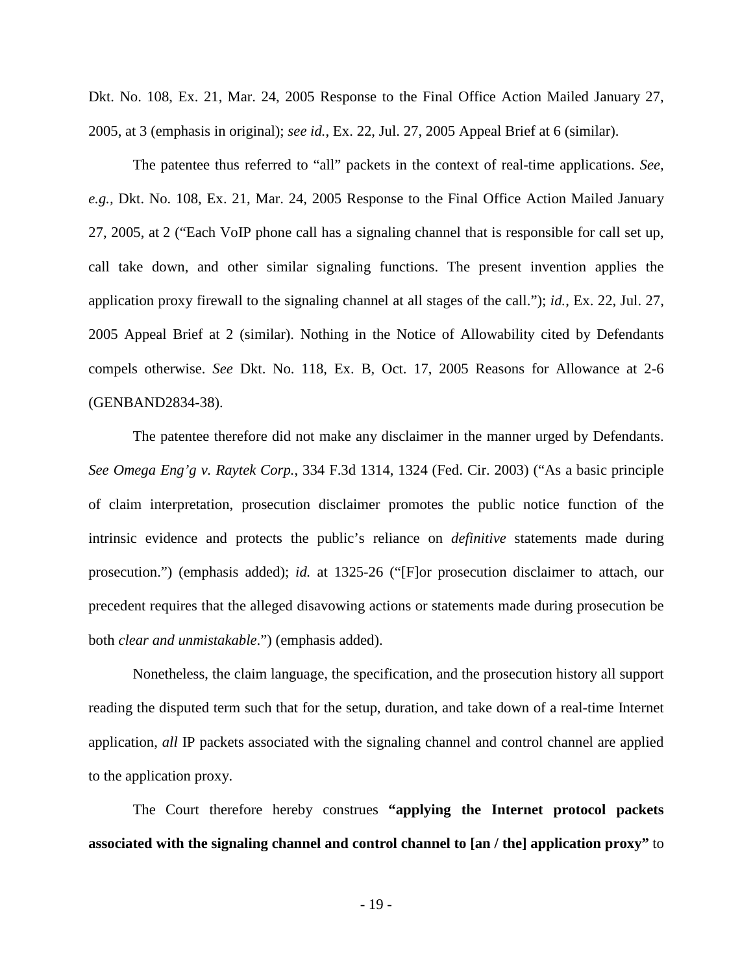Dkt. No. 108, Ex. 21, Mar. 24, 2005 Response to the Final Office Action Mailed January 27, 2005, at 3 (emphasis in original); *see id.*, Ex. 22, Jul. 27, 2005 Appeal Brief at 6 (similar).

The patentee thus referred to "all" packets in the context of real-time applications. *See, e.g.,* Dkt. No. 108, Ex. 21, Mar. 24, 2005 Response to the Final Office Action Mailed January 27, 2005, at 2 ("Each VoIP phone call has a signaling channel that is responsible for call set up, call take down, and other similar signaling functions. The present invention applies the application proxy firewall to the signaling channel at all stages of the call."); *id.*, Ex. 22, Jul. 27, 2005 Appeal Brief at 2 (similar). Nothing in the Notice of Allowability cited by Defendants compels otherwise. *See* Dkt. No. 118, Ex. B, Oct. 17, 2005 Reasons for Allowance at 2-6 (GENBAND2834-38).

The patentee therefore did not make any disclaimer in the manner urged by Defendants. *See Omega Eng'g v. Raytek Corp.*, 334 F.3d 1314, 1324 (Fed. Cir. 2003) ("As a basic principle of claim interpretation, prosecution disclaimer promotes the public notice function of the intrinsic evidence and protects the public's reliance on *definitive* statements made during prosecution.") (emphasis added); *id.* at 1325-26 ("[F]or prosecution disclaimer to attach, our precedent requires that the alleged disavowing actions or statements made during prosecution be both *clear and unmistakable*.") (emphasis added).

Nonetheless, the claim language, the specification, and the prosecution history all support reading the disputed term such that for the setup, duration, and take down of a real-time Internet application, *all* IP packets associated with the signaling channel and control channel are applied to the application proxy.

The Court therefore hereby construes **"applying the Internet protocol packets associated with the signaling channel and control channel to [an / the] application proxy"** to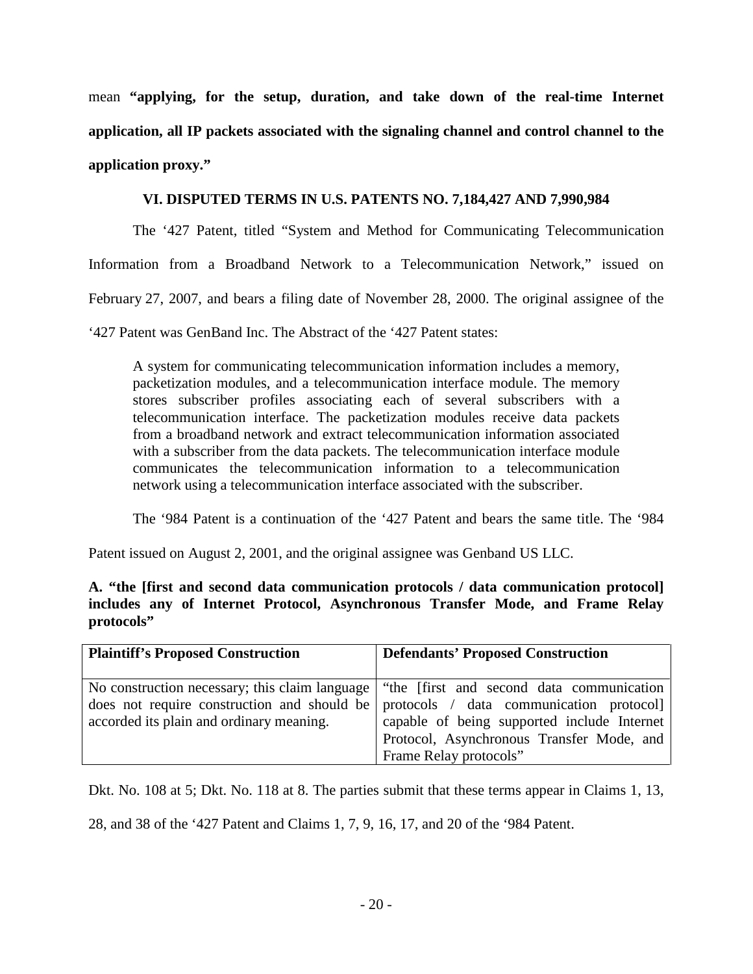mean **"applying, for the setup, duration, and take down of the real-time Internet application, all IP packets associated with the signaling channel and control channel to the application proxy."**

## **VI. DISPUTED TERMS IN U.S. PATENTS NO. 7,184,427 AND 7,990,984**

<span id="page-19-0"></span>The '427 Patent, titled "System and Method for Communicating Telecommunication

Information from a Broadband Network to a Telecommunication Network," issued on

February 27, 2007, and bears a filing date of November 28, 2000. The original assignee of the

'427 Patent was GenBand Inc. The Abstract of the '427 Patent states:

A system for communicating telecommunication information includes a memory, packetization modules, and a telecommunication interface module. The memory stores subscriber profiles associating each of several subscribers with a telecommunication interface. The packetization modules receive data packets from a broadband network and extract telecommunication information associated with a subscriber from the data packets. The telecommunication interface module communicates the telecommunication information to a telecommunication network using a telecommunication interface associated with the subscriber.

The '984 Patent is a continuation of the '427 Patent and bears the same title. The '984

Patent issued on August 2, 2001, and the original assignee was Genband US LLC.

<span id="page-19-1"></span>**A. "the [first and second data communication protocols / data communication protocol] includes any of Internet Protocol, Asynchronous Transfer Mode, and Frame Relay protocols"** 

| <b>Plaintiff's Proposed Construction</b> | <b>Defendants' Proposed Construction</b>                                                                                                                                                                                                                                                                |
|------------------------------------------|---------------------------------------------------------------------------------------------------------------------------------------------------------------------------------------------------------------------------------------------------------------------------------------------------------|
| accorded its plain and ordinary meaning. | No construction necessary; this claim language   "the [first and second data communication<br>does not require construction and should be protocols / data communication protocol<br>capable of being supported include Internet<br>Protocol, Asynchronous Transfer Mode, and<br>Frame Relay protocols" |

Dkt. No. 108 at 5; Dkt. No. 118 at 8. The parties submit that these terms appear in Claims 1, 13,

28, and 38 of the '427 Patent and Claims 1, 7, 9, 16, 17, and 20 of the '984 Patent.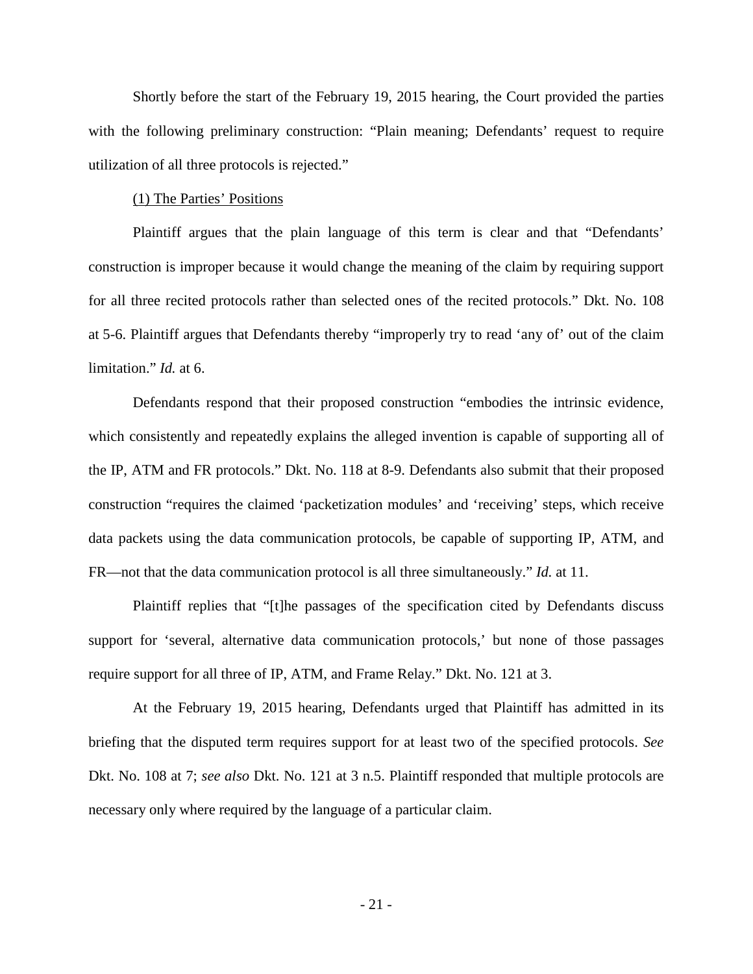Shortly before the start of the February 19, 2015 hearing, the Court provided the parties with the following preliminary construction: "Plain meaning; Defendants' request to require utilization of all three protocols is rejected."

#### (1) The Parties' Positions

Plaintiff argues that the plain language of this term is clear and that "Defendants' construction is improper because it would change the meaning of the claim by requiring support for all three recited protocols rather than selected ones of the recited protocols." Dkt. No. 108 at 5-6. Plaintiff argues that Defendants thereby "improperly try to read 'any of' out of the claim limitation." *Id.* at 6.

Defendants respond that their proposed construction "embodies the intrinsic evidence, which consistently and repeatedly explains the alleged invention is capable of supporting all of the IP, ATM and FR protocols." Dkt. No. 118 at 8-9. Defendants also submit that their proposed construction "requires the claimed 'packetization modules' and 'receiving' steps, which receive data packets using the data communication protocols, be capable of supporting IP, ATM, and FR—not that the data communication protocol is all three simultaneously." *Id.* at 11.

Plaintiff replies that "[t]he passages of the specification cited by Defendants discuss support for 'several, alternative data communication protocols,' but none of those passages require support for all three of IP, ATM, and Frame Relay." Dkt. No. 121 at 3.

At the February 19, 2015 hearing, Defendants urged that Plaintiff has admitted in its briefing that the disputed term requires support for at least two of the specified protocols. *See* Dkt. No. 108 at 7; *see also* Dkt. No. 121 at 3 n.5. Plaintiff responded that multiple protocols are necessary only where required by the language of a particular claim.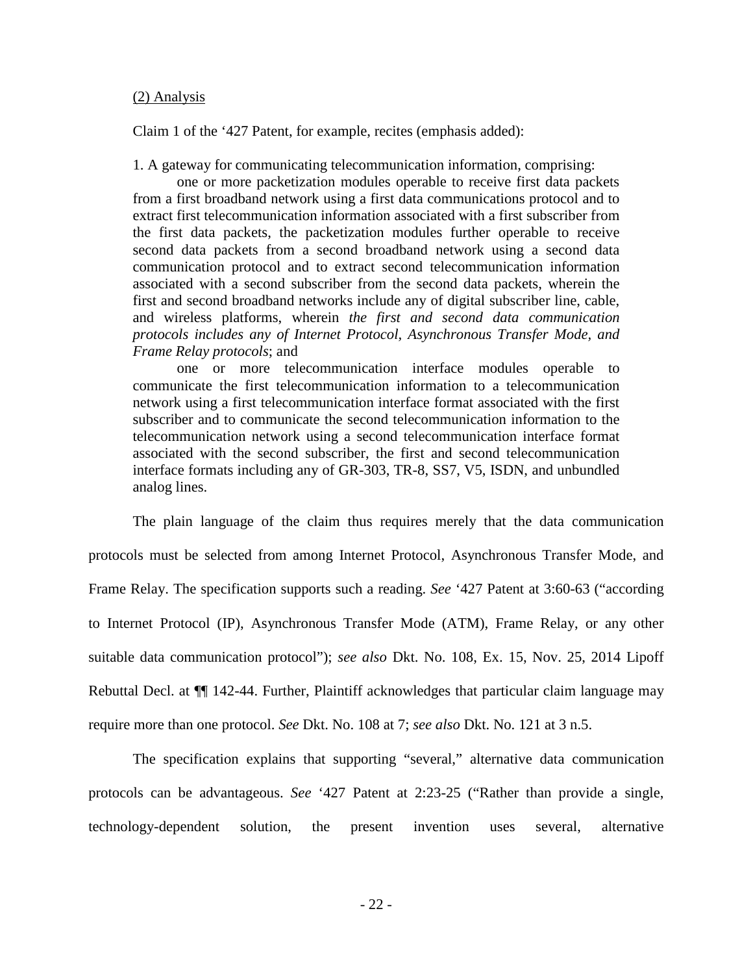#### (2) Analysis

Claim 1 of the '427 Patent, for example, recites (emphasis added):

1. A gateway for communicating telecommunication information, comprising:

one or more packetization modules operable to receive first data packets from a first broadband network using a first data communications protocol and to extract first telecommunication information associated with a first subscriber from the first data packets, the packetization modules further operable to receive second data packets from a second broadband network using a second data communication protocol and to extract second telecommunication information associated with a second subscriber from the second data packets, wherein the first and second broadband networks include any of digital subscriber line, cable, and wireless platforms, wherein *the first and second data communication protocols includes any of Internet Protocol, Asynchronous Transfer Mode, and Frame Relay protocols*; and

one or more telecommunication interface modules operable to communicate the first telecommunication information to a telecommunication network using a first telecommunication interface format associated with the first subscriber and to communicate the second telecommunication information to the telecommunication network using a second telecommunication interface format associated with the second subscriber, the first and second telecommunication interface formats including any of GR-303, TR-8, SS7, V5, ISDN, and unbundled analog lines.

The plain language of the claim thus requires merely that the data communication protocols must be selected from among Internet Protocol, Asynchronous Transfer Mode, and Frame Relay. The specification supports such a reading. *See* '427 Patent at 3:60-63 ("according to Internet Protocol (IP), Asynchronous Transfer Mode (ATM), Frame Relay, or any other suitable data communication protocol"); *see also* Dkt. No. 108, Ex. 15, Nov. 25, 2014 Lipoff Rebuttal Decl. at  $\P$  142-44. Further, Plaintiff acknowledges that particular claim language may require more than one protocol. *See* Dkt. No. 108 at 7; *see also* Dkt. No. 121 at 3 n.5.

The specification explains that supporting "several," alternative data communication protocols can be advantageous. *See* '427 Patent at 2:23-25 ("Rather than provide a single, technology-dependent solution, the present invention uses several, alternative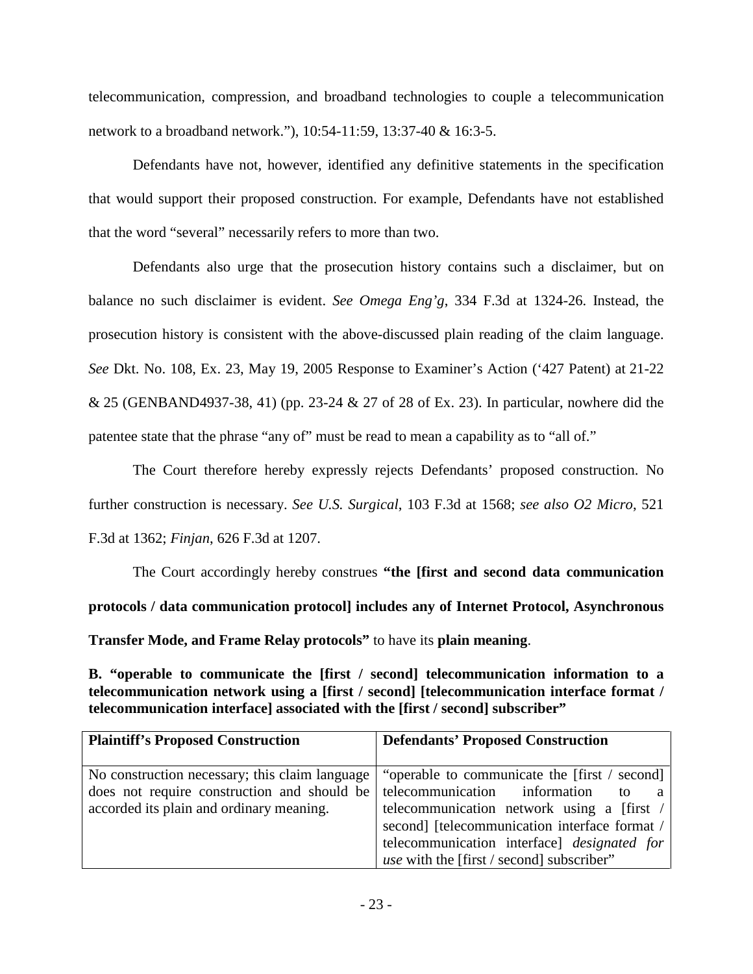telecommunication, compression, and broadband technologies to couple a telecommunication network to a broadband network."), 10:54-11:59, 13:37-40 & 16:3-5.

Defendants have not, however, identified any definitive statements in the specification that would support their proposed construction. For example, Defendants have not established that the word "several" necessarily refers to more than two.

Defendants also urge that the prosecution history contains such a disclaimer, but on balance no such disclaimer is evident. *See Omega Eng'g*, 334 F.3d at 1324-26. Instead, the prosecution history is consistent with the above-discussed plain reading of the claim language. *See* Dkt. No. 108, Ex. 23, May 19, 2005 Response to Examiner's Action ('427 Patent) at 21-22 & 25 (GENBAND4937-38, 41) (pp. 23-24 & 27 of 28 of Ex. 23). In particular, nowhere did the patentee state that the phrase "any of" must be read to mean a capability as to "all of."

The Court therefore hereby expressly rejects Defendants' proposed construction. No further construction is necessary. *See U.S. Surgical*, 103 F.3d at 1568; *see also O2 Micro*, 521 F.3d at 1362; *Finjan*, 626 F.3d at 1207.

The Court accordingly hereby construes **"the [first and second data communication protocols / data communication protocol] includes any of Internet Protocol, Asynchronous Transfer Mode, and Frame Relay protocols"** to have its **plain meaning**.

<span id="page-22-0"></span>**B. "operable to communicate the [first / second] telecommunication information to a telecommunication network using a [first / second] [telecommunication interface format / telecommunication interface] associated with the [first / second] subscriber"** 

| <b>Plaintiff's Proposed Construction</b>       | <b>Defendants' Proposed Construction</b>         |  |  |  |
|------------------------------------------------|--------------------------------------------------|--|--|--|
|                                                |                                                  |  |  |  |
| No construction necessary; this claim language | "operable to communicate the [first / second]    |  |  |  |
| does not require construction and should be    | telecommunication information<br>a               |  |  |  |
| accorded its plain and ordinary meaning.       | telecommunication network using a [first /       |  |  |  |
|                                                | second] [telecommunication interface format /    |  |  |  |
|                                                | telecommunication interface] designated for      |  |  |  |
|                                                | <i>use</i> with the [first / second] subscriber" |  |  |  |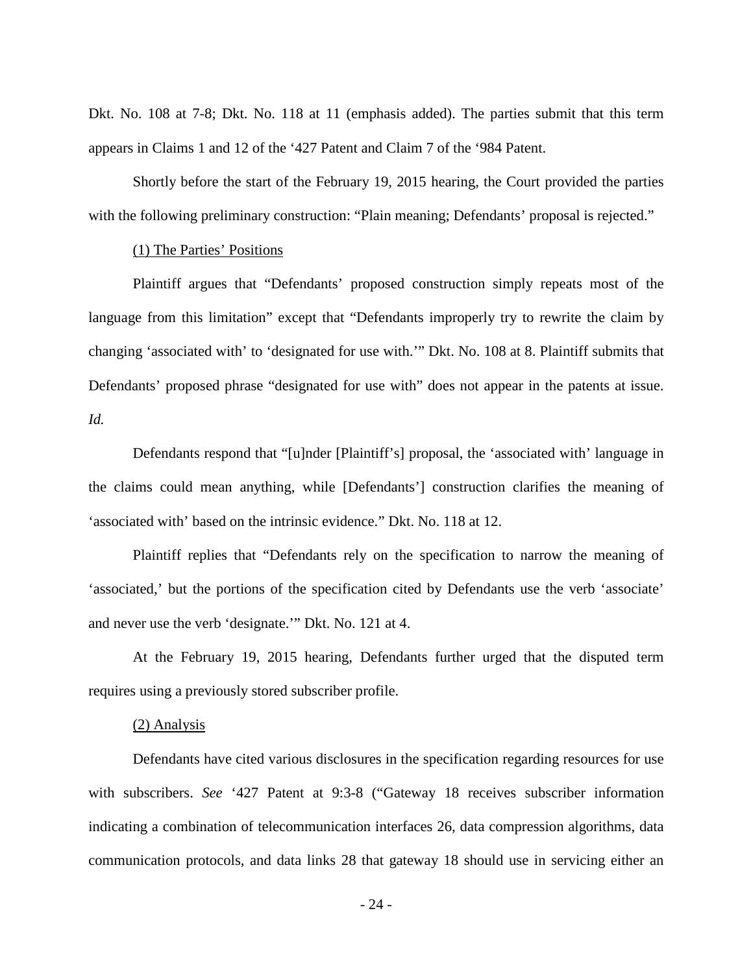Dkt. No. 108 at 7-8; Dkt. No. 118 at 11 (emphasis added). The parties submit that this term appears in Claims 1 and 12 of the '427 Patent and Claim 7 of the '984 Patent.

Shortly before the start of the February 19, 2015 hearing, the Court provided the parties with the following preliminary construction: "Plain meaning; Defendants' proposal is rejected."

### (1) The Parties' Positions

Plaintiff argues that "Defendants' proposed construction simply repeats most of the language from this limitation" except that "Defendants improperly try to rewrite the claim by changing 'associated with' to 'designated for use with.'" Dkt. No. 108 at 8. Plaintiff submits that Defendants' proposed phrase "designated for use with" does not appear in the patents at issue. *Id.*

Defendants respond that "[u]nder [Plaintiff's] proposal, the 'associated with' language in the claims could mean anything, while [Defendants'] construction clarifies the meaning of 'associated with' based on the intrinsic evidence." Dkt. No. 118 at 12.

Plaintiff replies that "Defendants rely on the specification to narrow the meaning of 'associated,' but the portions of the specification cited by Defendants use the verb 'associate' and never use the verb 'designate.'" Dkt. No. 121 at 4.

At the February 19, 2015 hearing, Defendants further urged that the disputed term requires using a previously stored subscriber profile.

### (2) Analysis

Defendants have cited various disclosures in the specification regarding resources for use with subscribers. *See* '427 Patent at 9:3-8 ("Gateway 18 receives subscriber information indicating a combination of telecommunication interfaces 26, data compression algorithms, data communication protocols, and data links 28 that gateway 18 should use in servicing either an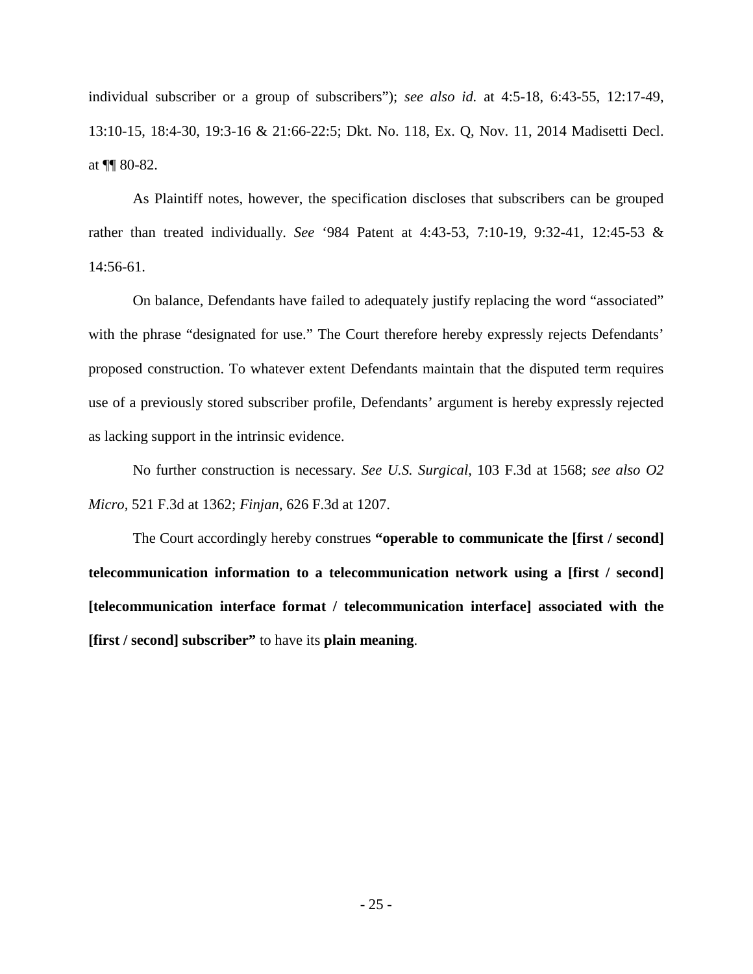individual subscriber or a group of subscribers"); *see also id.* at 4:5-18, 6:43-55, 12:17-49, 13:10-15, 18:4-30, 19:3-16 & 21:66-22:5; Dkt. No. 118, Ex. Q, Nov. 11, 2014 Madisetti Decl. at ¶¶ 80-82.

 As Plaintiff notes, however, the specification discloses that subscribers can be grouped rather than treated individually. *See* '984 Patent at 4:43-53, 7:10-19, 9:32-41, 12:45-53 & 14:56-61.

On balance, Defendants have failed to adequately justify replacing the word "associated" with the phrase "designated for use." The Court therefore hereby expressly rejects Defendants' proposed construction. To whatever extent Defendants maintain that the disputed term requires use of a previously stored subscriber profile, Defendants' argument is hereby expressly rejected as lacking support in the intrinsic evidence.

No further construction is necessary. *See U.S. Surgical*, 103 F.3d at 1568; *see also O2 Micro*, 521 F.3d at 1362; *Finjan*, 626 F.3d at 1207.

The Court accordingly hereby construes **"operable to communicate the [first / second] telecommunication information to a telecommunication network using a [first / second] [telecommunication interface format / telecommunication interface] associated with the [first / second] subscriber"** to have its **plain meaning**.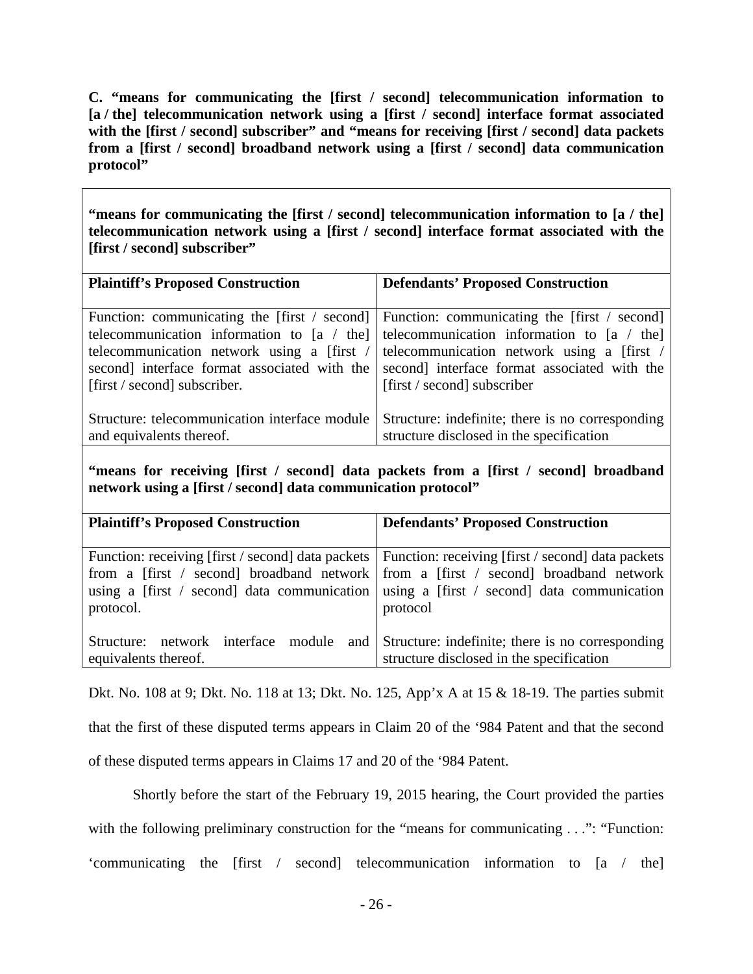<span id="page-25-0"></span>**C. "means for communicating the [first / second] telecommunication information to [a / the] telecommunication network using a [first / second] interface format associated**  with the [first / second] subscriber" and "means for receiving [first / second] data packets **from a [first / second] broadband network using a [first / second] data communication protocol"** 

**"means for communicating the [first / second] telecommunication information to [a / the] telecommunication network using a [first / second] interface format associated with the [first / second] subscriber"**

| <b>Plaintiff's Proposed Construction</b>      | <b>Defendants' Proposed Construction</b>                                                  |
|-----------------------------------------------|-------------------------------------------------------------------------------------------|
|                                               |                                                                                           |
|                                               |                                                                                           |
|                                               | Function: communicating the [first / second] Function: communicating the [first / second] |
|                                               | telecommunication information to [a $/$ the] telecommunication information to [a $/$ the] |
|                                               | telecommunication network using a [first /   telecommunication network using a [first /   |
| second] interface format associated with the  | second] interface format associated with the                                              |
| [first / second] subscriber.                  | [first / second] subscriber                                                               |
|                                               |                                                                                           |
| Structure: telecommunication interface module | Structure: indefinite; there is no corresponding                                          |
| and equivalents thereof.                      | structure disclosed in the specification                                                  |

**"means for receiving [first / second] data packets from a [first / second] broadband network using a [first / second] data communication protocol"** 

| <b>Plaintiff's Proposed Construction</b> | <b>Defendants' Proposed Construction</b>                                                              |  |  |
|------------------------------------------|-------------------------------------------------------------------------------------------------------|--|--|
|                                          |                                                                                                       |  |  |
|                                          | Function: receiving [first / second] data packets   Function: receiving [first / second] data packets |  |  |
|                                          | from a [first / second] broadband network   from a [first / second] broadband network                 |  |  |
|                                          | using a [first / second] data communication   using a [first / second] data communication             |  |  |
| protocol.                                | protocol                                                                                              |  |  |
|                                          |                                                                                                       |  |  |
| network interface module<br>Structure:   | and Structure: indefinite; there is no corresponding                                                  |  |  |
| equivalents thereof.                     | structure disclosed in the specification                                                              |  |  |

Dkt. No. 108 at 9; Dkt. No. 118 at 13; Dkt. No. 125, App'x A at 15 & 18-19. The parties submit that the first of these disputed terms appears in Claim 20 of the '984 Patent and that the second of these disputed terms appears in Claims 17 and 20 of the '984 Patent.

Shortly before the start of the February 19, 2015 hearing, the Court provided the parties with the following preliminary construction for the "means for communicating . . .": "Function: 'communicating the [first / second] telecommunication information to [a / the]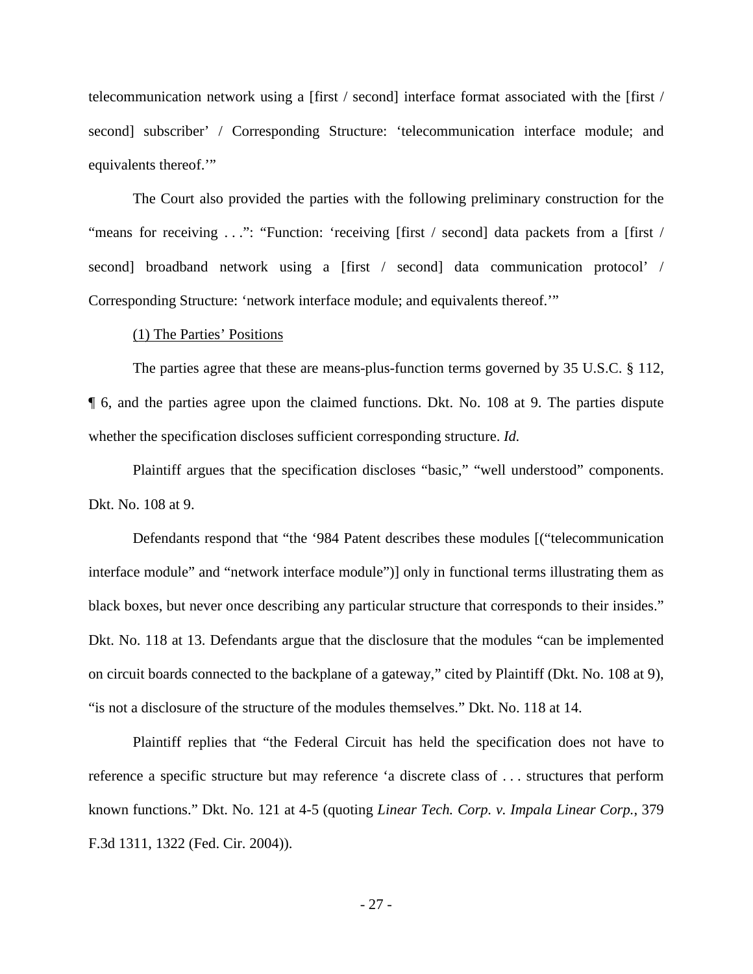telecommunication network using a [first / second] interface format associated with the [first / second] subscriber' / Corresponding Structure: 'telecommunication interface module; and equivalents thereof.'"

The Court also provided the parties with the following preliminary construction for the "means for receiving . . .": "Function: 'receiving [first / second] data packets from a [first / second] broadband network using a [first / second] data communication protocol' / Corresponding Structure: 'network interface module; and equivalents thereof.'"

#### (1) The Parties' Positions

The parties agree that these are means-plus-function terms governed by 35 U.S.C. § 112, ¶ 6, and the parties agree upon the claimed functions. Dkt. No. 108 at 9. The parties dispute whether the specification discloses sufficient corresponding structure. *Id.*

Plaintiff argues that the specification discloses "basic," "well understood" components. Dkt. No. 108 at 9.

Defendants respond that "the '984 Patent describes these modules [("telecommunication interface module" and "network interface module")] only in functional terms illustrating them as black boxes, but never once describing any particular structure that corresponds to their insides." Dkt. No. 118 at 13. Defendants argue that the disclosure that the modules "can be implemented on circuit boards connected to the backplane of a gateway," cited by Plaintiff (Dkt. No. 108 at 9), "is not a disclosure of the structure of the modules themselves." Dkt. No. 118 at 14.

Plaintiff replies that "the Federal Circuit has held the specification does not have to reference a specific structure but may reference 'a discrete class of . . . structures that perform known functions." Dkt. No. 121 at 4-5 (quoting *Linear Tech. Corp. v. Impala Linear Corp.*, 379 F.3d 1311, 1322 (Fed. Cir. 2004)).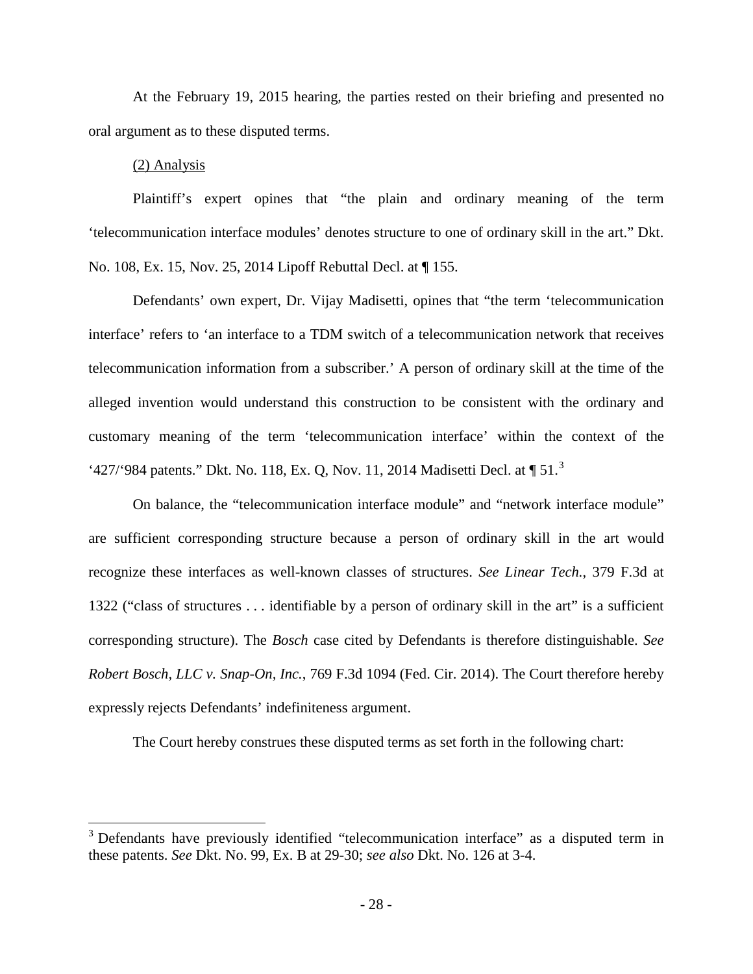At the February 19, 2015 hearing, the parties rested on their briefing and presented no oral argument as to these disputed terms.

### (2) Analysis

 $\overline{a}$ 

Plaintiff's expert opines that "the plain and ordinary meaning of the term 'telecommunication interface modules' denotes structure to one of ordinary skill in the art." Dkt. No. 108, Ex. 15, Nov. 25, 2014 Lipoff Rebuttal Decl. at ¶ 155.

Defendants' own expert, Dr. Vijay Madisetti, opines that "the term 'telecommunication interface' refers to 'an interface to a TDM switch of a telecommunication network that receives telecommunication information from a subscriber.' A person of ordinary skill at the time of the alleged invention would understand this construction to be consistent with the ordinary and customary meaning of the term 'telecommunication interface' within the context of the '427/'984 patents." Dkt. No. 118, Ex. Q, Nov. 11, 2014 Madisetti Decl. at  $\P 51$ .<sup>[3](#page-27-0)</sup>

On balance, the "telecommunication interface module" and "network interface module" are sufficient corresponding structure because a person of ordinary skill in the art would recognize these interfaces as well-known classes of structures. *See Linear Tech.*, 379 F.3d at 1322 ("class of structures . . . identifiable by a person of ordinary skill in the art" is a sufficient corresponding structure). The *Bosch* case cited by Defendants is therefore distinguishable. *See Robert Bosch, LLC v. Snap-On, Inc.*, 769 F.3d 1094 (Fed. Cir. 2014). The Court therefore hereby expressly rejects Defendants' indefiniteness argument.

The Court hereby construes these disputed terms as set forth in the following chart:

<span id="page-27-0"></span><sup>&</sup>lt;sup>3</sup> Defendants have previously identified "telecommunication interface" as a disputed term in these patents. *See* Dkt. No. 99, Ex. B at 29-30; *see also* Dkt. No. 126 at 3-4.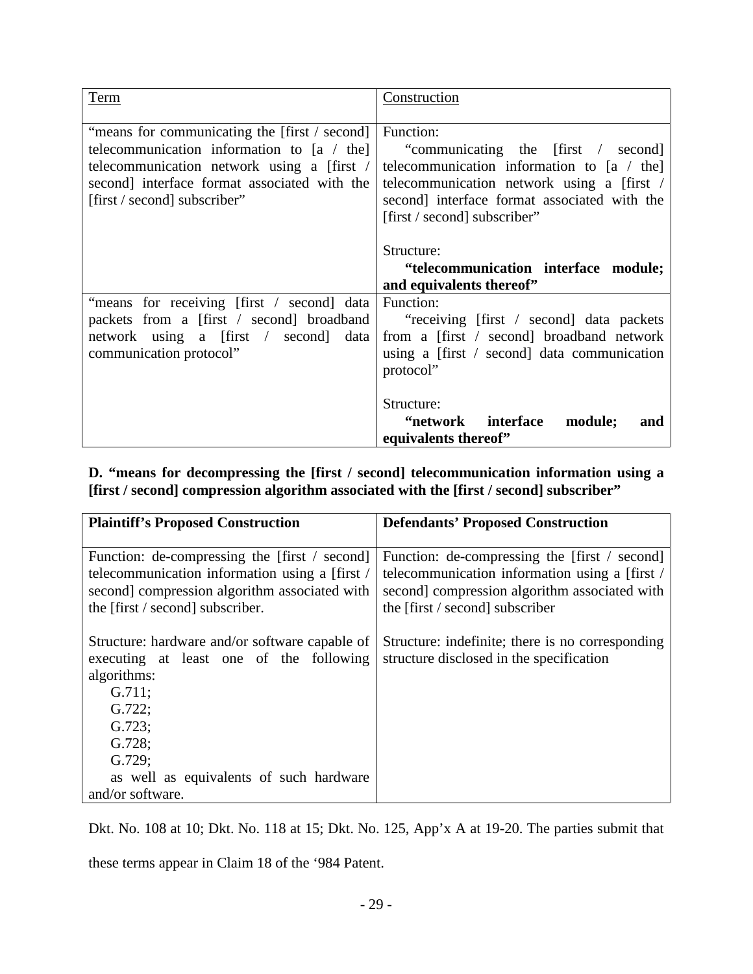| Term                                                                                                                                                                                                                        | Construction                                                                                                                                                                                                                  |
|-----------------------------------------------------------------------------------------------------------------------------------------------------------------------------------------------------------------------------|-------------------------------------------------------------------------------------------------------------------------------------------------------------------------------------------------------------------------------|
| "means for communicating the [first / second]<br>telecommunication information to $[a / the]$<br>telecommunication network using a [first /<br>second] interface format associated with the<br>[first / second] subscriber" | Function:<br>"communicating the [first / second]<br>telecommunication information to $[a / the]$<br>telecommunication network using a [first /<br>second interface format associated with the<br>[first / second] subscriber" |
|                                                                                                                                                                                                                             | Structure:<br>"telecommunication interface module;<br>and equivalents thereof"                                                                                                                                                |
| "means for receiving [first / second] data<br>packets from a [first / second] broadband<br>network using a [first / second] data<br>communication protocol"                                                                 | Function:<br>"receiving [first / second] data packets"<br>from a [first / second] broadband network<br>using a $[first / second]$ data communication<br>protocol"                                                             |
|                                                                                                                                                                                                                             | Structure:<br>"network interface<br>module;<br>and<br>equivalents thereof"                                                                                                                                                    |

<span id="page-28-0"></span>**D. "means for decompressing the [first / second] telecommunication information using a [first / second] compression algorithm associated with the [first / second] subscriber"** 

| <b>Plaintiff's Proposed Construction</b>                                                                                                                                             | <b>Defendants' Proposed Construction</b>                                                                                                                                            |
|--------------------------------------------------------------------------------------------------------------------------------------------------------------------------------------|-------------------------------------------------------------------------------------------------------------------------------------------------------------------------------------|
|                                                                                                                                                                                      |                                                                                                                                                                                     |
| Function: de-compressing the [first / second]<br>telecommunication information using a [first /<br>second] compression algorithm associated with<br>the [first / second] subscriber. | Function: de-compressing the [first / second]<br>telecommunication information using a [first /<br>second] compression algorithm associated with<br>the [first / second] subscriber |
| Structure: hardware and/or software capable of<br>executing at least one of the following<br>algorithms:<br>G.711;<br>G.722;<br>G.723;<br>G.728;<br>G.729;                           | Structure: indefinite; there is no corresponding<br>structure disclosed in the specification                                                                                        |
| as well as equivalents of such hardware<br>and/or software.                                                                                                                          |                                                                                                                                                                                     |

Dkt. No. 108 at 10; Dkt. No. 118 at 15; Dkt. No. 125, App'x A at 19-20. The parties submit that

these terms appear in Claim 18 of the '984 Patent.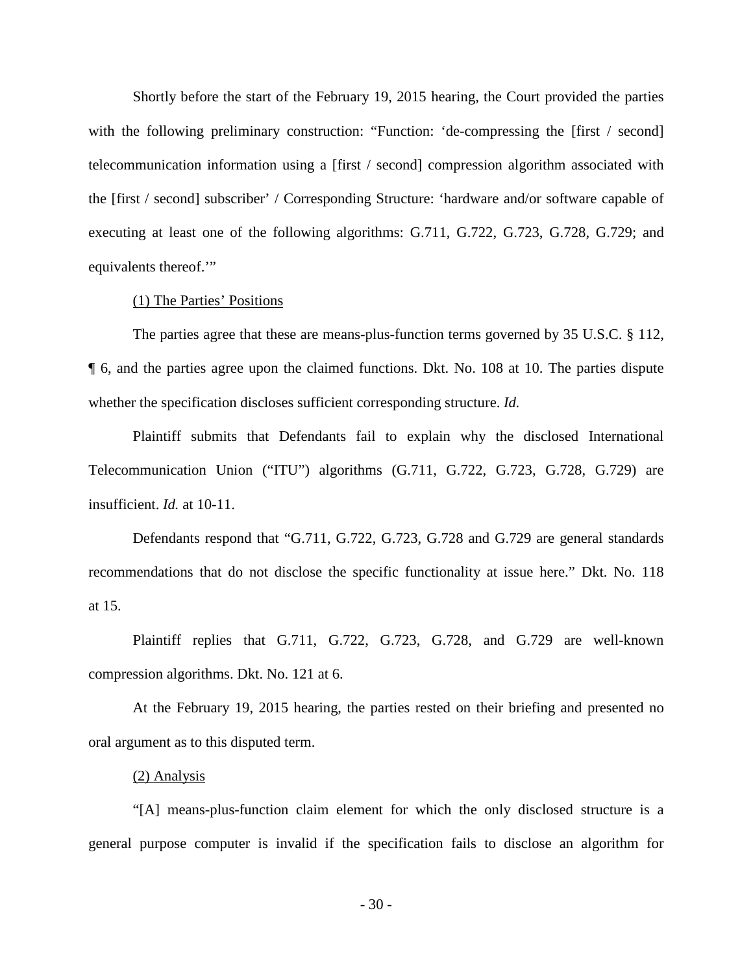Shortly before the start of the February 19, 2015 hearing, the Court provided the parties with the following preliminary construction: "Function: 'de-compressing the [first / second] telecommunication information using a [first / second] compression algorithm associated with the [first / second] subscriber' / Corresponding Structure: 'hardware and/or software capable of executing at least one of the following algorithms: G.711, G.722, G.723, G.728, G.729; and equivalents thereof.'"

### (1) The Parties' Positions

The parties agree that these are means-plus-function terms governed by 35 U.S.C. § 112, ¶ 6, and the parties agree upon the claimed functions. Dkt. No. 108 at 10. The parties dispute whether the specification discloses sufficient corresponding structure. *Id.*

Plaintiff submits that Defendants fail to explain why the disclosed International Telecommunication Union ("ITU") algorithms (G.711, G.722, G.723, G.728, G.729) are insufficient. *Id.* at 10-11.

Defendants respond that "G.711, G.722, G.723, G.728 and G.729 are general standards recommendations that do not disclose the specific functionality at issue here." Dkt. No. 118 at 15.

Plaintiff replies that G.711, G.722, G.723, G.728, and G.729 are well-known compression algorithms. Dkt. No. 121 at 6.

At the February 19, 2015 hearing, the parties rested on their briefing and presented no oral argument as to this disputed term.

#### (2) Analysis

"[A] means-plus-function claim element for which the only disclosed structure is a general purpose computer is invalid if the specification fails to disclose an algorithm for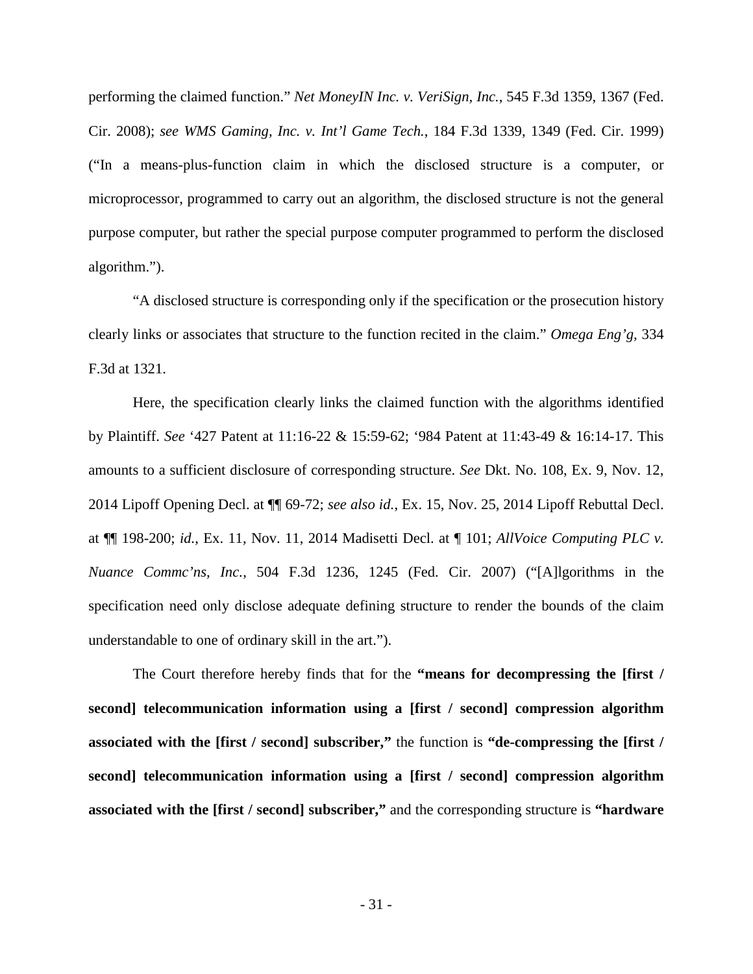performing the claimed function." *Net MoneyIN Inc. v. VeriSign, Inc.*, 545 F.3d 1359, 1367 (Fed. Cir. 2008); *see WMS Gaming, Inc. v. Int'l Game Tech.*, 184 F.3d 1339, 1349 (Fed. Cir. 1999) ("In a means-plus-function claim in which the disclosed structure is a computer, or microprocessor, programmed to carry out an algorithm, the disclosed structure is not the general purpose computer, but rather the special purpose computer programmed to perform the disclosed algorithm.").

 "A disclosed structure is corresponding only if the specification or the prosecution history clearly links or associates that structure to the function recited in the claim." *Omega Eng'g*, 334 F.3d at 1321.

Here, the specification clearly links the claimed function with the algorithms identified by Plaintiff. *See* '427 Patent at 11:16-22 & 15:59-62; '984 Patent at 11:43-49 & 16:14-17. This amounts to a sufficient disclosure of corresponding structure. *See* Dkt. No. 108, Ex. 9, Nov. 12, 2014 Lipoff Opening Decl. at ¶¶ 69-72; *see also id.*, Ex. 15, Nov. 25, 2014 Lipoff Rebuttal Decl. at ¶¶ 198-200; *id.*, Ex. 11, Nov. 11, 2014 Madisetti Decl. at ¶ 101; *AllVoice Computing PLC v. Nuance Commc'ns, Inc.*, 504 F.3d 1236, 1245 (Fed. Cir. 2007) ("[A]lgorithms in the specification need only disclose adequate defining structure to render the bounds of the claim understandable to one of ordinary skill in the art.").

The Court therefore hereby finds that for the **"means for decompressing the [first / second] telecommunication information using a [first / second] compression algorithm associated with the [first / second] subscriber,"** the function is **"de-compressing the [first / second] telecommunication information using a [first / second] compression algorithm associated with the [first / second] subscriber,"** and the corresponding structure is **"hardware**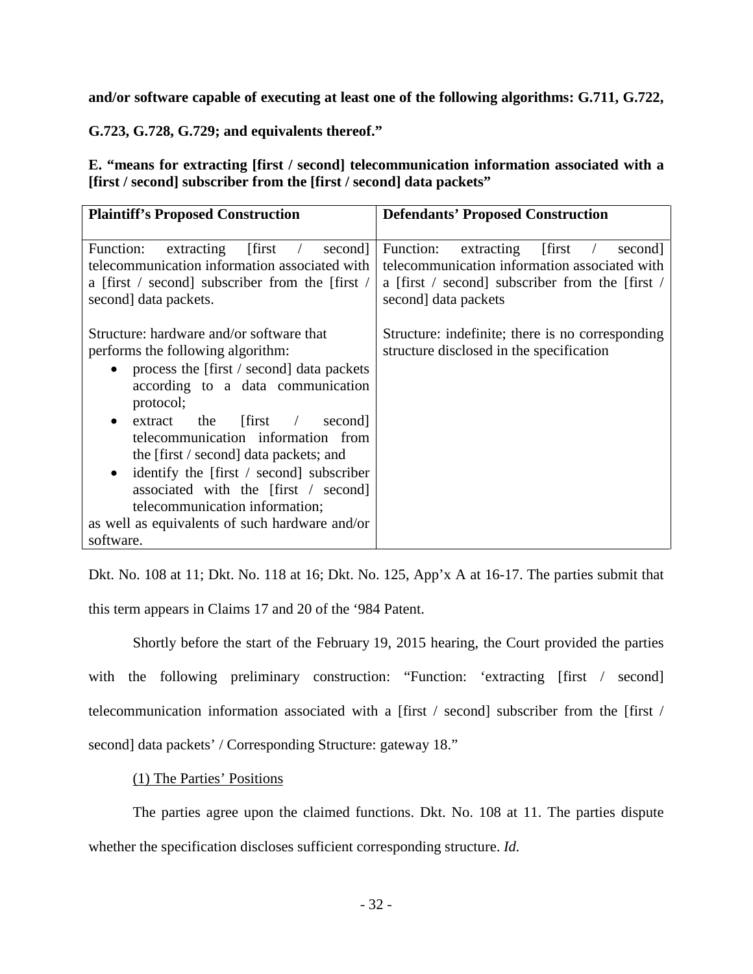**and/or software capable of executing at least one of the following algorithms: G.711, G.722,** 

**G.723, G.728, G.729; and equivalents thereof."**

<span id="page-31-0"></span>**E. "means for extracting [first / second] telecommunication information associated with a [first / second] subscriber from the [first / second] data packets"** 

| <b>Plaintiff's Proposed Construction</b>                                                                                                                                                                                                                                                                                                                                                                                                                                                              | <b>Defendants' Proposed Construction</b>                                                                                                                             |  |
|-------------------------------------------------------------------------------------------------------------------------------------------------------------------------------------------------------------------------------------------------------------------------------------------------------------------------------------------------------------------------------------------------------------------------------------------------------------------------------------------------------|----------------------------------------------------------------------------------------------------------------------------------------------------------------------|--|
|                                                                                                                                                                                                                                                                                                                                                                                                                                                                                                       |                                                                                                                                                                      |  |
| $extracting$ [first /<br>Function:<br>second]<br>telecommunication information associated with<br>a [first / second] subscriber from the [first /<br>second data packets.                                                                                                                                                                                                                                                                                                                             | extracting [first]<br>Function:<br>second<br>telecommunication information associated with<br>a [first / second] subscriber from the [first /<br>second data packets |  |
| Structure: hardware and/or software that<br>performs the following algorithm:<br>process the [first / second] data packets<br>according to a data communication<br>protocol;<br>$\text{extract}$ the $\text{first}$ /<br>second]<br>telecommunication information from<br>the [first / second] data packets; and<br>identify the [first / second] subscriber<br>associated with the [first / second]<br>telecommunication information;<br>as well as equivalents of such hardware and/or<br>software. | Structure: indefinite; there is no corresponding<br>structure disclosed in the specification                                                                         |  |

Dkt. No. 108 at 11; Dkt. No. 118 at 16; Dkt. No. 125, App'x A at 16-17. The parties submit that this term appears in Claims 17 and 20 of the '984 Patent.

Shortly before the start of the February 19, 2015 hearing, the Court provided the parties with the following preliminary construction: "Function: 'extracting [first / second] telecommunication information associated with a [first / second] subscriber from the [first / second] data packets' / Corresponding Structure: gateway 18."

(1) The Parties' Positions

The parties agree upon the claimed functions. Dkt. No. 108 at 11. The parties dispute whether the specification discloses sufficient corresponding structure. *Id.*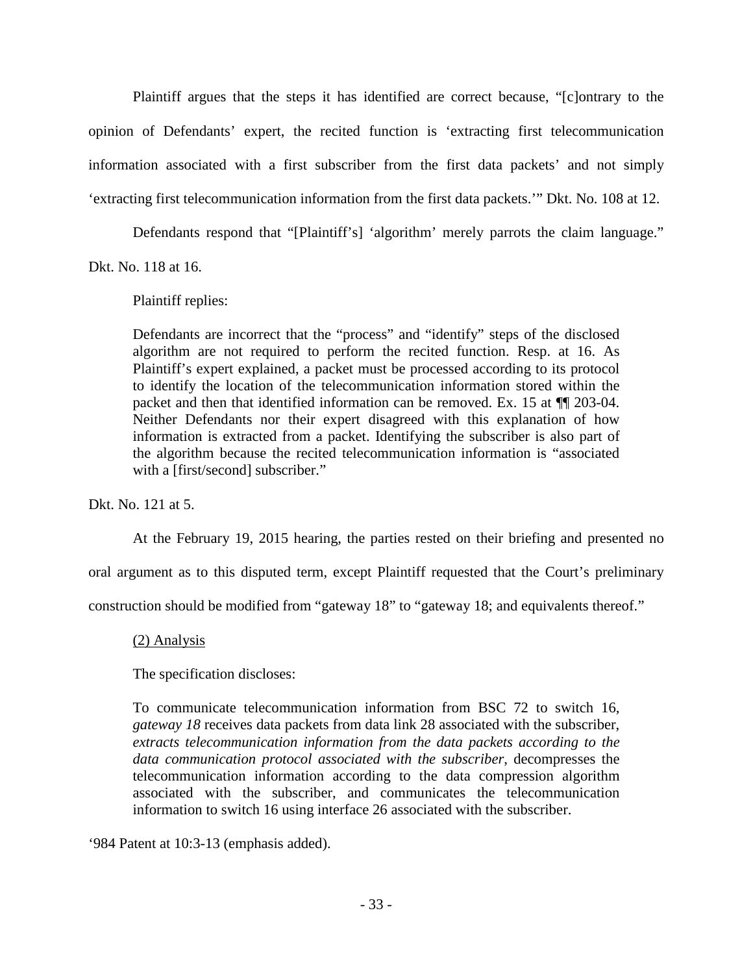Plaintiff argues that the steps it has identified are correct because, "[c]ontrary to the opinion of Defendants' expert, the recited function is 'extracting first telecommunication information associated with a first subscriber from the first data packets' and not simply 'extracting first telecommunication information from the first data packets.'" Dkt. No. 108 at 12.

Defendants respond that "[Plaintiff's] 'algorithm' merely parrots the claim language."

Dkt. No. 118 at 16.

Plaintiff replies:

Defendants are incorrect that the "process" and "identify" steps of the disclosed algorithm are not required to perform the recited function. Resp. at 16. As Plaintiff's expert explained, a packet must be processed according to its protocol to identify the location of the telecommunication information stored within the packet and then that identified information can be removed. Ex. 15 at ¶¶ 203-04. Neither Defendants nor their expert disagreed with this explanation of how information is extracted from a packet. Identifying the subscriber is also part of the algorithm because the recited telecommunication information is "associated with a [first/second] subscriber."

Dkt. No. 121 at 5.

At the February 19, 2015 hearing, the parties rested on their briefing and presented no

oral argument as to this disputed term, except Plaintiff requested that the Court's preliminary

construction should be modified from "gateway 18" to "gateway 18; and equivalents thereof."

(2) Analysis

The specification discloses:

To communicate telecommunication information from BSC 72 to switch 16, *gateway 18* receives data packets from data link 28 associated with the subscriber, *extracts telecommunication information from the data packets according to the data communication protocol associated with the subscriber*, decompresses the telecommunication information according to the data compression algorithm associated with the subscriber, and communicates the telecommunication information to switch 16 using interface 26 associated with the subscriber.

'984 Patent at 10:3-13 (emphasis added).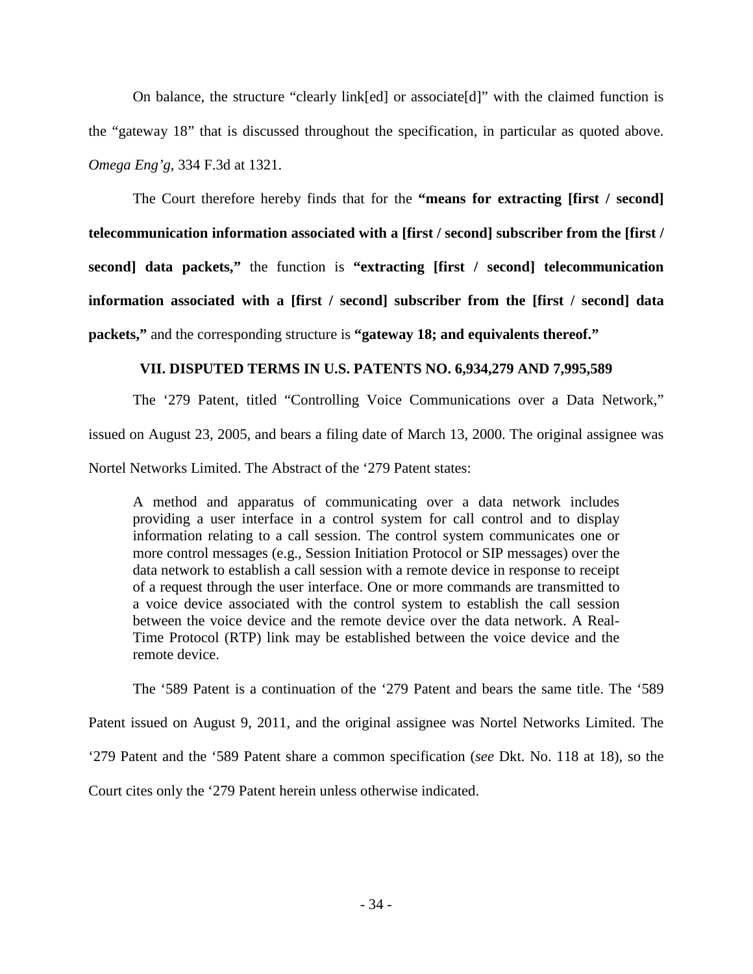On balance, the structure "clearly link[ed] or associate[d]" with the claimed function is the "gateway 18" that is discussed throughout the specification, in particular as quoted above. *Omega Eng'g*, 334 F.3d at 1321.

The Court therefore hereby finds that for the **"means for extracting [first / second] telecommunication information associated with a [first / second] subscriber from the [first / second] data packets,"** the function is **"extracting [first / second] telecommunication information associated with a [first / second] subscriber from the [first / second] data packets,"** and the corresponding structure is **"gateway 18; and equivalents thereof."**

## **VII. DISPUTED TERMS IN U.S. PATENTS NO. 6,934,279 AND 7,995,589**

<span id="page-33-0"></span>The '279 Patent, titled "Controlling Voice Communications over a Data Network," issued on August 23, 2005, and bears a filing date of March 13, 2000. The original assignee was Nortel Networks Limited. The Abstract of the '279 Patent states:

A method and apparatus of communicating over a data network includes providing a user interface in a control system for call control and to display information relating to a call session. The control system communicates one or more control messages (e.g., Session Initiation Protocol or SIP messages) over the data network to establish a call session with a remote device in response to receipt of a request through the user interface. One or more commands are transmitted to a voice device associated with the control system to establish the call session between the voice device and the remote device over the data network. A Real-Time Protocol (RTP) link may be established between the voice device and the remote device.

The '589 Patent is a continuation of the '279 Patent and bears the same title. The '589

Patent issued on August 9, 2011, and the original assignee was Nortel Networks Limited. The

'279 Patent and the '589 Patent share a common specification (*see* Dkt. No. 118 at 18), so the

Court cites only the '279 Patent herein unless otherwise indicated.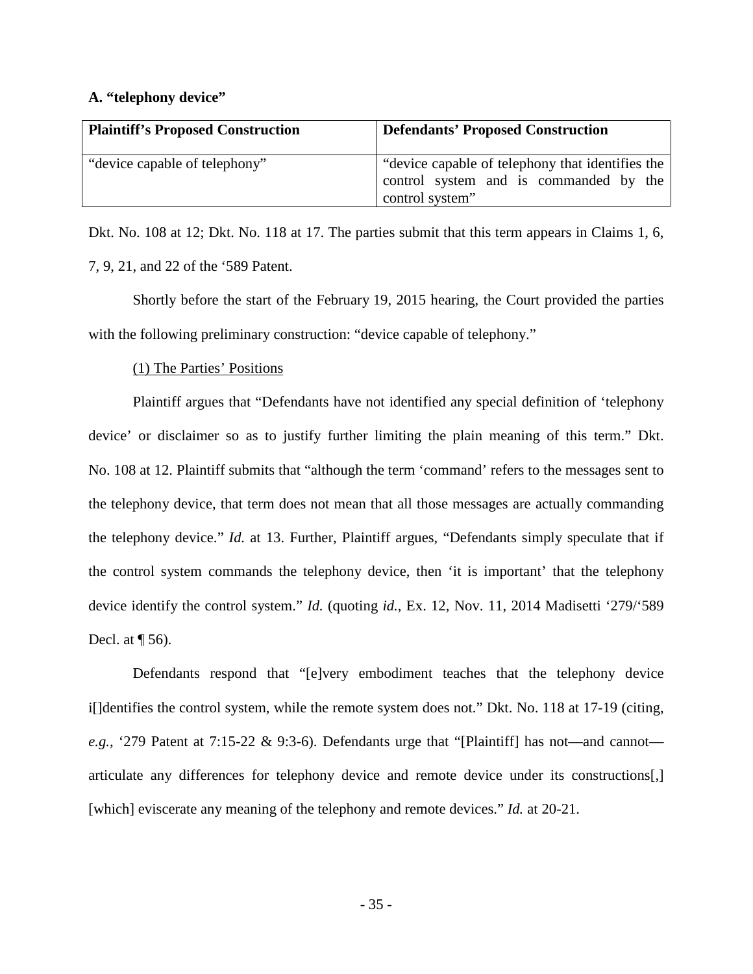#### <span id="page-34-0"></span>**A. "telephony device"**

| <b>Plaintiff's Proposed Construction</b> | <b>Defendants' Proposed Construction</b>                                                                      |
|------------------------------------------|---------------------------------------------------------------------------------------------------------------|
| "device capable of telephony"            | "device capable of telephony that identifies the<br>control system and is commanded by the<br>control system" |

Dkt. No. 108 at 12; Dkt. No. 118 at 17. The parties submit that this term appears in Claims 1, 6, 7, 9, 21, and 22 of the '589 Patent.

Shortly before the start of the February 19, 2015 hearing, the Court provided the parties with the following preliminary construction: "device capable of telephony."

#### (1) The Parties' Positions

Plaintiff argues that "Defendants have not identified any special definition of 'telephony device' or disclaimer so as to justify further limiting the plain meaning of this term." Dkt. No. 108 at 12. Plaintiff submits that "although the term 'command' refers to the messages sent to the telephony device, that term does not mean that all those messages are actually commanding the telephony device." *Id.* at 13. Further, Plaintiff argues, "Defendants simply speculate that if the control system commands the telephony device, then 'it is important' that the telephony device identify the control system." *Id.* (quoting *id.*, Ex. 12, Nov. 11, 2014 Madisetti '279/'589 Decl. at  $\P$  56).

Defendants respond that "[e]very embodiment teaches that the telephony device i[]dentifies the control system, while the remote system does not." Dkt. No. 118 at 17-19 (citing, *e.g.*, '279 Patent at 7:15-22 & 9:3-6). Defendants urge that "[Plaintiff] has not—and cannot articulate any differences for telephony device and remote device under its constructions[,] [which] eviscerate any meaning of the telephony and remote devices." *Id.* at 20-21.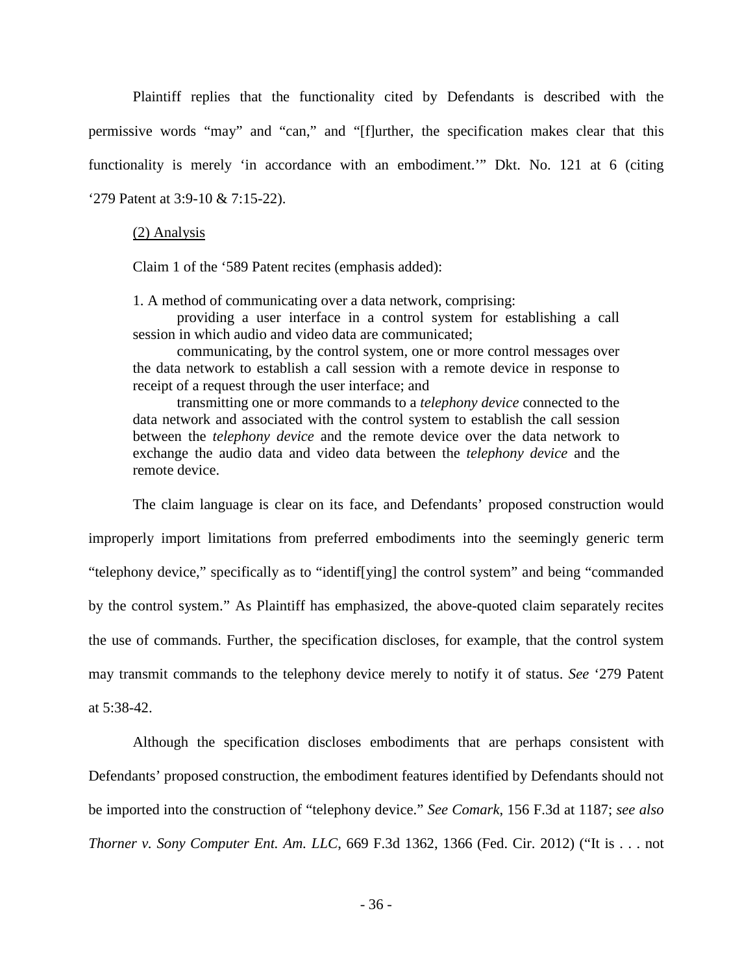Plaintiff replies that the functionality cited by Defendants is described with the permissive words "may" and "can," and "[f]urther, the specification makes clear that this functionality is merely 'in accordance with an embodiment.'" Dkt. No. 121 at 6 (citing '279 Patent at 3:9-10 & 7:15-22).

(2) Analysis

Claim 1 of the '589 Patent recites (emphasis added):

1. A method of communicating over a data network, comprising:

providing a user interface in a control system for establishing a call session in which audio and video data are communicated;

communicating, by the control system, one or more control messages over the data network to establish a call session with a remote device in response to receipt of a request through the user interface; and

transmitting one or more commands to a *telephony device* connected to the data network and associated with the control system to establish the call session between the *telephony device* and the remote device over the data network to exchange the audio data and video data between the *telephony device* and the remote device.

The claim language is clear on its face, and Defendants' proposed construction would improperly import limitations from preferred embodiments into the seemingly generic term "telephony device," specifically as to "identif[ying] the control system" and being "commanded by the control system." As Plaintiff has emphasized, the above-quoted claim separately recites the use of commands. Further, the specification discloses, for example, that the control system may transmit commands to the telephony device merely to notify it of status. *See* '279 Patent at 5:38-42.

Although the specification discloses embodiments that are perhaps consistent with Defendants' proposed construction, the embodiment features identified by Defendants should not be imported into the construction of "telephony device." *See Comark*, 156 F.3d at 1187; *see also Thorner v. Sony Computer Ent. Am. LLC*, 669 F.3d 1362, 1366 (Fed. Cir. 2012) ("It is . . . not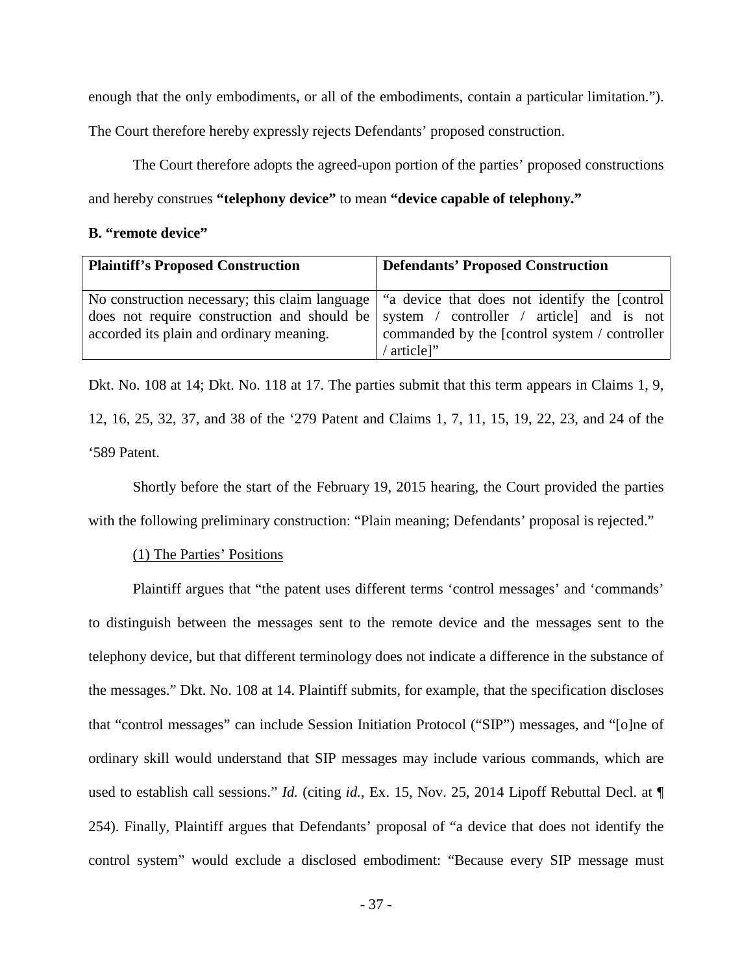enough that the only embodiments, or all of the embodiments, contain a particular limitation.").

The Court therefore hereby expressly rejects Defendants' proposed construction.

The Court therefore adopts the agreed-upon portion of the parties' proposed constructions and hereby construes **"telephony device"** to mean **"device capable of telephony."**

### <span id="page-36-0"></span>**B. "remote device"**

| <b>Plaintiff's Proposed Construction</b> | <b>Defendants' Proposed Construction</b>                                                                                                                                                                                                                |
|------------------------------------------|---------------------------------------------------------------------------------------------------------------------------------------------------------------------------------------------------------------------------------------------------------|
| accorded its plain and ordinary meaning. | No construction necessary; this claim language   "a device that does not identify the [control]<br>does not require construction and should be system / controller / article and is not<br>commanded by the [control system / controller<br>' article]" |

Dkt. No. 108 at 14; Dkt. No. 118 at 17. The parties submit that this term appears in Claims 1, 9, 12, 16, 25, 32, 37, and 38 of the '279 Patent and Claims 1, 7, 11, 15, 19, 22, 23, and 24 of the '589 Patent.

Shortly before the start of the February 19, 2015 hearing, the Court provided the parties with the following preliminary construction: "Plain meaning; Defendants' proposal is rejected."

## (1) The Parties' Positions

Plaintiff argues that "the patent uses different terms 'control messages' and 'commands' to distinguish between the messages sent to the remote device and the messages sent to the telephony device, but that different terminology does not indicate a difference in the substance of the messages." Dkt. No. 108 at 14. Plaintiff submits, for example, that the specification discloses that "control messages" can include Session Initiation Protocol ("SIP") messages, and "[o]ne of ordinary skill would understand that SIP messages may include various commands, which are used to establish call sessions." *Id.* (citing *id.*, Ex. 15, Nov. 25, 2014 Lipoff Rebuttal Decl. at ¶ 254). Finally, Plaintiff argues that Defendants' proposal of "a device that does not identify the control system" would exclude a disclosed embodiment: "Because every SIP message must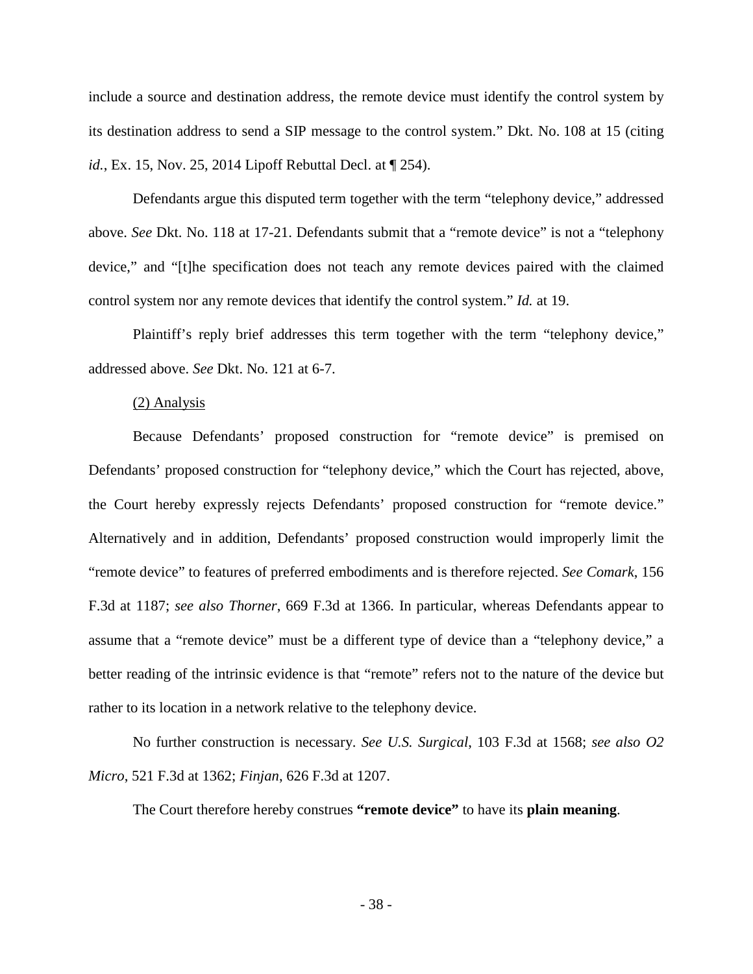include a source and destination address, the remote device must identify the control system by its destination address to send a SIP message to the control system." Dkt. No. 108 at 15 (citing *id.*, Ex. 15, Nov. 25, 2014 Lipoff Rebuttal Decl. at ¶ 254).

Defendants argue this disputed term together with the term "telephony device," addressed above. *See* Dkt. No. 118 at 17-21. Defendants submit that a "remote device" is not a "telephony device," and "[t]he specification does not teach any remote devices paired with the claimed control system nor any remote devices that identify the control system." *Id.* at 19.

Plaintiff's reply brief addresses this term together with the term "telephony device," addressed above. *See* Dkt. No. 121 at 6-7.

#### (2) Analysis

Because Defendants' proposed construction for "remote device" is premised on Defendants' proposed construction for "telephony device," which the Court has rejected, above, the Court hereby expressly rejects Defendants' proposed construction for "remote device." Alternatively and in addition, Defendants' proposed construction would improperly limit the "remote device" to features of preferred embodiments and is therefore rejected. *See Comark*, 156 F.3d at 1187; *see also Thorner*, 669 F.3d at 1366. In particular, whereas Defendants appear to assume that a "remote device" must be a different type of device than a "telephony device," a better reading of the intrinsic evidence is that "remote" refers not to the nature of the device but rather to its location in a network relative to the telephony device.

No further construction is necessary. *See U.S. Surgical*, 103 F.3d at 1568; *see also O2 Micro*, 521 F.3d at 1362; *Finjan*, 626 F.3d at 1207.

The Court therefore hereby construes **"remote device"** to have its **plain meaning**.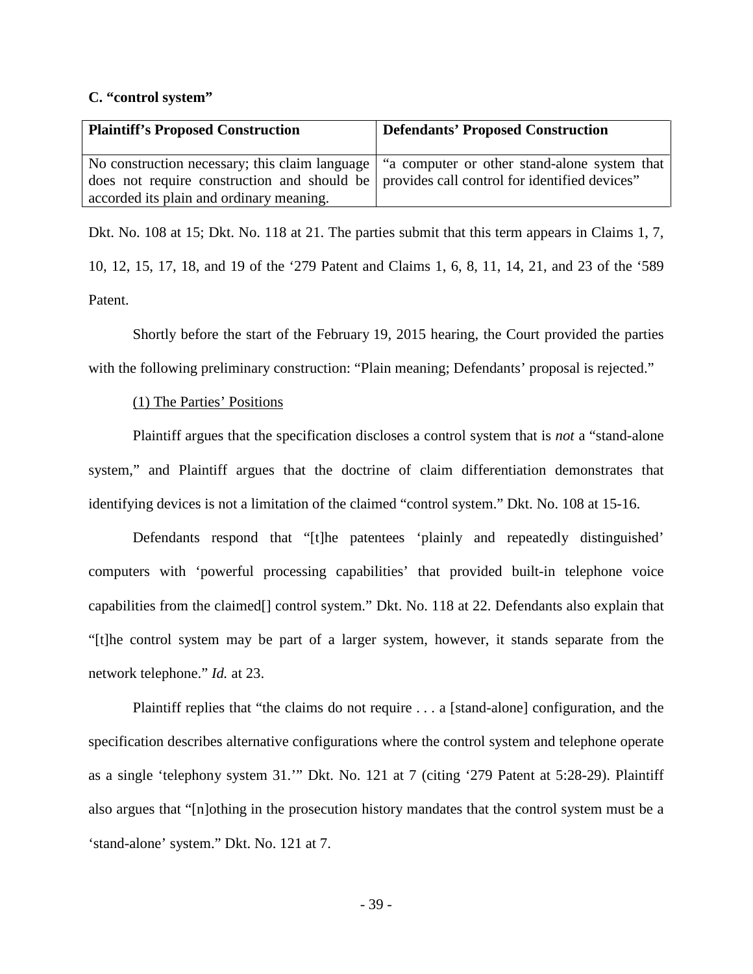#### <span id="page-38-0"></span>**C. "control system"**

| <b>Plaintiff's Proposed Construction</b>                                                      | <b>Defendants' Proposed Construction</b> |
|-----------------------------------------------------------------------------------------------|------------------------------------------|
| No construction necessary; this claim language   "a computer or other stand-alone system that |                                          |
| does not require construction and should be provides call control for identified devices"     |                                          |
| accorded its plain and ordinary meaning.                                                      |                                          |

Dkt. No. 108 at 15; Dkt. No. 118 at 21. The parties submit that this term appears in Claims 1, 7, 10, 12, 15, 17, 18, and 19 of the '279 Patent and Claims 1, 6, 8, 11, 14, 21, and 23 of the '589 Patent.

Shortly before the start of the February 19, 2015 hearing, the Court provided the parties with the following preliminary construction: "Plain meaning; Defendants' proposal is rejected."

### (1) The Parties' Positions

Plaintiff argues that the specification discloses a control system that is *not* a "stand-alone system," and Plaintiff argues that the doctrine of claim differentiation demonstrates that identifying devices is not a limitation of the claimed "control system." Dkt. No. 108 at 15-16.

Defendants respond that "[t]he patentees 'plainly and repeatedly distinguished' computers with 'powerful processing capabilities' that provided built-in telephone voice capabilities from the claimed[] control system." Dkt. No. 118 at 22. Defendants also explain that "[t]he control system may be part of a larger system, however, it stands separate from the network telephone." *Id.* at 23.

Plaintiff replies that "the claims do not require . . . a [stand-alone] configuration, and the specification describes alternative configurations where the control system and telephone operate as a single 'telephony system 31.'" Dkt. No. 121 at 7 (citing '279 Patent at 5:28-29). Plaintiff also argues that "[n]othing in the prosecution history mandates that the control system must be a 'stand-alone' system." Dkt. No. 121 at 7.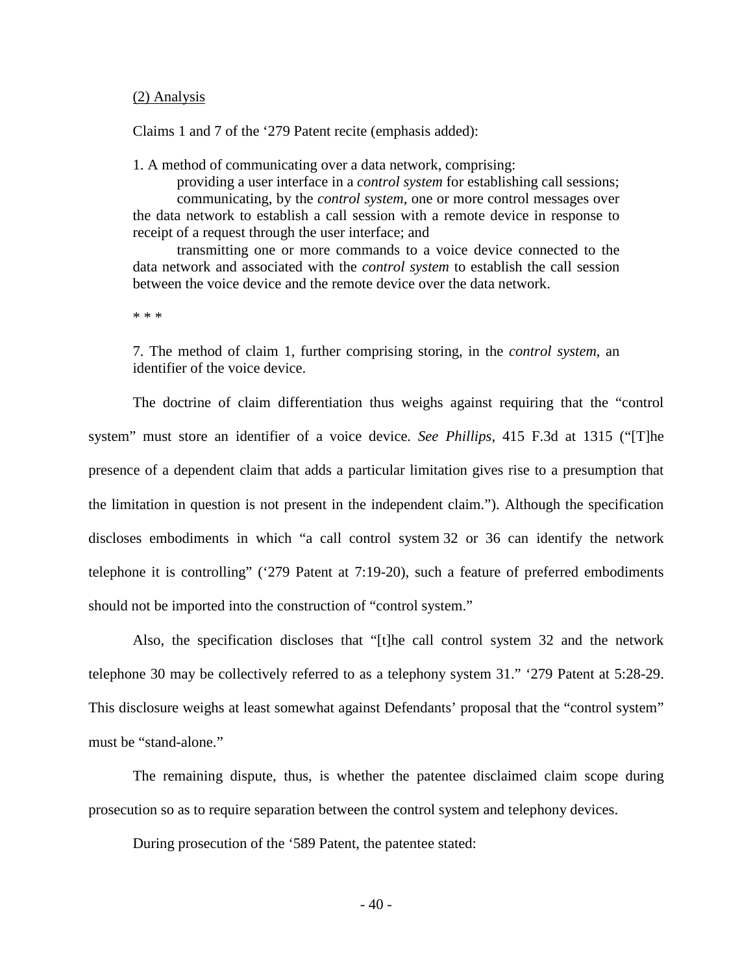#### (2) Analysis

Claims 1 and 7 of the '279 Patent recite (emphasis added):

1. A method of communicating over a data network, comprising:

 providing a user interface in a *control system* for establishing call sessions; communicating, by the *control system*, one or more control messages over the data network to establish a call session with a remote device in response to receipt of a request through the user interface; and

transmitting one or more commands to a voice device connected to the data network and associated with the *control system* to establish the call session between the voice device and the remote device over the data network.

\* \* \*

7. The method of claim 1, further comprising storing, in the *control system*, an identifier of the voice device.

The doctrine of claim differentiation thus weighs against requiring that the "control system" must store an identifier of a voice device. *See Phillips*, 415 F.3d at 1315 ("[T]he presence of a dependent claim that adds a particular limitation gives rise to a presumption that the limitation in question is not present in the independent claim."). Although the specification discloses embodiments in which "a call control system 32 or 36 can identify the network telephone it is controlling" ('279 Patent at 7:19-20), such a feature of preferred embodiments should not be imported into the construction of "control system."

 Also, the specification discloses that "[t]he call control system 32 and the network telephone 30 may be collectively referred to as a telephony system 31." '279 Patent at 5:28-29. This disclosure weighs at least somewhat against Defendants' proposal that the "control system" must be "stand-alone."

The remaining dispute, thus, is whether the patentee disclaimed claim scope during prosecution so as to require separation between the control system and telephony devices.

During prosecution of the '589 Patent, the patentee stated: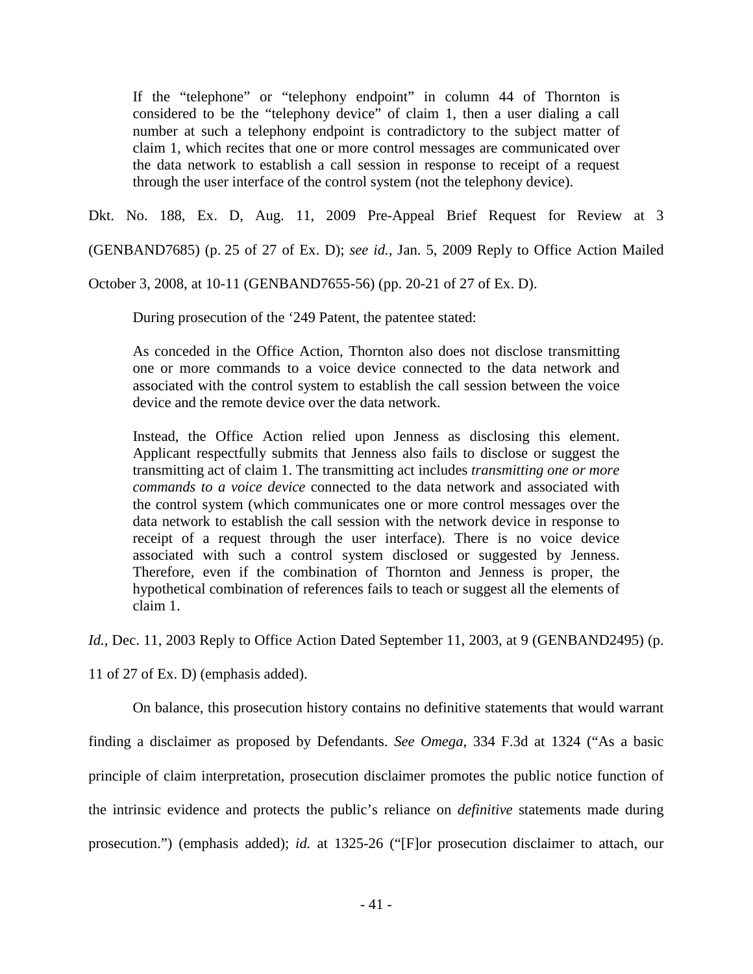If the "telephone" or "telephony endpoint" in column 44 of Thornton is considered to be the "telephony device" of claim 1, then a user dialing a call number at such a telephony endpoint is contradictory to the subject matter of claim 1, which recites that one or more control messages are communicated over the data network to establish a call session in response to receipt of a request through the user interface of the control system (not the telephony device).

Dkt. No. 188, Ex. D, Aug. 11, 2009 Pre-Appeal Brief Request for Review at 3

(GENBAND7685) (p. 25 of 27 of Ex. D); *see id.*, Jan. 5, 2009 Reply to Office Action Mailed

October 3, 2008, at 10-11 (GENBAND7655-56) (pp. 20-21 of 27 of Ex. D).

During prosecution of the '249 Patent, the patentee stated:

As conceded in the Office Action, Thornton also does not disclose transmitting one or more commands to a voice device connected to the data network and associated with the control system to establish the call session between the voice device and the remote device over the data network.

Instead, the Office Action relied upon Jenness as disclosing this element. Applicant respectfully submits that Jenness also fails to disclose or suggest the transmitting act of claim 1. The transmitting act includes *transmitting one or more commands to a voice device* connected to the data network and associated with the control system (which communicates one or more control messages over the data network to establish the call session with the network device in response to receipt of a request through the user interface). There is no voice device associated with such a control system disclosed or suggested by Jenness. Therefore, even if the combination of Thornton and Jenness is proper, the hypothetical combination of references fails to teach or suggest all the elements of claim 1.

*Id.*, Dec. 11, 2003 Reply to Office Action Dated September 11, 2003, at 9 (GENBAND2495) (p.

11 of 27 of Ex. D) (emphasis added).

On balance, this prosecution history contains no definitive statements that would warrant

finding a disclaimer as proposed by Defendants. *See Omega*, 334 F.3d at 1324 ("As a basic

principle of claim interpretation, prosecution disclaimer promotes the public notice function of

the intrinsic evidence and protects the public's reliance on *definitive* statements made during

prosecution.") (emphasis added); *id.* at 1325-26 ("[F]or prosecution disclaimer to attach, our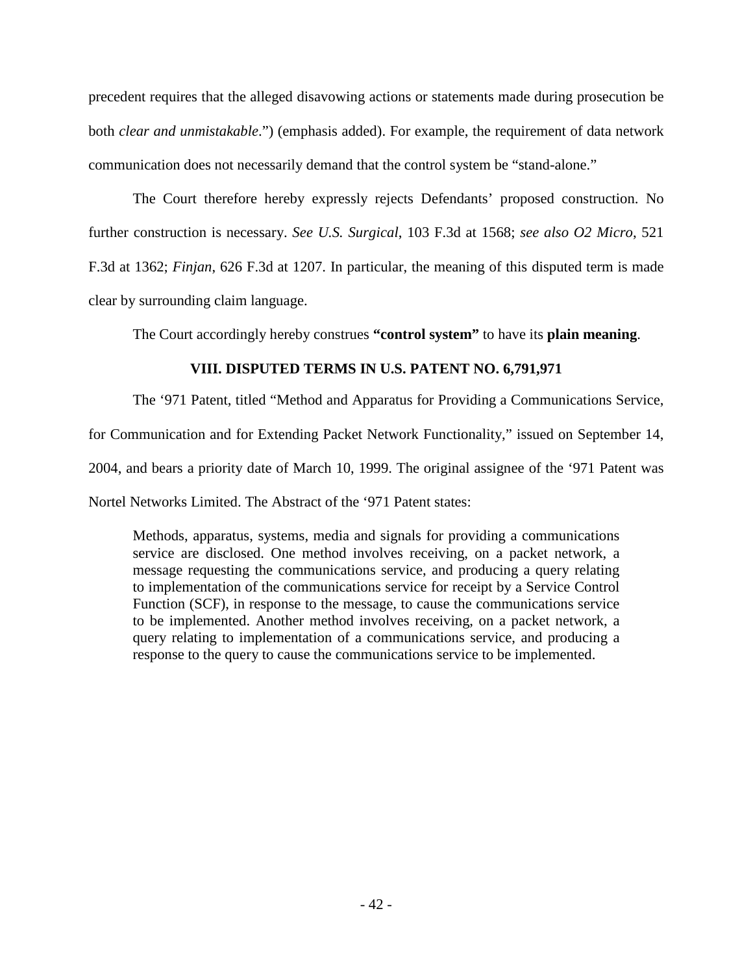precedent requires that the alleged disavowing actions or statements made during prosecution be both *clear and unmistakable*.") (emphasis added). For example, the requirement of data network communication does not necessarily demand that the control system be "stand-alone."

The Court therefore hereby expressly rejects Defendants' proposed construction. No further construction is necessary. *See U.S. Surgical*, 103 F.3d at 1568; *see also O2 Micro*, 521 F.3d at 1362; *Finjan*, 626 F.3d at 1207. In particular, the meaning of this disputed term is made clear by surrounding claim language.

The Court accordingly hereby construes **"control system"** to have its **plain meaning**.

## **VIII. DISPUTED TERMS IN U.S. PATENT NO. 6,791,971**

<span id="page-41-0"></span>The '971 Patent, titled "Method and Apparatus for Providing a Communications Service,

for Communication and for Extending Packet Network Functionality," issued on September 14,

2004, and bears a priority date of March 10, 1999. The original assignee of the '971 Patent was

Nortel Networks Limited. The Abstract of the '971 Patent states:

Methods, apparatus, systems, media and signals for providing a communications service are disclosed. One method involves receiving, on a packet network, a message requesting the communications service, and producing a query relating to implementation of the communications service for receipt by a Service Control Function (SCF), in response to the message, to cause the communications service to be implemented. Another method involves receiving, on a packet network, a query relating to implementation of a communications service, and producing a response to the query to cause the communications service to be implemented.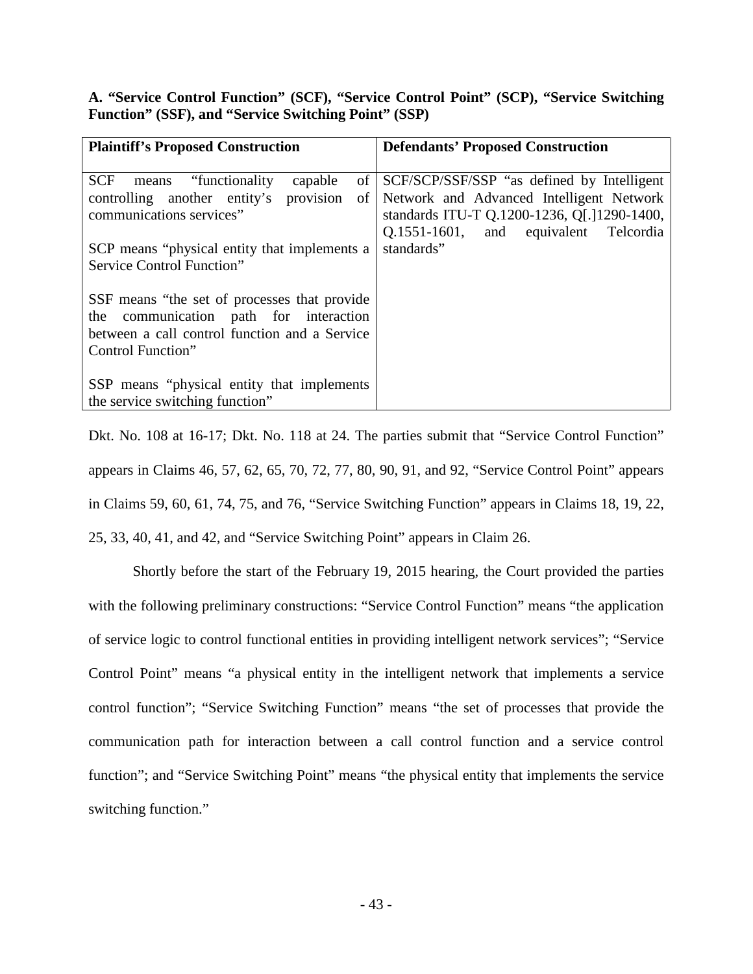<span id="page-42-0"></span>**A. "Service Control Function" (SCF), "Service Control Point" (SCP), "Service Switching Function" (SSF), and "Service Switching Point" (SSP)**

| <b>Plaintiff's Proposed Construction</b>                                                                                                                                                                                                        | <b>Defendants' Proposed Construction</b>                                                                                                                                                     |
|-------------------------------------------------------------------------------------------------------------------------------------------------------------------------------------------------------------------------------------------------|----------------------------------------------------------------------------------------------------------------------------------------------------------------------------------------------|
| SCF<br>means "functionality"<br>of<br>capable<br>provision<br>controlling another entity's<br>of<br>communications services"<br>SCP means "physical entity that implements a<br>Service Control Function"                                       | SCF/SCP/SSF/SSP "as defined by Intelligent<br>Network and Advanced Intelligent Network<br>standards ITU-T Q.1200-1236, Q[.]1290-1400,<br>Q.1551-1601, and equivalent Telcordia<br>standards" |
| SSF means "the set of processes that provide"<br>the communication path for interaction<br>between a call control function and a Service<br>Control Function"<br>SSP means "physical entity that implements"<br>the service switching function" |                                                                                                                                                                                              |

Dkt. No. 108 at 16-17; Dkt. No. 118 at 24. The parties submit that "Service Control Function" appears in Claims 46, 57, 62, 65, 70, 72, 77, 80, 90, 91, and 92, "Service Control Point" appears in Claims 59, 60, 61, 74, 75, and 76, "Service Switching Function" appears in Claims 18, 19, 22, 25, 33, 40, 41, and 42, and "Service Switching Point" appears in Claim 26.

Shortly before the start of the February 19, 2015 hearing, the Court provided the parties with the following preliminary constructions: "Service Control Function" means "the application of service logic to control functional entities in providing intelligent network services"; "Service Control Point" means "a physical entity in the intelligent network that implements a service control function"; "Service Switching Function" means "the set of processes that provide the communication path for interaction between a call control function and a service control function"; and "Service Switching Point" means "the physical entity that implements the service switching function."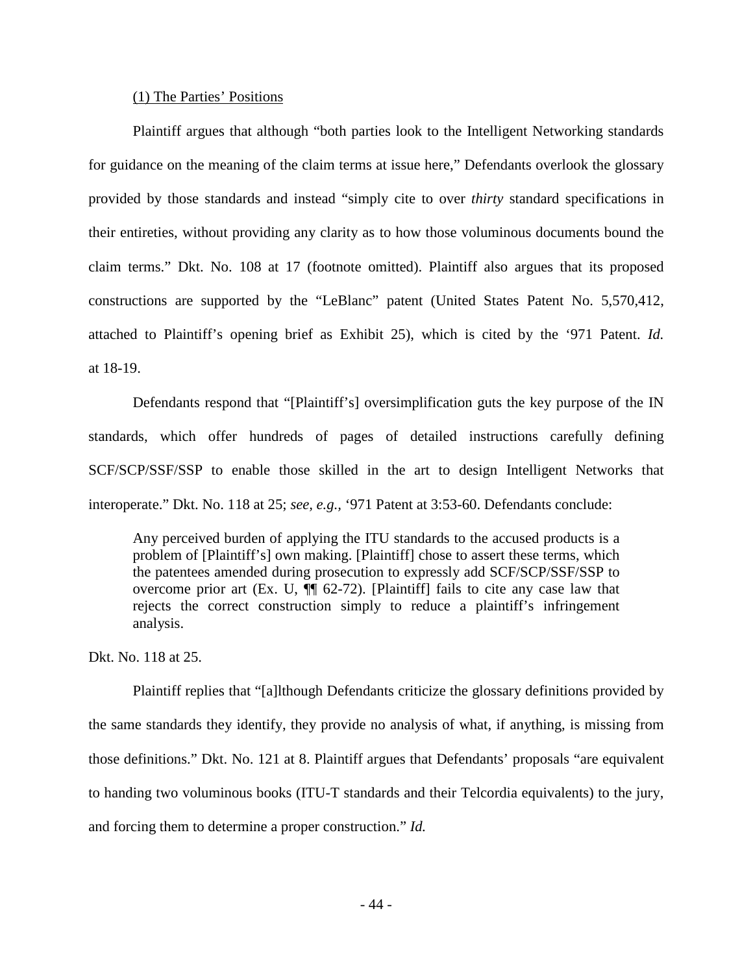#### (1) The Parties' Positions

Plaintiff argues that although "both parties look to the Intelligent Networking standards for guidance on the meaning of the claim terms at issue here," Defendants overlook the glossary provided by those standards and instead "simply cite to over *thirty* standard specifications in their entireties, without providing any clarity as to how those voluminous documents bound the claim terms." Dkt. No. 108 at 17 (footnote omitted). Plaintiff also argues that its proposed constructions are supported by the "LeBlanc" patent (United States Patent No. 5,570,412, attached to Plaintiff's opening brief as Exhibit 25), which is cited by the '971 Patent. *Id.* at 18-19.

Defendants respond that "[Plaintiff's] oversimplification guts the key purpose of the IN standards, which offer hundreds of pages of detailed instructions carefully defining SCF/SCP/SSF/SSP to enable those skilled in the art to design Intelligent Networks that interoperate." Dkt. No. 118 at 25; *see, e.g.,* '971 Patent at 3:53-60. Defendants conclude:

Any perceived burden of applying the ITU standards to the accused products is a problem of [Plaintiff's] own making. [Plaintiff] chose to assert these terms, which the patentees amended during prosecution to expressly add SCF/SCP/SSF/SSP to overcome prior art (Ex. U,  $\P$  $[62-72)$ . [Plaintiff] fails to cite any case law that rejects the correct construction simply to reduce a plaintiff's infringement analysis.

Dkt. No. 118 at 25.

Plaintiff replies that "[a]lthough Defendants criticize the glossary definitions provided by the same standards they identify, they provide no analysis of what, if anything, is missing from those definitions." Dkt. No. 121 at 8. Plaintiff argues that Defendants' proposals "are equivalent to handing two voluminous books (ITU-T standards and their Telcordia equivalents) to the jury, and forcing them to determine a proper construction." *Id.*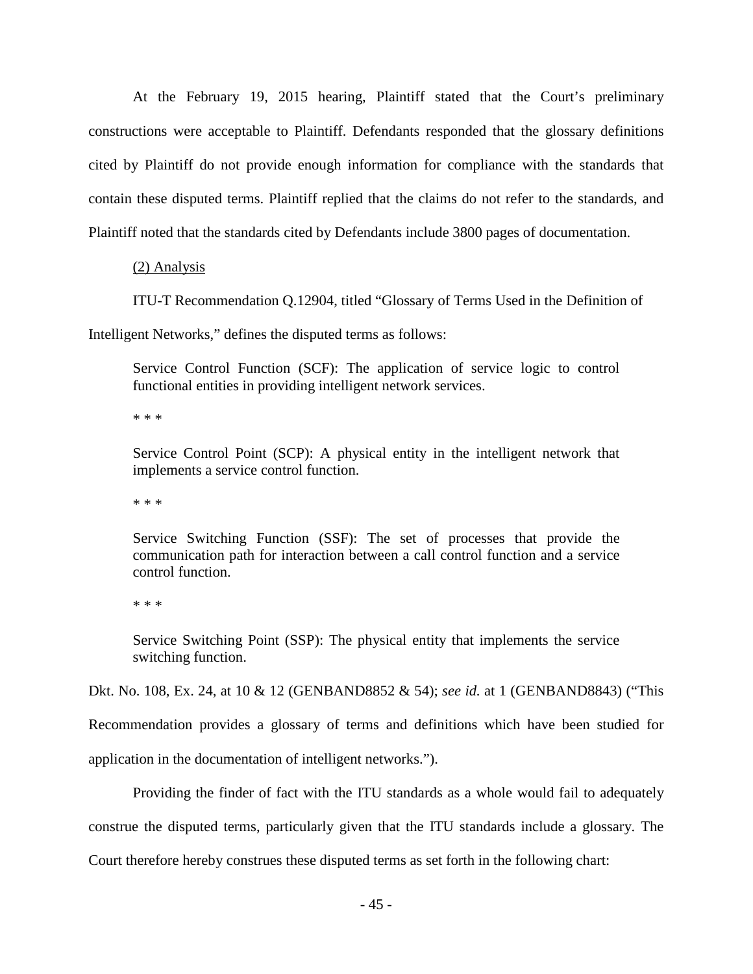At the February 19, 2015 hearing, Plaintiff stated that the Court's preliminary constructions were acceptable to Plaintiff. Defendants responded that the glossary definitions cited by Plaintiff do not provide enough information for compliance with the standards that contain these disputed terms. Plaintiff replied that the claims do not refer to the standards, and Plaintiff noted that the standards cited by Defendants include 3800 pages of documentation.

### (2) Analysis

ITU-T Recommendation Q.12904, titled "Glossary of Terms Used in the Definition of

Intelligent Networks," defines the disputed terms as follows:

Service Control Function (SCF): The application of service logic to control functional entities in providing intelligent network services.

\* \* \*

Service Control Point (SCP): A physical entity in the intelligent network that implements a service control function.

\* \* \*

Service Switching Function (SSF): The set of processes that provide the communication path for interaction between a call control function and a service control function.

\* \* \*

Service Switching Point (SSP): The physical entity that implements the service switching function.

Dkt. No. 108, Ex. 24, at 10 & 12 (GENBAND8852 & 54); *see id.* at 1 (GENBAND8843) ("This

Recommendation provides a glossary of terms and definitions which have been studied for

application in the documentation of intelligent networks.").

Providing the finder of fact with the ITU standards as a whole would fail to adequately

construe the disputed terms, particularly given that the ITU standards include a glossary. The

Court therefore hereby construes these disputed terms as set forth in the following chart: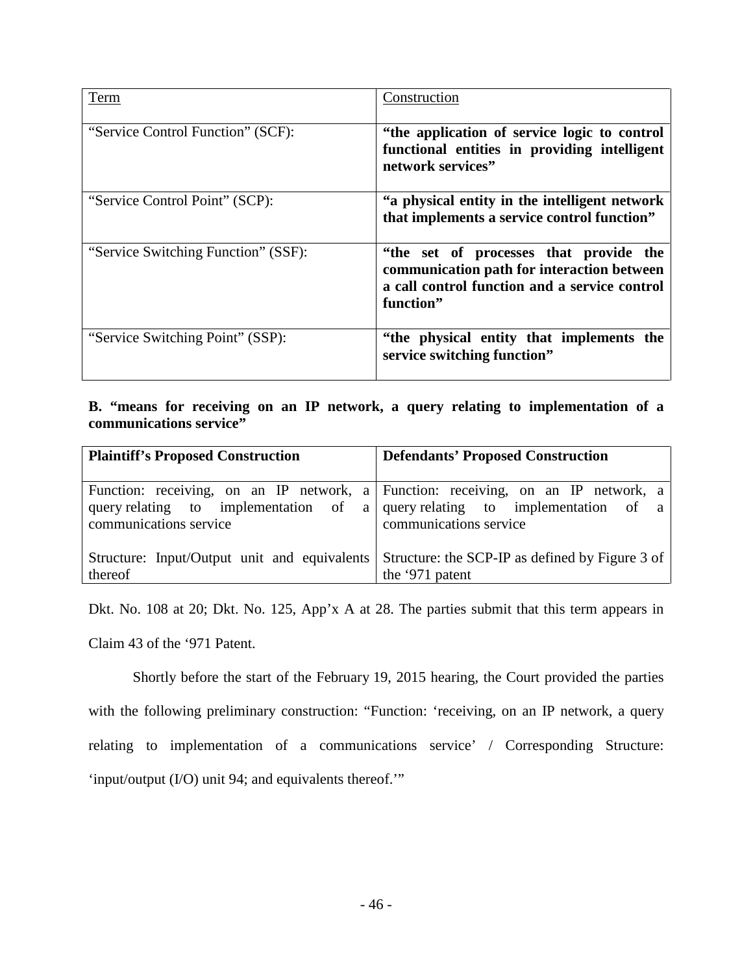| <b>Term</b>                         | Construction                                                                                                                                       |
|-------------------------------------|----------------------------------------------------------------------------------------------------------------------------------------------------|
| "Service Control Function" (SCF):   | "the application of service logic to control<br>functional entities in providing intelligent<br>network services"                                  |
| "Service Control Point" (SCP):      | "a physical entity in the intelligent network<br>that implements a service control function"                                                       |
| "Service Switching Function" (SSF): | "the set of processes that provide the<br>communication path for interaction between<br>a call control function and a service control<br>function" |
| "Service Switching Point" (SSP):    | "the physical entity that implements the<br>service switching function"                                                                            |

## <span id="page-45-0"></span>**B. "means for receiving on an IP network, a query relating to implementation of a communications service"**

| <b>Plaintiff's Proposed Construction</b>                | <b>Defendants' Proposed Construction</b>                                                                                                                                                   |
|---------------------------------------------------------|--------------------------------------------------------------------------------------------------------------------------------------------------------------------------------------------|
| communications service                                  | Function: receiving, on an IP network, a Function: receiving, on an IP network, a<br>query relating to implementation of a query relating to implementation of a<br>communications service |
| Structure: Input/Output unit and equivalents<br>thereof | Structure: the SCP-IP as defined by Figure 3 of<br>the '971 patent                                                                                                                         |

Dkt. No. 108 at 20; Dkt. No. 125, App'x A at 28. The parties submit that this term appears in

Claim 43 of the '971 Patent.

Shortly before the start of the February 19, 2015 hearing, the Court provided the parties with the following preliminary construction: "Function: 'receiving, on an IP network, a query relating to implementation of a communications service' / Corresponding Structure: 'input/output (I/O) unit 94; and equivalents thereof.'"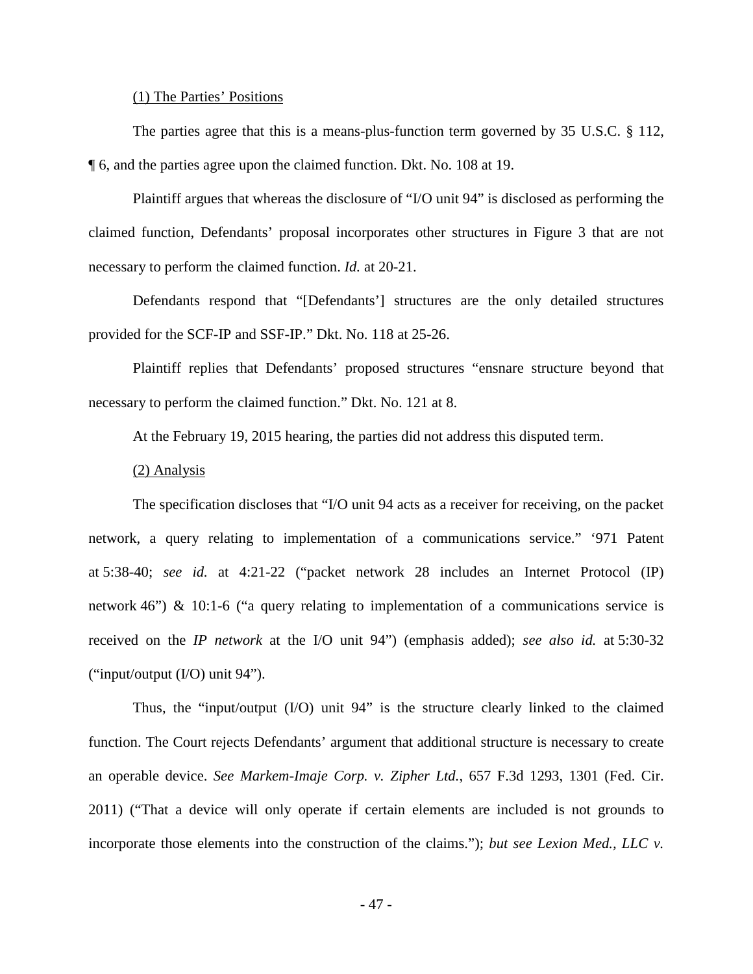#### (1) The Parties' Positions

The parties agree that this is a means-plus-function term governed by 35 U.S.C. § 112, ¶ 6, and the parties agree upon the claimed function. Dkt. No. 108 at 19.

 Plaintiff argues that whereas the disclosure of "I/O unit 94" is disclosed as performing the claimed function, Defendants' proposal incorporates other structures in Figure 3 that are not necessary to perform the claimed function. *Id.* at 20-21.

Defendants respond that "[Defendants'] structures are the only detailed structures provided for the SCF-IP and SSF-IP." Dkt. No. 118 at 25-26.

Plaintiff replies that Defendants' proposed structures "ensnare structure beyond that necessary to perform the claimed function." Dkt. No. 121 at 8.

At the February 19, 2015 hearing, the parties did not address this disputed term.

#### (2) Analysis

The specification discloses that "I/O unit 94 acts as a receiver for receiving, on the packet network, a query relating to implementation of a communications service." '971 Patent at 5:38-40; *see id.* at 4:21-22 ("packet network 28 includes an Internet Protocol (IP) network 46") & 10:1-6 ("a query relating to implementation of a communications service is received on the *IP network* at the I/O unit 94") (emphasis added); *see also id.* at 5:30-32 ("input/output (I/O) unit 94").

 Thus, the "input/output (I/O) unit 94" is the structure clearly linked to the claimed function. The Court rejects Defendants' argument that additional structure is necessary to create an operable device. *See Markem-Imaje Corp. v. Zipher Ltd.*, 657 F.3d 1293, 1301 (Fed. Cir. 2011) ("That a device will only operate if certain elements are included is not grounds to incorporate those elements into the construction of the claims."); *but see Lexion Med., LLC v.*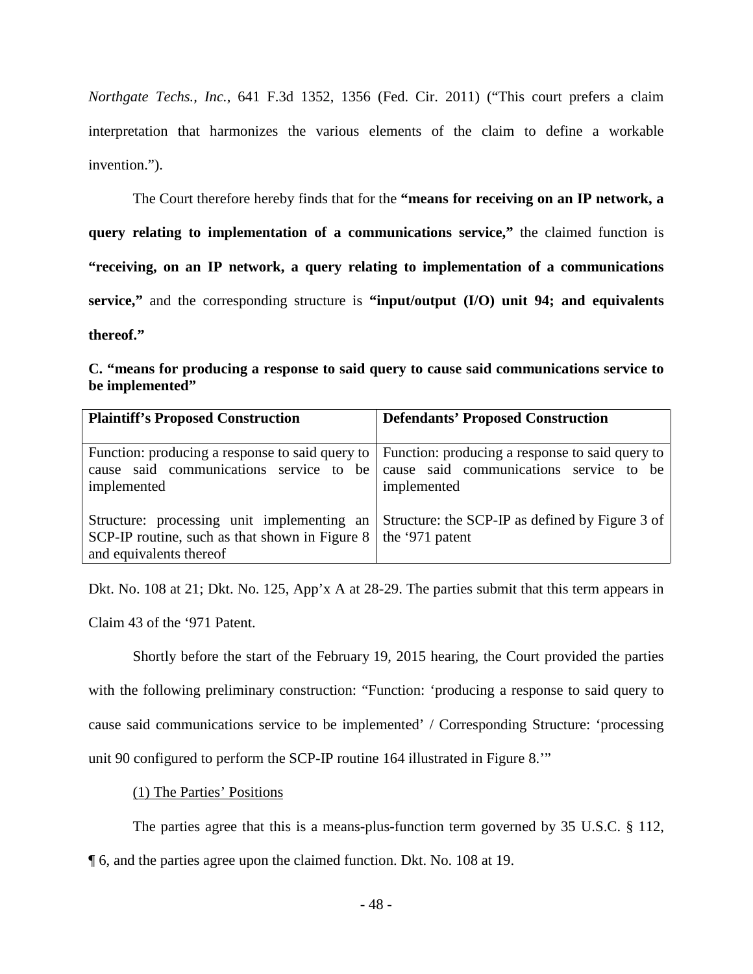*Northgate Techs., Inc.*, 641 F.3d 1352, 1356 (Fed. Cir. 2011) ("This court prefers a claim interpretation that harmonizes the various elements of the claim to define a workable invention.").

The Court therefore hereby finds that for the **"means for receiving on an IP network, a query relating to implementation of a communications service,"** the claimed function is **"receiving, on an IP network, a query relating to implementation of a communications service,"** and the corresponding structure is **"input/output (I/O) unit 94; and equivalents thereof."**

<span id="page-47-0"></span>

|                 | C. "means for producing a response to said query to cause said communications service to |  |  |
|-----------------|------------------------------------------------------------------------------------------|--|--|
| be implemented" |                                                                                          |  |  |

| <b>Plaintiff's Proposed Construction</b>                                                                                | <b>Defendants' Proposed Construction</b>                                                                  |
|-------------------------------------------------------------------------------------------------------------------------|-----------------------------------------------------------------------------------------------------------|
|                                                                                                                         |                                                                                                           |
| Function: producing a response to said query to<br>cause said communications service to be<br>implemented               | Function: producing a response to said query to<br>cause said communications service to be<br>implemented |
| Structure: processing unit implementing an<br>SCP-IP routine, such as that shown in Figure 8<br>and equivalents thereof | Structure: the SCP-IP as defined by Figure 3 of<br>the '971 patent                                        |

Dkt. No. 108 at 21; Dkt. No. 125, App'x A at 28-29. The parties submit that this term appears in Claim 43 of the '971 Patent.

Shortly before the start of the February 19, 2015 hearing, the Court provided the parties with the following preliminary construction: "Function: 'producing a response to said query to cause said communications service to be implemented' / Corresponding Structure: 'processing unit 90 configured to perform the SCP-IP routine 164 illustrated in Figure 8.'"

(1) The Parties' Positions

The parties agree that this is a means-plus-function term governed by 35 U.S.C. § 112,

¶ 6, and the parties agree upon the claimed function. Dkt. No. 108 at 19.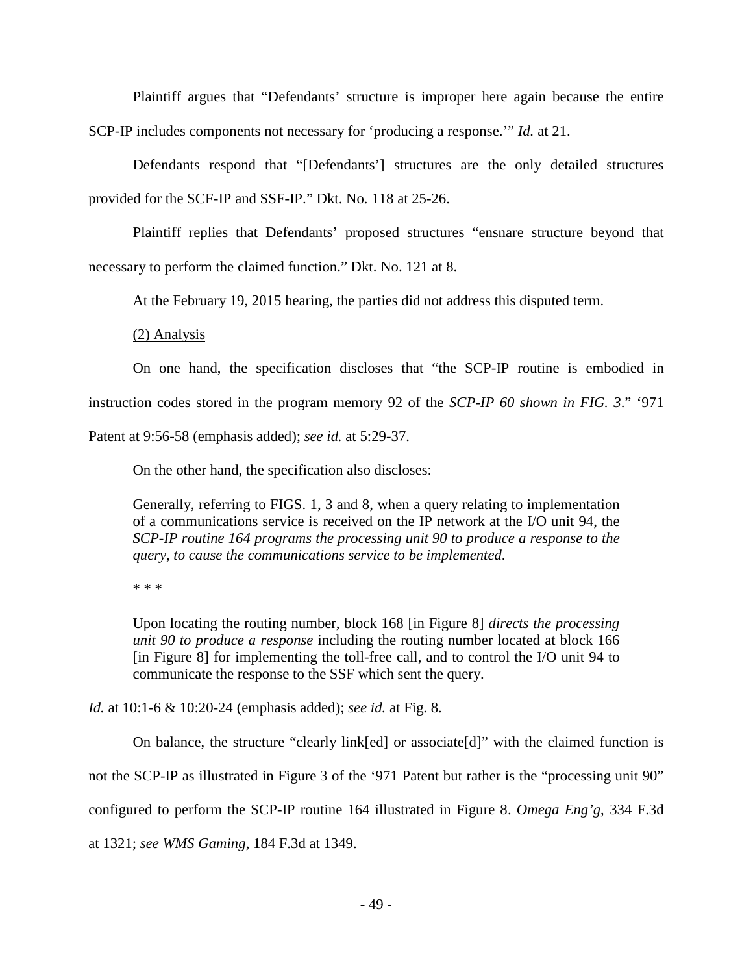Plaintiff argues that "Defendants' structure is improper here again because the entire SCP-IP includes components not necessary for 'producing a response.'" *Id.* at 21.

Defendants respond that "[Defendants'] structures are the only detailed structures provided for the SCF-IP and SSF-IP." Dkt. No. 118 at 25-26.

Plaintiff replies that Defendants' proposed structures "ensnare structure beyond that necessary to perform the claimed function." Dkt. No. 121 at 8.

At the February 19, 2015 hearing, the parties did not address this disputed term.

(2) Analysis

On one hand, the specification discloses that "the SCP-IP routine is embodied in instruction codes stored in the program memory 92 of the *SCP-IP 60 shown in FIG. 3*." '971 Patent at 9:56-58 (emphasis added); *see id.* at 5:29-37.

On the other hand, the specification also discloses:

Generally, referring to FIGS. 1, 3 and 8, when a query relating to implementation of a communications service is received on the IP network at the I/O unit 94, the *SCP-IP routine 164 programs the processing unit 90 to produce a response to the query, to cause the communications service to be implemented*.

\* \* \*

Upon locating the routing number, block 168 [in Figure 8] *directs the processing unit 90 to produce a response* including the routing number located at block 166 [in Figure 8] for implementing the toll-free call, and to control the I/O unit 94 to communicate the response to the SSF which sent the query.

*Id.* at 10:1-6 & 10:20-24 (emphasis added); *see id.* at Fig. 8.

On balance, the structure "clearly link[ed] or associate[d]" with the claimed function is not the SCP-IP as illustrated in Figure 3 of the '971 Patent but rather is the "processing unit 90" configured to perform the SCP-IP routine 164 illustrated in Figure 8. *Omega Eng'g*, 334 F.3d at 1321; *see WMS Gaming*, 184 F.3d at 1349.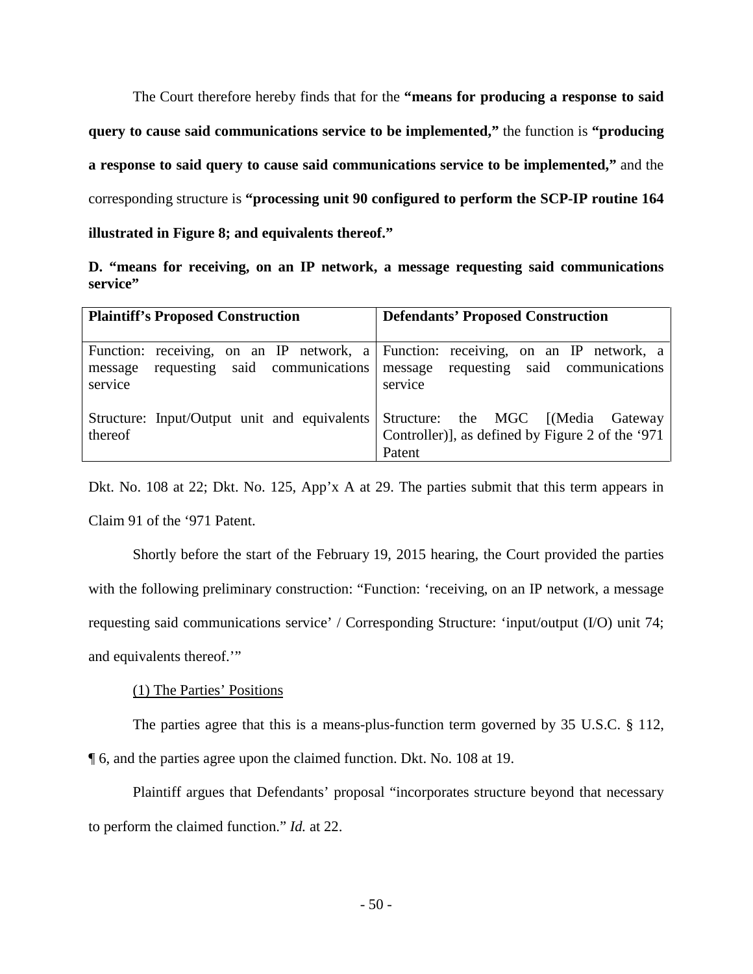The Court therefore hereby finds that for the **"means for producing a response to said query to cause said communications service to be implemented,"** the function is **"producing a response to said query to cause said communications service to be implemented,"** and the corresponding structure is **"processing unit 90 configured to perform the SCP-IP routine 164 illustrated in Figure 8; and equivalents thereof."**

<span id="page-49-0"></span>**D. "means for receiving, on an IP network, a message requesting said communications service"**

| <b>Plaintiff's Proposed Construction</b>                                          | <b>Defendants' Proposed Construction</b>                                                        |  |  |
|-----------------------------------------------------------------------------------|-------------------------------------------------------------------------------------------------|--|--|
| Function: receiving, on an IP network, a Function: receiving, on an IP network, a |                                                                                                 |  |  |
| requesting said communications<br>message<br>service                              | message requesting said communications<br>service                                               |  |  |
| Structure: Input/Output unit and equivalents<br>thereof                           | Structure: the MGC [(Media Gateway<br>Controller), as defined by Figure 2 of the '971<br>Patent |  |  |

Dkt. No. 108 at 22; Dkt. No. 125, App'x A at 29. The parties submit that this term appears in Claim 91 of the '971 Patent.

Shortly before the start of the February 19, 2015 hearing, the Court provided the parties with the following preliminary construction: "Function: 'receiving, on an IP network, a message requesting said communications service' / Corresponding Structure: 'input/output (I/O) unit 74; and equivalents thereof.'"

## (1) The Parties' Positions

The parties agree that this is a means-plus-function term governed by 35 U.S.C. § 112, ¶ 6, and the parties agree upon the claimed function. Dkt. No. 108 at 19.

Plaintiff argues that Defendants' proposal "incorporates structure beyond that necessary to perform the claimed function." *Id.* at 22.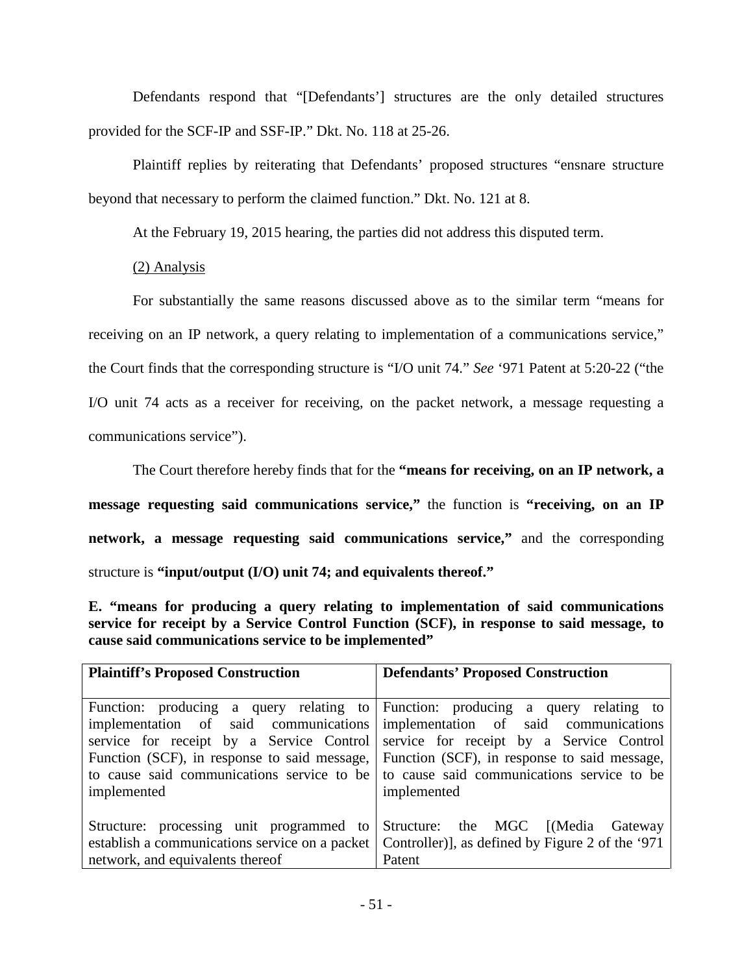Defendants respond that "[Defendants'] structures are the only detailed structures provided for the SCF-IP and SSF-IP." Dkt. No. 118 at 25-26.

Plaintiff replies by reiterating that Defendants' proposed structures "ensnare structure beyond that necessary to perform the claimed function." Dkt. No. 121 at 8.

At the February 19, 2015 hearing, the parties did not address this disputed term.

(2) Analysis

For substantially the same reasons discussed above as to the similar term "means for receiving on an IP network, a query relating to implementation of a communications service," the Court finds that the corresponding structure is "I/O unit 74." *See* '971 Patent at 5:20-22 ("the I/O unit 74 acts as a receiver for receiving, on the packet network, a message requesting a communications service").

The Court therefore hereby finds that for the **"means for receiving, on an IP network, a message requesting said communications service,"** the function is **"receiving, on an IP network, a message requesting said communications service,"** and the corresponding structure is **"input/output (I/O) unit 74; and equivalents thereof."**

<span id="page-50-0"></span>**E. "means for producing a query relating to implementation of said communications service for receipt by a Service Control Function (SCF), in response to said message, to cause said communications service to be implemented"**

| <b>Plaintiff's Proposed Construction</b>       | <b>Defendants' Proposed Construction</b>                                                                                 |
|------------------------------------------------|--------------------------------------------------------------------------------------------------------------------------|
| implementation of said communications          | Function: producing a query relating to Function: producing a query relating to<br>implementation of said communications |
| service for receipt by a Service Control       | service for receipt by a Service Control                                                                                 |
| Function (SCF), in response to said message,   | Function (SCF), in response to said message,                                                                             |
| to cause said communications service to be     | to cause said communications service to be                                                                               |
| implemented                                    | implemented                                                                                                              |
| Structure: processing unit programmed to       | Structure: the MGC [(Media Gateway                                                                                       |
| establish a communications service on a packet | Controller), as defined by Figure 2 of the '971                                                                          |
| network, and equivalents thereof               | Patent                                                                                                                   |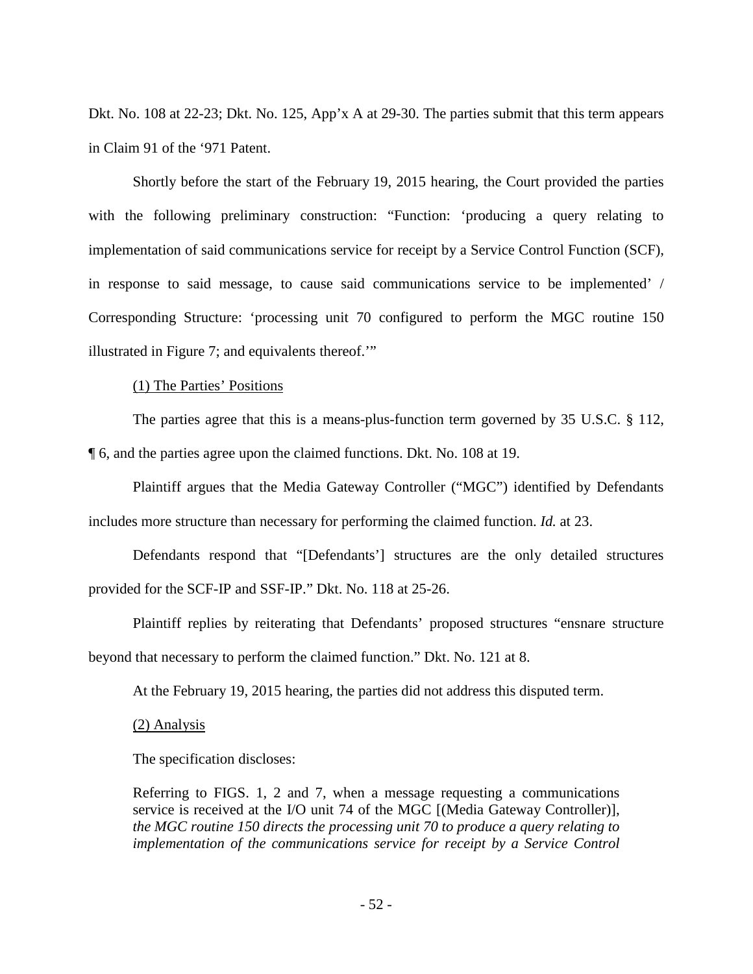Dkt. No. 108 at 22-23; Dkt. No. 125, App'x A at 29-30. The parties submit that this term appears in Claim 91 of the '971 Patent.

Shortly before the start of the February 19, 2015 hearing, the Court provided the parties with the following preliminary construction: "Function: 'producing a query relating to implementation of said communications service for receipt by a Service Control Function (SCF), in response to said message, to cause said communications service to be implemented' / Corresponding Structure: 'processing unit 70 configured to perform the MGC routine 150 illustrated in Figure 7; and equivalents thereof.'"

#### (1) The Parties' Positions

The parties agree that this is a means-plus-function term governed by 35 U.S.C. § 112, ¶ 6, and the parties agree upon the claimed functions. Dkt. No. 108 at 19.

Plaintiff argues that the Media Gateway Controller ("MGC") identified by Defendants includes more structure than necessary for performing the claimed function. *Id.* at 23.

Defendants respond that "[Defendants'] structures are the only detailed structures provided for the SCF-IP and SSF-IP." Dkt. No. 118 at 25-26.

Plaintiff replies by reiterating that Defendants' proposed structures "ensnare structure beyond that necessary to perform the claimed function." Dkt. No. 121 at 8.

At the February 19, 2015 hearing, the parties did not address this disputed term.

(2) Analysis

The specification discloses:

Referring to FIGS. 1, 2 and 7, when a message requesting a communications service is received at the I/O unit 74 of the MGC [(Media Gateway Controller)], *the MGC routine 150 directs the processing unit 70 to produce a query relating to implementation of the communications service for receipt by a Service Control*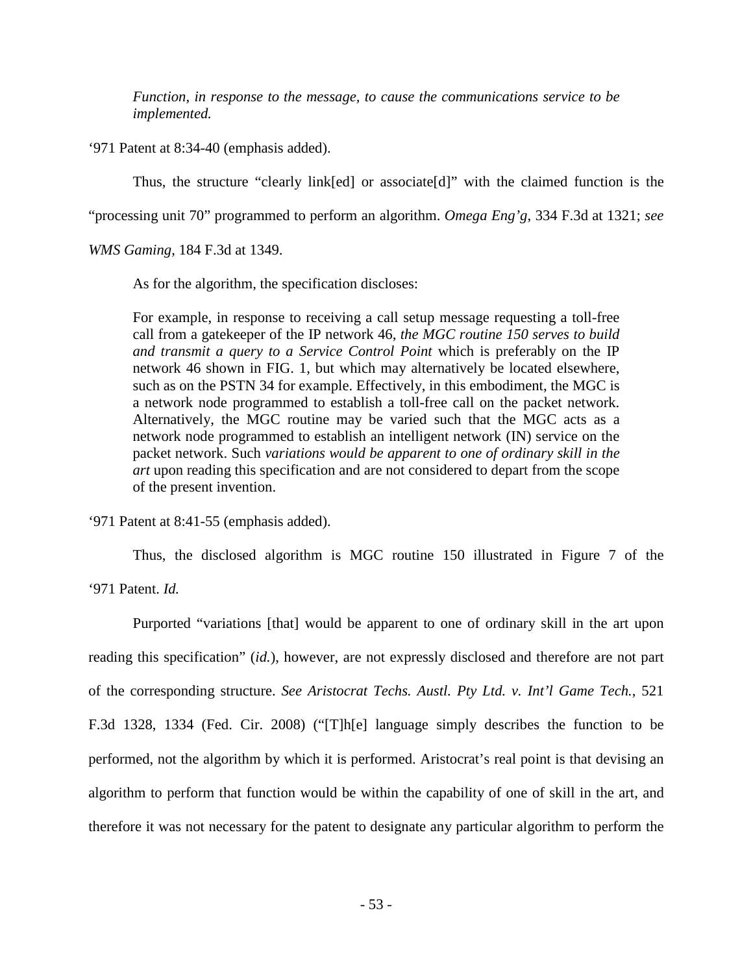*Function, in response to the message, to cause the communications service to be implemented.*

'971 Patent at 8:34-40 (emphasis added).

Thus, the structure "clearly link[ed] or associate[d]" with the claimed function is the

"processing unit 70" programmed to perform an algorithm. *Omega Eng'g*, 334 F.3d at 1321; *see* 

*WMS Gaming*, 184 F.3d at 1349.

As for the algorithm, the specification discloses:

For example, in response to receiving a call setup message requesting a toll-free call from a gatekeeper of the IP network 46, *the MGC routine 150 serves to build and transmit a query to a Service Control Point* which is preferably on the IP network 46 shown in FIG. 1, but which may alternatively be located elsewhere, such as on the PSTN 34 for example. Effectively, in this embodiment, the MGC is a network node programmed to establish a toll-free call on the packet network. Alternatively, the MGC routine may be varied such that the MGC acts as a network node programmed to establish an intelligent network (IN) service on the packet network. Such *variations would be apparent to one of ordinary skill in the art* upon reading this specification and are not considered to depart from the scope of the present invention.

'971 Patent at 8:41-55 (emphasis added).

Thus, the disclosed algorithm is MGC routine 150 illustrated in Figure 7 of the

'971 Patent. *Id.*

Purported "variations [that] would be apparent to one of ordinary skill in the art upon reading this specification" (*id.*), however, are not expressly disclosed and therefore are not part of the corresponding structure. *See Aristocrat Techs. Austl. Pty Ltd. v. Int'l Game Tech.*, 521 F.3d 1328, 1334 (Fed. Cir. 2008) ("[T]h[e] language simply describes the function to be performed, not the algorithm by which it is performed. Aristocrat's real point is that devising an algorithm to perform that function would be within the capability of one of skill in the art, and therefore it was not necessary for the patent to designate any particular algorithm to perform the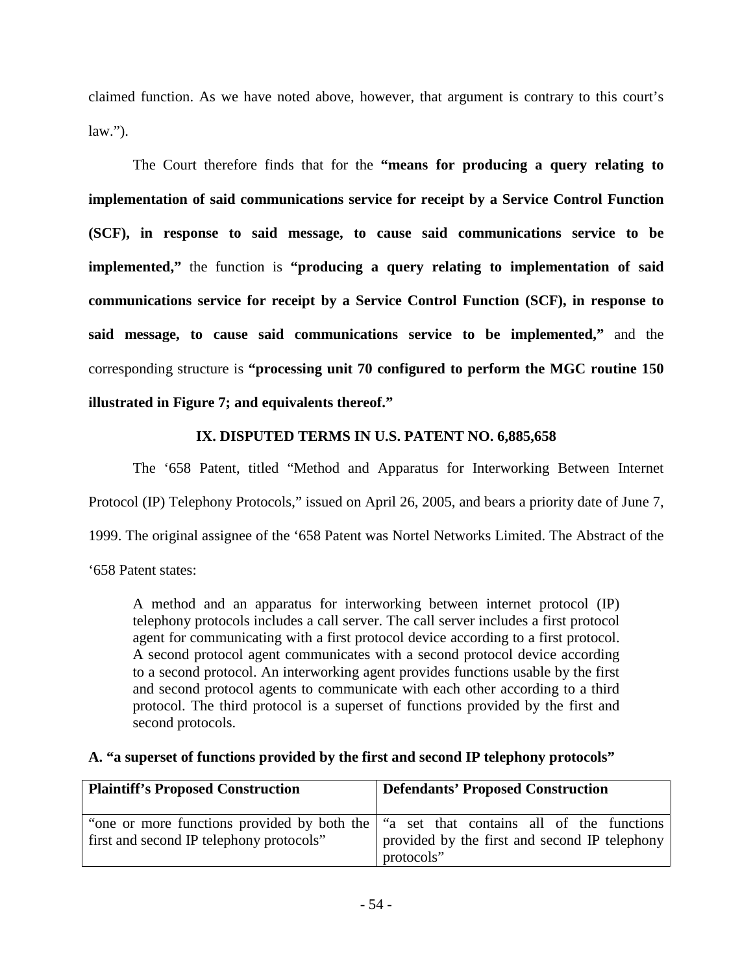claimed function. As we have noted above, however, that argument is contrary to this court's  $law.'$ ).

The Court therefore finds that for the **"means for producing a query relating to implementation of said communications service for receipt by a Service Control Function (SCF), in response to said message, to cause said communications service to be implemented,"** the function is **"producing a query relating to implementation of said communications service for receipt by a Service Control Function (SCF), in response to said message, to cause said communications service to be implemented,"** and the corresponding structure is **"processing unit 70 configured to perform the MGC routine 150 illustrated in Figure 7; and equivalents thereof."**

## **IX. DISPUTED TERMS IN U.S. PATENT NO. 6,885,658**

<span id="page-53-0"></span>The '658 Patent, titled "Method and Apparatus for Interworking Between Internet Protocol (IP) Telephony Protocols," issued on April 26, 2005, and bears a priority date of June 7, 1999. The original assignee of the '658 Patent was Nortel Networks Limited. The Abstract of the

'658 Patent states:

A method and an apparatus for interworking between internet protocol (IP) telephony protocols includes a call server. The call server includes a first protocol agent for communicating with a first protocol device according to a first protocol. A second protocol agent communicates with a second protocol device according to a second protocol. An interworking agent provides functions usable by the first and second protocol agents to communicate with each other according to a third protocol. The third protocol is a superset of functions provided by the first and second protocols.

## <span id="page-53-1"></span>**A. "a superset of functions provided by the first and second IP telephony protocols"**

| <b>Plaintiff's Proposed Construction</b> | Defendants' Proposed Construction                                                       |
|------------------------------------------|-----------------------------------------------------------------------------------------|
|                                          | "one or more functions provided by both the  "a set that contains all of the functions" |
| first and second IP telephony protocols" | provided by the first and second IP telephony                                           |
|                                          | protocols"                                                                              |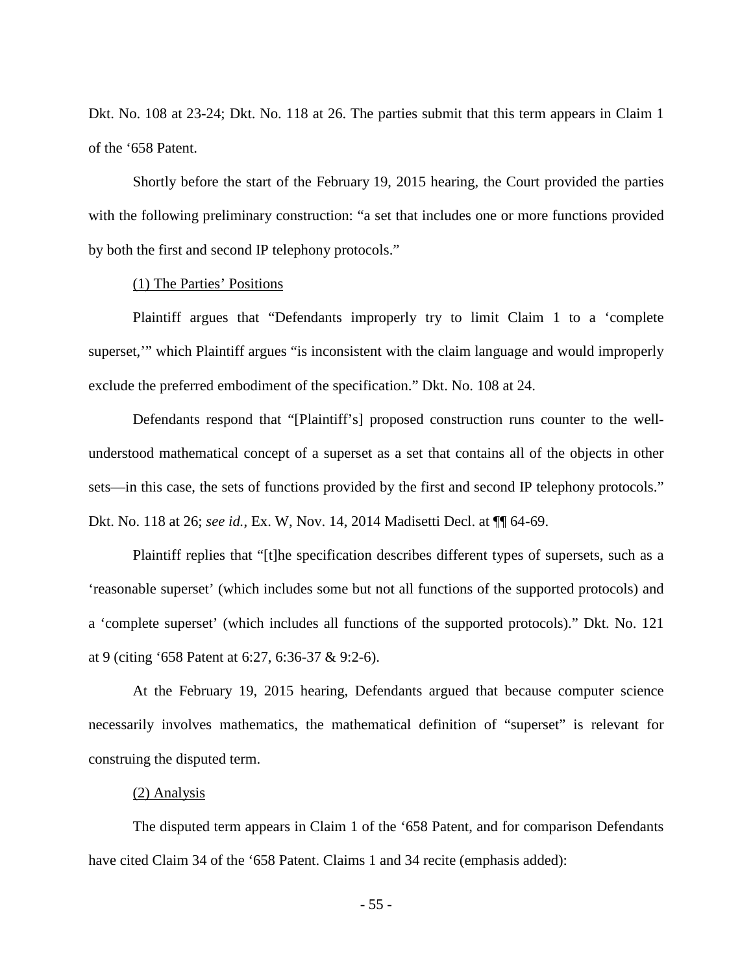Dkt. No. 108 at 23-24; Dkt. No. 118 at 26. The parties submit that this term appears in Claim 1 of the '658 Patent.

Shortly before the start of the February 19, 2015 hearing, the Court provided the parties with the following preliminary construction: "a set that includes one or more functions provided by both the first and second IP telephony protocols."

## (1) The Parties' Positions

Plaintiff argues that "Defendants improperly try to limit Claim 1 to a 'complete superset,'" which Plaintiff argues "is inconsistent with the claim language and would improperly exclude the preferred embodiment of the specification." Dkt. No. 108 at 24.

Defendants respond that "[Plaintiff's] proposed construction runs counter to the wellunderstood mathematical concept of a superset as a set that contains all of the objects in other sets—in this case, the sets of functions provided by the first and second IP telephony protocols." Dkt. No. 118 at 26; *see id.*, Ex. W, Nov. 14, 2014 Madisetti Decl. at ¶¶ 64-69.

Plaintiff replies that "[t]he specification describes different types of supersets, such as a 'reasonable superset' (which includes some but not all functions of the supported protocols) and a 'complete superset' (which includes all functions of the supported protocols)." Dkt. No. 121 at 9 (citing '658 Patent at 6:27, 6:36-37 & 9:2-6).

At the February 19, 2015 hearing, Defendants argued that because computer science necessarily involves mathematics, the mathematical definition of "superset" is relevant for construing the disputed term.

### (2) Analysis

The disputed term appears in Claim 1 of the '658 Patent, and for comparison Defendants have cited Claim 34 of the '658 Patent. Claims 1 and 34 recite (emphasis added):

- 55 -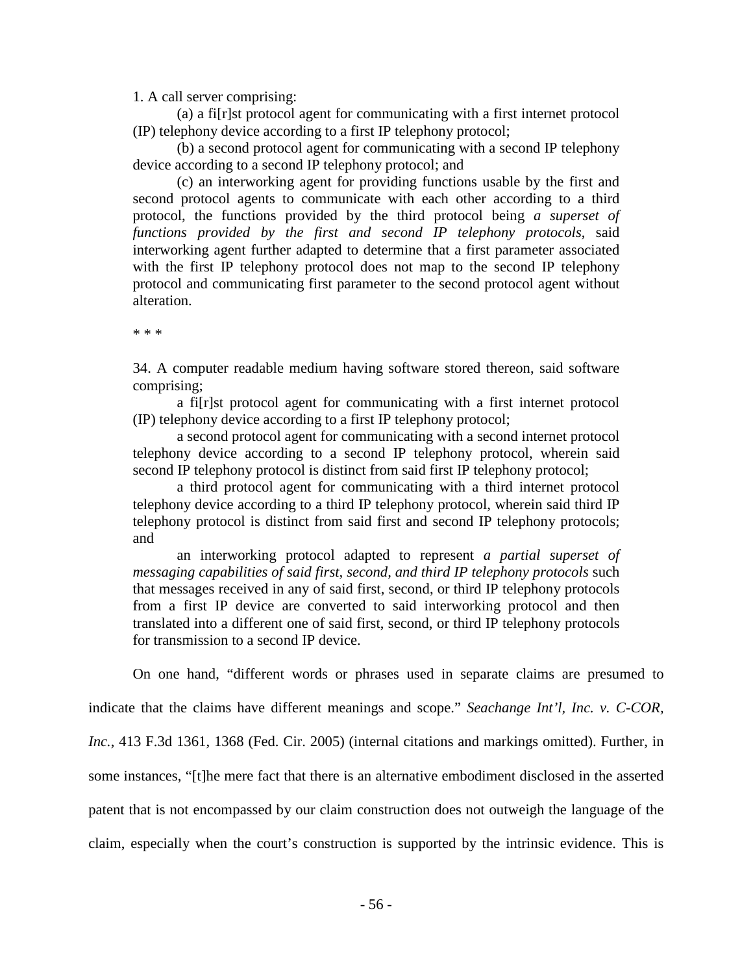1. A call server comprising:

(a) a fi[r]st protocol agent for communicating with a first internet protocol (IP) telephony device according to a first IP telephony protocol;

(b) a second protocol agent for communicating with a second IP telephony device according to a second IP telephony protocol; and

(c) an interworking agent for providing functions usable by the first and second protocol agents to communicate with each other according to a third protocol, the functions provided by the third protocol being *a superset of functions provided by the first and second IP telephony protocols*, said interworking agent further adapted to determine that a first parameter associated with the first IP telephony protocol does not map to the second IP telephony protocol and communicating first parameter to the second protocol agent without alteration.

\* \* \*

34. A computer readable medium having software stored thereon, said software comprising;

a fi[r]st protocol agent for communicating with a first internet protocol (IP) telephony device according to a first IP telephony protocol;

 a second protocol agent for communicating with a second internet protocol telephony device according to a second IP telephony protocol, wherein said second IP telephony protocol is distinct from said first IP telephony protocol;

a third protocol agent for communicating with a third internet protocol telephony device according to a third IP telephony protocol, wherein said third IP telephony protocol is distinct from said first and second IP telephony protocols; and

an interworking protocol adapted to represent *a partial superset of messaging capabilities of said first, second, and third IP telephony protocols* such that messages received in any of said first, second, or third IP telephony protocols from a first IP device are converted to said interworking protocol and then translated into a different one of said first, second, or third IP telephony protocols for transmission to a second IP device.

On one hand, "different words or phrases used in separate claims are presumed to

indicate that the claims have different meanings and scope." *Seachange Int'l, Inc. v. C-COR,* 

*Inc.*, 413 F.3d 1361, 1368 (Fed. Cir. 2005) (internal citations and markings omitted). Further, in

some instances, "[t]he mere fact that there is an alternative embodiment disclosed in the asserted

patent that is not encompassed by our claim construction does not outweigh the language of the

claim, especially when the court's construction is supported by the intrinsic evidence. This is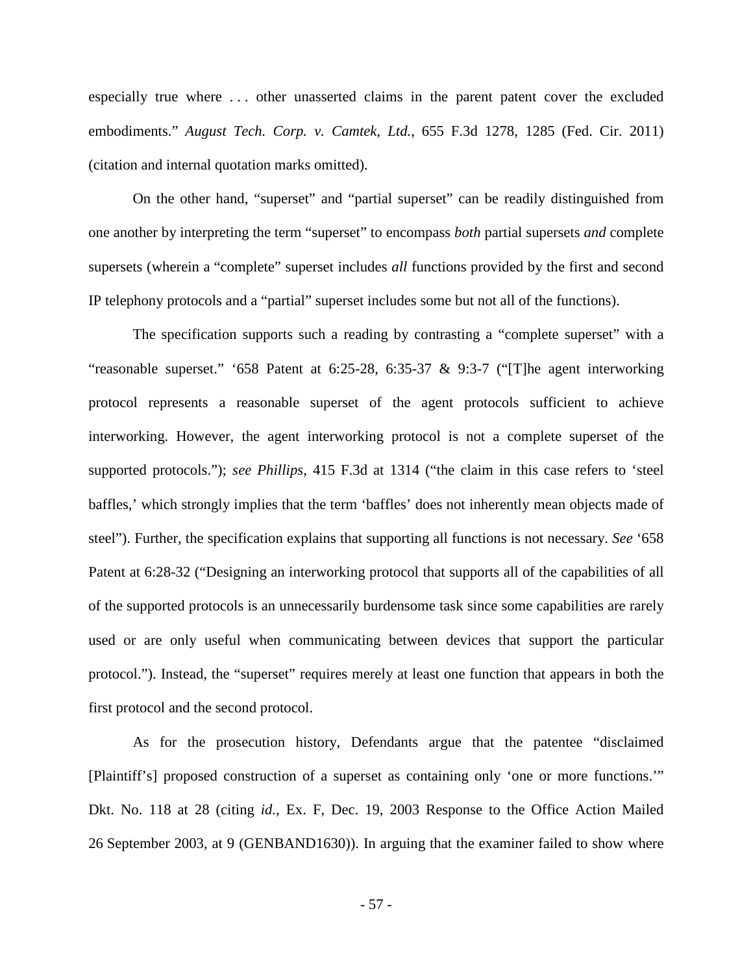especially true where . . . other unasserted claims in the parent patent cover the excluded embodiments." *August Tech. Corp. v. Camtek, Ltd.*, 655 F.3d 1278, 1285 (Fed. Cir. 2011) (citation and internal quotation marks omitted).

On the other hand, "superset" and "partial superset" can be readily distinguished from one another by interpreting the term "superset" to encompass *both* partial supersets *and* complete supersets (wherein a "complete" superset includes *all* functions provided by the first and second IP telephony protocols and a "partial" superset includes some but not all of the functions).

The specification supports such a reading by contrasting a "complete superset" with a "reasonable superset." '658 Patent at 6:25-28, 6:35-37 & 9:3-7 ("[T]he agent interworking protocol represents a reasonable superset of the agent protocols sufficient to achieve interworking. However, the agent interworking protocol is not a complete superset of the supported protocols."); *see Phillips*, 415 F.3d at 1314 ("the claim in this case refers to 'steel baffles,' which strongly implies that the term 'baffles' does not inherently mean objects made of steel"). Further, the specification explains that supporting all functions is not necessary. *See* '658 Patent at 6:28-32 ("Designing an interworking protocol that supports all of the capabilities of all of the supported protocols is an unnecessarily burdensome task since some capabilities are rarely used or are only useful when communicating between devices that support the particular protocol."). Instead, the "superset" requires merely at least one function that appears in both the first protocol and the second protocol.

As for the prosecution history, Defendants argue that the patentee "disclaimed [Plaintiff's] proposed construction of a superset as containing only 'one or more functions.'" Dkt. No. 118 at 28 (citing *id.*, Ex. F, Dec. 19, 2003 Response to the Office Action Mailed 26 September 2003, at 9 (GENBAND1630)). In arguing that the examiner failed to show where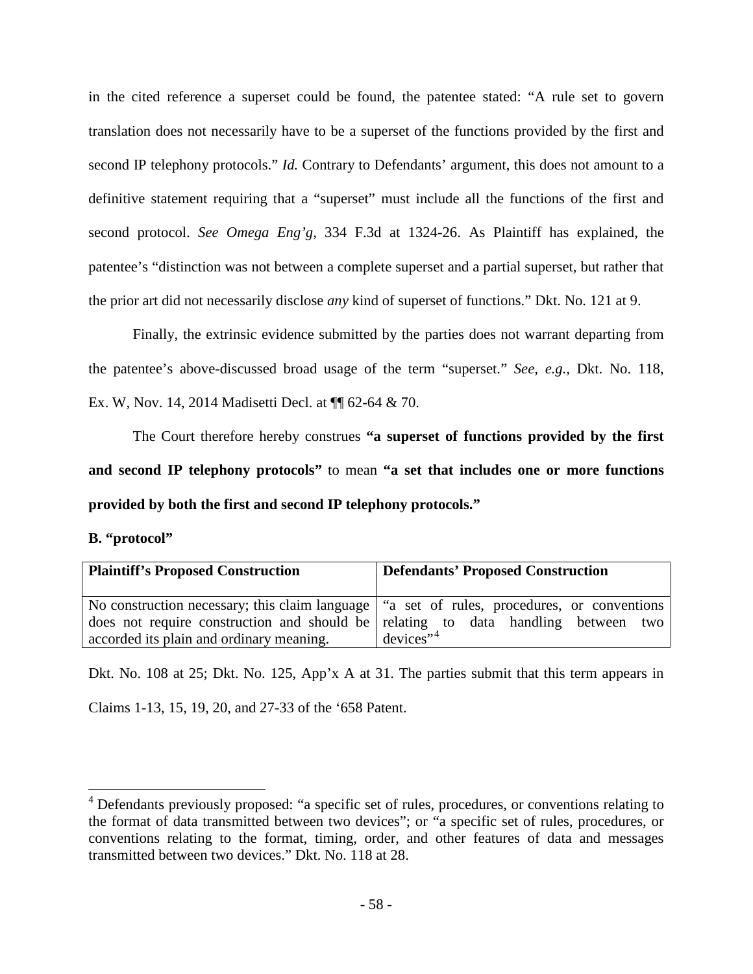in the cited reference a superset could be found, the patentee stated: "A rule set to govern translation does not necessarily have to be a superset of the functions provided by the first and second IP telephony protocols." *Id.* Contrary to Defendants' argument, this does not amount to a definitive statement requiring that a "superset" must include all the functions of the first and second protocol. *See Omega Eng'g*, 334 F.3d at 1324-26. As Plaintiff has explained, the patentee's "distinction was not between a complete superset and a partial superset, but rather that the prior art did not necessarily disclose *any* kind of superset of functions." Dkt. No. 121 at 9.

Finally, the extrinsic evidence submitted by the parties does not warrant departing from the patentee's above-discussed broad usage of the term "superset." *See, e.g.,* Dkt. No. 118, Ex. W, Nov. 14, 2014 Madisetti Decl. at ¶¶ 62-64 & 70.

The Court therefore hereby construes **"a superset of functions provided by the first and second IP telephony protocols"** to mean **"a set that includes one or more functions provided by both the first and second IP telephony protocols."**

<span id="page-57-0"></span>

|  | B. "protocol" |
|--|---------------|
|--|---------------|

 $\overline{a}$ 

| <b>Plaintiff's Proposed Construction</b> | <b>Defendants' Proposed Construction</b>                                                                                                                                            |
|------------------------------------------|-------------------------------------------------------------------------------------------------------------------------------------------------------------------------------------|
|                                          | No construction necessary; this claim language   "a set of rules, procedures, or conventions  <br>does not require construction and should be relating to data handling between two |
| accorded its plain and ordinary meaning. | $devices$ <sup>**</sup>                                                                                                                                                             |

Dkt. No. 108 at 25; Dkt. No. 125, App'x A at 31. The parties submit that this term appears in Claims 1-13, 15, 19, 20, and 27-33 of the '658 Patent.

<span id="page-57-1"></span><sup>&</sup>lt;sup>4</sup> Defendants previously proposed: "a specific set of rules, procedures, or conventions relating to the format of data transmitted between two devices"; or "a specific set of rules, procedures, or conventions relating to the format, timing, order, and other features of data and messages transmitted between two devices." Dkt. No. 118 at 28.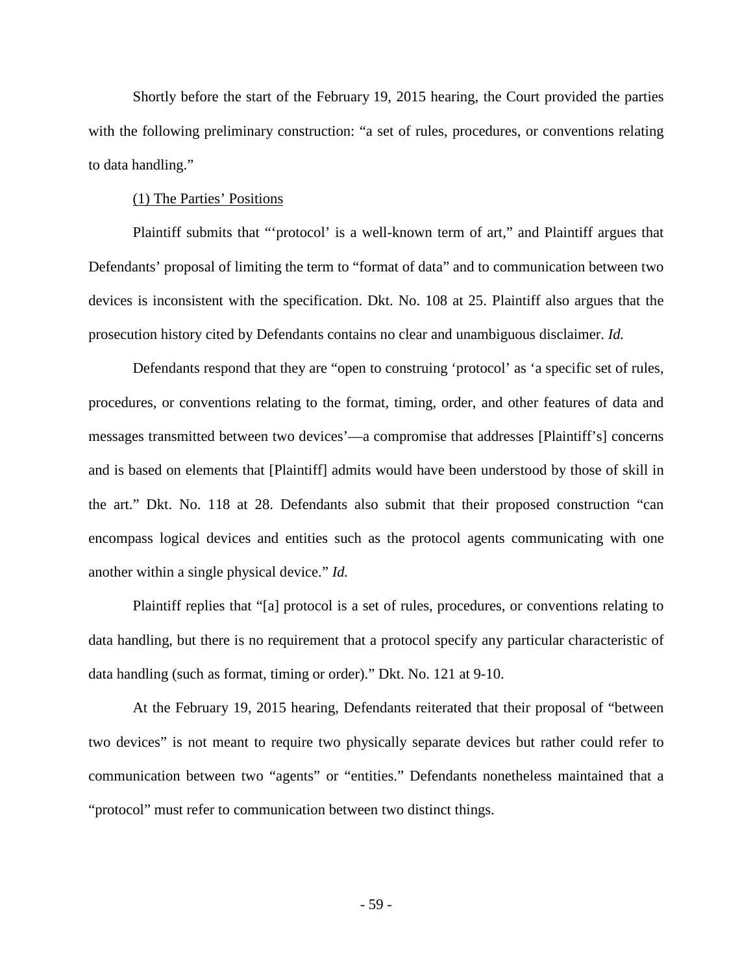Shortly before the start of the February 19, 2015 hearing, the Court provided the parties with the following preliminary construction: "a set of rules, procedures, or conventions relating to data handling."

### (1) The Parties' Positions

Plaintiff submits that "'protocol' is a well-known term of art," and Plaintiff argues that Defendants' proposal of limiting the term to "format of data" and to communication between two devices is inconsistent with the specification. Dkt. No. 108 at 25. Plaintiff also argues that the prosecution history cited by Defendants contains no clear and unambiguous disclaimer. *Id.*

Defendants respond that they are "open to construing 'protocol' as 'a specific set of rules, procedures, or conventions relating to the format, timing, order, and other features of data and messages transmitted between two devices'—a compromise that addresses [Plaintiff's] concerns and is based on elements that [Plaintiff] admits would have been understood by those of skill in the art." Dkt. No. 118 at 28. Defendants also submit that their proposed construction "can encompass logical devices and entities such as the protocol agents communicating with one another within a single physical device." *Id.*

Plaintiff replies that "[a] protocol is a set of rules, procedures, or conventions relating to data handling, but there is no requirement that a protocol specify any particular characteristic of data handling (such as format, timing or order)." Dkt. No. 121 at 9-10.

At the February 19, 2015 hearing, Defendants reiterated that their proposal of "between two devices" is not meant to require two physically separate devices but rather could refer to communication between two "agents" or "entities." Defendants nonetheless maintained that a "protocol" must refer to communication between two distinct things.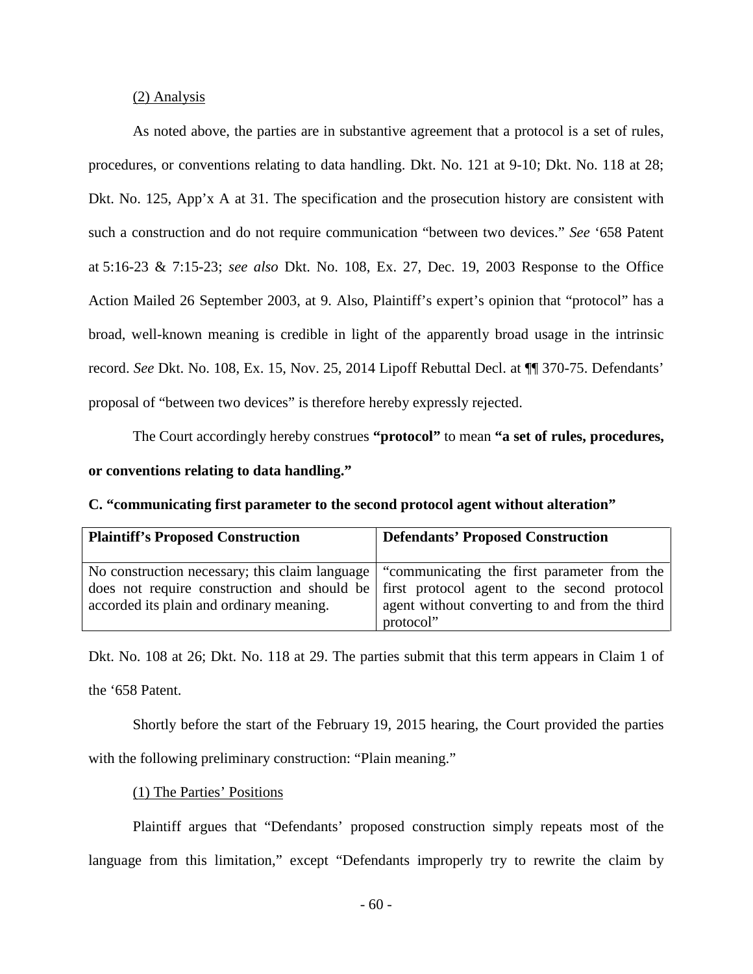### (2) Analysis

As noted above, the parties are in substantive agreement that a protocol is a set of rules, procedures, or conventions relating to data handling. Dkt. No. 121 at 9-10; Dkt. No. 118 at 28; Dkt. No. 125, App'x A at 31. The specification and the prosecution history are consistent with such a construction and do not require communication "between two devices." *See* '658 Patent at 5:16-23 & 7:15-23; *see also* Dkt. No. 108, Ex. 27, Dec. 19, 2003 Response to the Office Action Mailed 26 September 2003, at 9. Also, Plaintiff's expert's opinion that "protocol" has a broad, well-known meaning is credible in light of the apparently broad usage in the intrinsic record. *See* Dkt. No. 108, Ex. 15, Nov. 25, 2014 Lipoff Rebuttal Decl. at ¶¶ 370-75. Defendants' proposal of "between two devices" is therefore hereby expressly rejected.

The Court accordingly hereby construes **"protocol"** to mean **"a set of rules, procedures,** 

## **or conventions relating to data handling."**

<span id="page-59-0"></span>

|  | C. "communicating first parameter to the second protocol agent without alteration" |
|--|------------------------------------------------------------------------------------|
|  |                                                                                    |

| <b>Plaintiff's Proposed Construction</b> | <b>Defendants' Proposed Construction</b>                                                                                                                                                                                                             |
|------------------------------------------|------------------------------------------------------------------------------------------------------------------------------------------------------------------------------------------------------------------------------------------------------|
| accorded its plain and ordinary meaning. | No construction necessary; this claim language "communicating the first parameter from the<br>does not require construction and should be first protocol agent to the second protocol<br>agent without converting to and from the third<br>protocol" |

Dkt. No. 108 at 26; Dkt. No. 118 at 29. The parties submit that this term appears in Claim 1 of the '658 Patent.

Shortly before the start of the February 19, 2015 hearing, the Court provided the parties

with the following preliminary construction: "Plain meaning."

## (1) The Parties' Positions

Plaintiff argues that "Defendants' proposed construction simply repeats most of the language from this limitation," except "Defendants improperly try to rewrite the claim by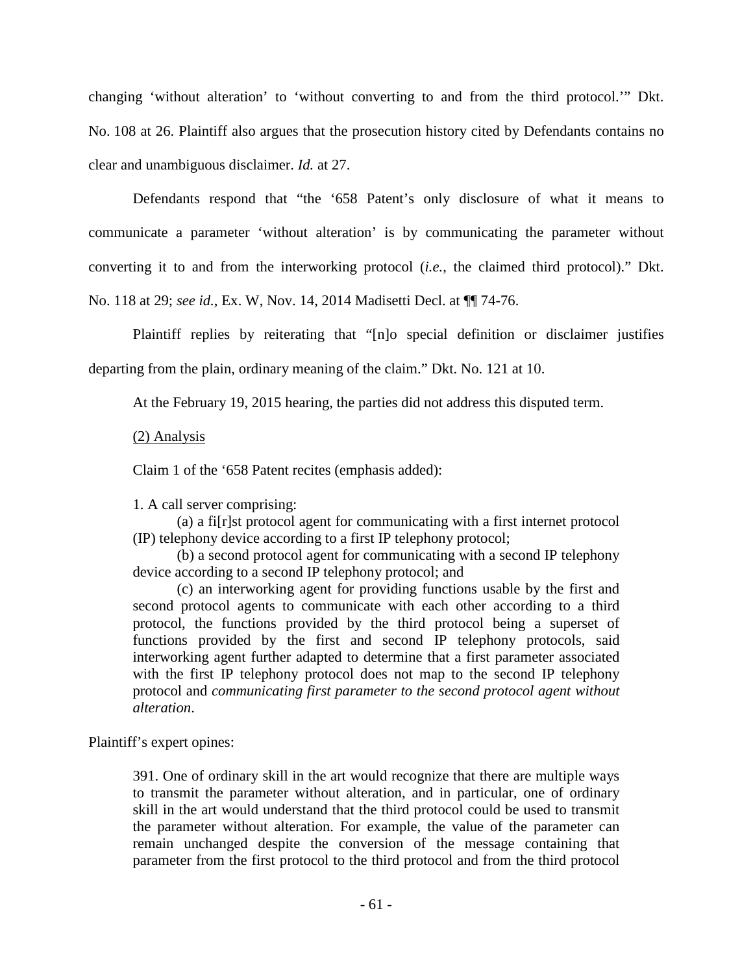changing 'without alteration' to 'without converting to and from the third protocol.'" Dkt. No. 108 at 26. Plaintiff also argues that the prosecution history cited by Defendants contains no clear and unambiguous disclaimer. *Id.* at 27.

Defendants respond that "the '658 Patent's only disclosure of what it means to communicate a parameter 'without alteration' is by communicating the parameter without converting it to and from the interworking protocol (*i.e.*, the claimed third protocol)." Dkt. No. 118 at 29; *see id.*, Ex. W, Nov. 14, 2014 Madisetti Decl. at ¶¶ 74-76.

Plaintiff replies by reiterating that "[n]o special definition or disclaimer justifies departing from the plain, ordinary meaning of the claim." Dkt. No. 121 at 10.

At the February 19, 2015 hearing, the parties did not address this disputed term.

(2) Analysis

Claim 1 of the '658 Patent recites (emphasis added):

1. A call server comprising:

(a) a fi[r]st protocol agent for communicating with a first internet protocol (IP) telephony device according to a first IP telephony protocol;

(b) a second protocol agent for communicating with a second IP telephony device according to a second IP telephony protocol; and

(c) an interworking agent for providing functions usable by the first and second protocol agents to communicate with each other according to a third protocol, the functions provided by the third protocol being a superset of functions provided by the first and second IP telephony protocols, said interworking agent further adapted to determine that a first parameter associated with the first IP telephony protocol does not map to the second IP telephony protocol and *communicating first parameter to the second protocol agent without alteration*.

Plaintiff's expert opines:

391. One of ordinary skill in the art would recognize that there are multiple ways to transmit the parameter without alteration, and in particular, one of ordinary skill in the art would understand that the third protocol could be used to transmit the parameter without alteration. For example, the value of the parameter can remain unchanged despite the conversion of the message containing that parameter from the first protocol to the third protocol and from the third protocol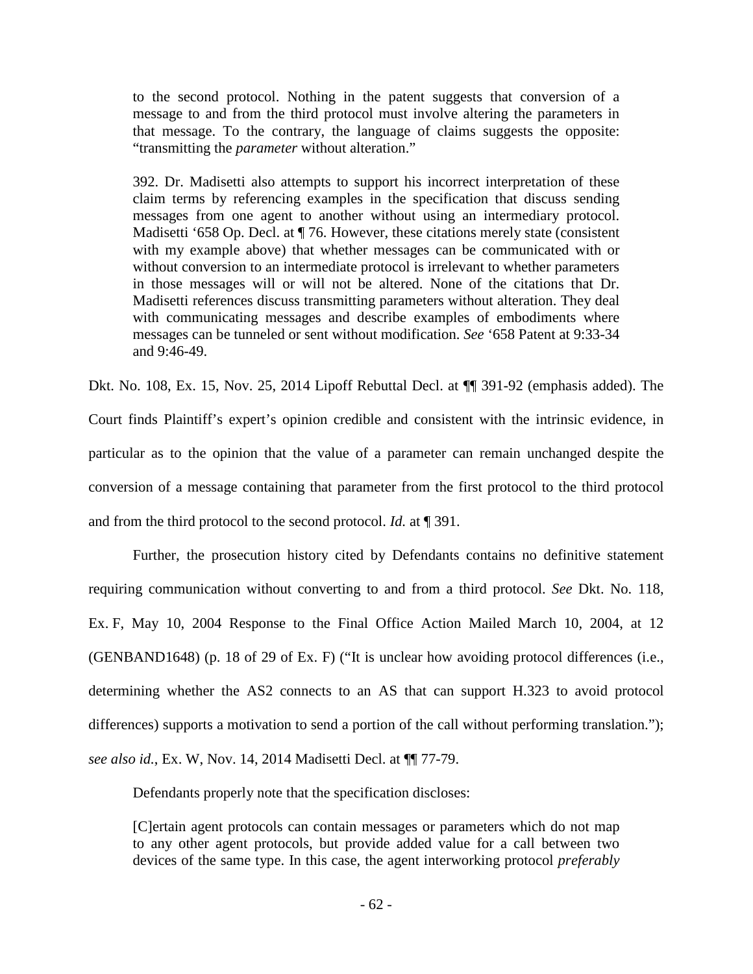to the second protocol. Nothing in the patent suggests that conversion of a message to and from the third protocol must involve altering the parameters in that message. To the contrary, the language of claims suggests the opposite: "transmitting the *parameter* without alteration."

392. Dr. Madisetti also attempts to support his incorrect interpretation of these claim terms by referencing examples in the specification that discuss sending messages from one agent to another without using an intermediary protocol. Madisetti '658 Op. Decl. at  $\P$  76. However, these citations merely state (consistent with my example above) that whether messages can be communicated with or without conversion to an intermediate protocol is irrelevant to whether parameters in those messages will or will not be altered. None of the citations that Dr. Madisetti references discuss transmitting parameters without alteration. They deal with communicating messages and describe examples of embodiments where messages can be tunneled or sent without modification. *See* '658 Patent at 9:33-34 and 9:46-49.

Dkt. No. 108, Ex. 15, Nov. 25, 2014 Lipoff Rebuttal Decl. at ¶¶ 391-92 (emphasis added). The Court finds Plaintiff's expert's opinion credible and consistent with the intrinsic evidence, in particular as to the opinion that the value of a parameter can remain unchanged despite the conversion of a message containing that parameter from the first protocol to the third protocol and from the third protocol to the second protocol. *Id.* at ¶ 391.

Further, the prosecution history cited by Defendants contains no definitive statement requiring communication without converting to and from a third protocol. *See* Dkt. No. 118, Ex. F, May 10, 2004 Response to the Final Office Action Mailed March 10, 2004, at 12 (GENBAND1648) (p. 18 of 29 of Ex. F) ("It is unclear how avoiding protocol differences (i.e., determining whether the AS2 connects to an AS that can support H.323 to avoid protocol differences) supports a motivation to send a portion of the call without performing translation."); *see also id.*, Ex. W, Nov. 14, 2014 Madisetti Decl. at ¶¶ 77-79.

Defendants properly note that the specification discloses:

[C]ertain agent protocols can contain messages or parameters which do not map to any other agent protocols, but provide added value for a call between two devices of the same type. In this case, the agent interworking protocol *preferably*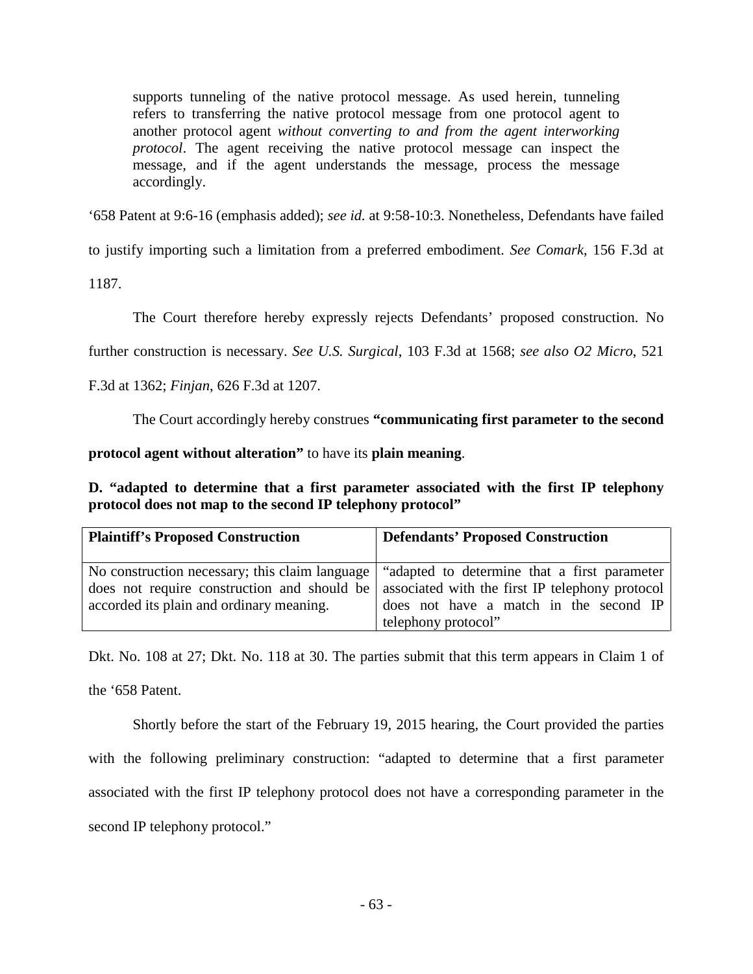supports tunneling of the native protocol message. As used herein, tunneling refers to transferring the native protocol message from one protocol agent to another protocol agent *without converting to and from the agent interworking protocol*. The agent receiving the native protocol message can inspect the message, and if the agent understands the message, process the message accordingly.

'658 Patent at 9:6-16 (emphasis added); *see id.* at 9:58-10:3. Nonetheless, Defendants have failed

to justify importing such a limitation from a preferred embodiment. *See Comark*, 156 F.3d at

1187.

The Court therefore hereby expressly rejects Defendants' proposed construction. No

further construction is necessary. *See U.S. Surgical*, 103 F.3d at 1568; *see also O2 Micro*, 521

## F.3d at 1362; *Finjan*, 626 F.3d at 1207.

The Court accordingly hereby construes **"communicating first parameter to the second** 

**protocol agent without alteration"** to have its **plain meaning**.

<span id="page-62-0"></span>**D. "adapted to determine that a first parameter associated with the first IP telephony protocol does not map to the second IP telephony protocol"** 

| <b>Plaintiff's Proposed Construction</b> | <b>Defendants' Proposed Construction</b>                                                                                                                                                                                                                       |
|------------------------------------------|----------------------------------------------------------------------------------------------------------------------------------------------------------------------------------------------------------------------------------------------------------------|
| accorded its plain and ordinary meaning. | No construction necessary; this claim language   "adapted to determine that a first parameter"<br>does not require construction and should be associated with the first IP telephony protocol<br>does not have a match in the second IP<br>telephony protocol" |

Dkt. No. 108 at 27; Dkt. No. 118 at 30. The parties submit that this term appears in Claim 1 of the '658 Patent.

Shortly before the start of the February 19, 2015 hearing, the Court provided the parties with the following preliminary construction: "adapted to determine that a first parameter associated with the first IP telephony protocol does not have a corresponding parameter in the second IP telephony protocol."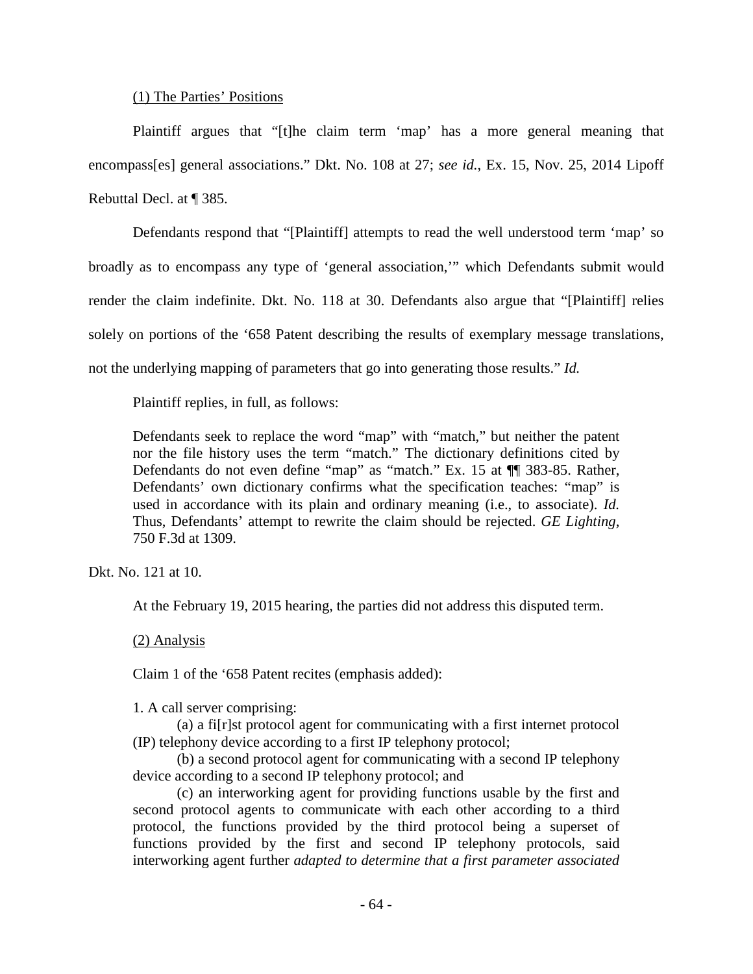#### (1) The Parties' Positions

Plaintiff argues that "[t]he claim term 'map' has a more general meaning that encompass[es] general associations." Dkt. No. 108 at 27; *see id.*, Ex. 15, Nov. 25, 2014 Lipoff Rebuttal Decl. at ¶ 385.

Defendants respond that "[Plaintiff] attempts to read the well understood term 'map' so broadly as to encompass any type of 'general association,'" which Defendants submit would render the claim indefinite. Dkt. No. 118 at 30. Defendants also argue that "[Plaintiff] relies solely on portions of the '658 Patent describing the results of exemplary message translations, not the underlying mapping of parameters that go into generating those results." *Id.*

Plaintiff replies, in full, as follows:

Defendants seek to replace the word "map" with "match," but neither the patent nor the file history uses the term "match." The dictionary definitions cited by Defendants do not even define "map" as "match." Ex. 15 at ¶¶ 383-85. Rather, Defendants' own dictionary confirms what the specification teaches: "map" is used in accordance with its plain and ordinary meaning (i.e., to associate). *Id.* Thus, Defendants' attempt to rewrite the claim should be rejected. *GE Lighting*, 750 F.3d at 1309.

Dkt. No. 121 at 10.

At the February 19, 2015 hearing, the parties did not address this disputed term.

(2) Analysis

Claim 1 of the '658 Patent recites (emphasis added):

1. A call server comprising:

(a) a fi[r]st protocol agent for communicating with a first internet protocol (IP) telephony device according to a first IP telephony protocol;

(b) a second protocol agent for communicating with a second IP telephony device according to a second IP telephony protocol; and

(c) an interworking agent for providing functions usable by the first and second protocol agents to communicate with each other according to a third protocol, the functions provided by the third protocol being a superset of functions provided by the first and second IP telephony protocols, said interworking agent further *adapted to determine that a first parameter associated*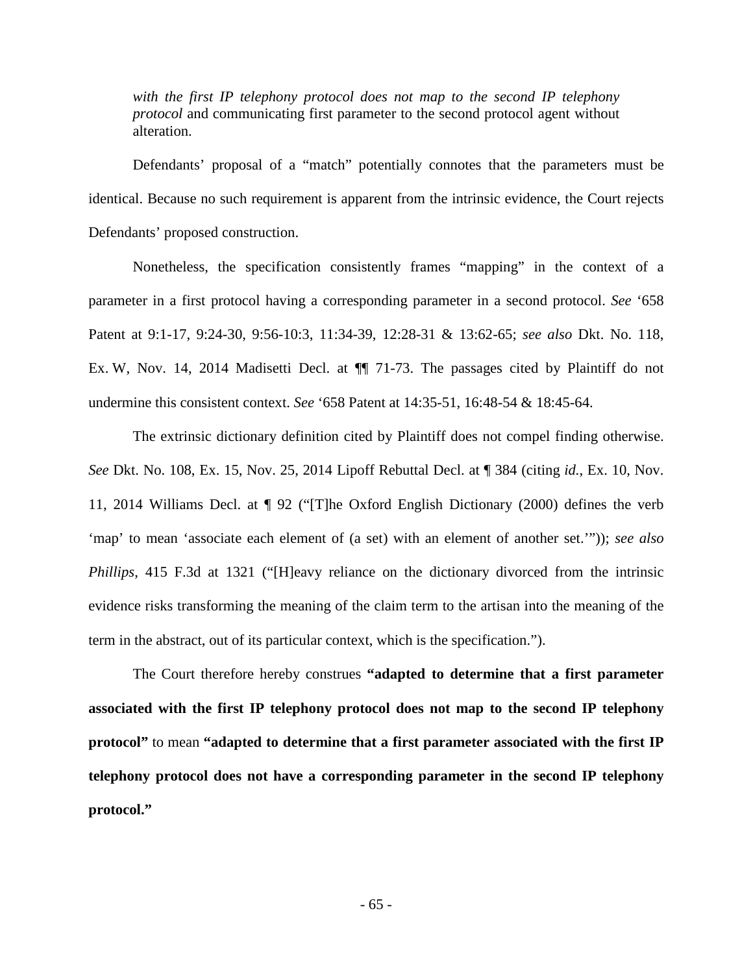*with the first IP telephony protocol does not map to the second IP telephony protocol* and communicating first parameter to the second protocol agent without alteration.

 Defendants' proposal of a "match" potentially connotes that the parameters must be identical. Because no such requirement is apparent from the intrinsic evidence, the Court rejects Defendants' proposed construction.

Nonetheless, the specification consistently frames "mapping" in the context of a parameter in a first protocol having a corresponding parameter in a second protocol. *See* '658 Patent at 9:1-17, 9:24-30, 9:56-10:3, 11:34-39, 12:28-31 & 13:62-65; *see also* Dkt. No. 118, Ex. W, Nov. 14, 2014 Madisetti Decl. at  $\P$  71-73. The passages cited by Plaintiff do not undermine this consistent context. *See* '658 Patent at 14:35-51, 16:48-54 & 18:45-64.

The extrinsic dictionary definition cited by Plaintiff does not compel finding otherwise. *See* Dkt. No. 108, Ex. 15, Nov. 25, 2014 Lipoff Rebuttal Decl. at ¶ 384 (citing *id.*, Ex. 10, Nov. 11, 2014 Williams Decl. at ¶ 92 ("[T]he Oxford English Dictionary (2000) defines the verb 'map' to mean 'associate each element of (a set) with an element of another set.'")); *see also Phillips*, 415 F.3d at 1321 ("[H]eavy reliance on the dictionary divorced from the intrinsic evidence risks transforming the meaning of the claim term to the artisan into the meaning of the term in the abstract, out of its particular context, which is the specification.").

The Court therefore hereby construes **"adapted to determine that a first parameter associated with the first IP telephony protocol does not map to the second IP telephony protocol"** to mean **"adapted to determine that a first parameter associated with the first IP telephony protocol does not have a corresponding parameter in the second IP telephony protocol."**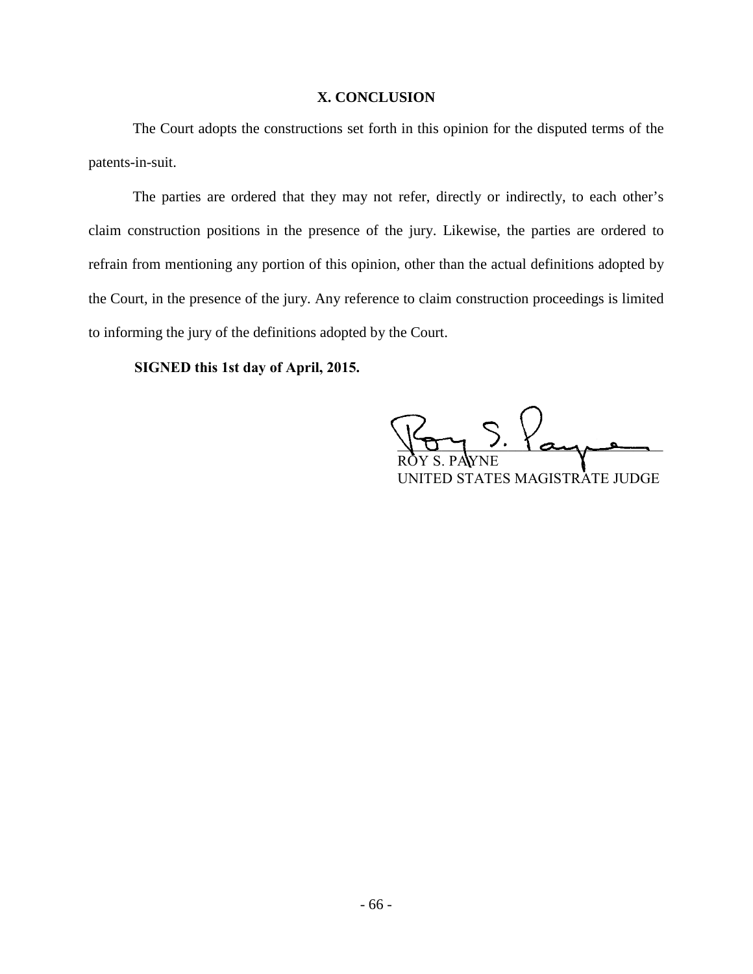## **X. CONCLUSION**

<span id="page-65-0"></span>The Court adopts the constructions set forth in this opinion for the disputed terms of the patents-in-suit.

The parties are ordered that they may not refer, directly or indirectly, to each other's claim construction positions in the presence of the jury. Likewise, the parties are ordered to refrain from mentioning any portion of this opinion, other than the actual definitions adopted by the Court, in the presence of the jury. Any reference to claim construction proceedings is limited to informing the jury of the definitions adopted by the Court.  $\frac{1}{2}$  signed the distributions also press by

**SIGNED this 1st day of April, 2015.**

 $VOTY$  , and ROY S. PAYNE UNITED STATES MAGISTRATE JUDGE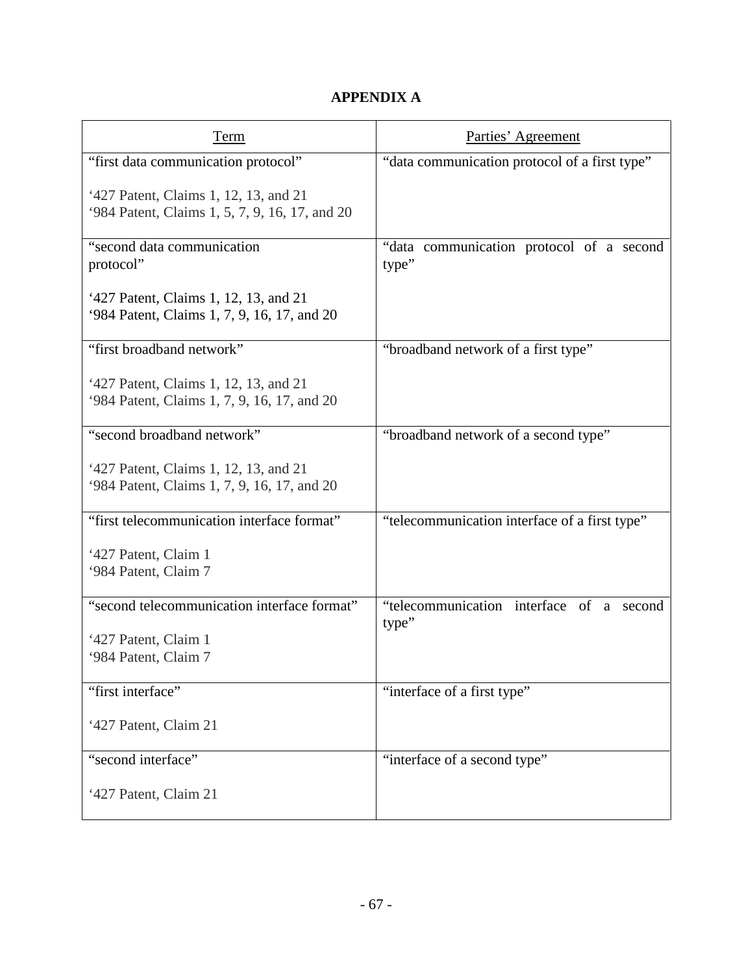# **APPENDIX A**

<span id="page-66-0"></span>

| <u>Term</u>                                                                             | Parties' Agreement                                   |
|-----------------------------------------------------------------------------------------|------------------------------------------------------|
| "first data communication protocol"                                                     | "data communication protocol of a first type"        |
| '427 Patent, Claims 1, 12, 13, and 21<br>'984 Patent, Claims 1, 5, 7, 9, 16, 17, and 20 |                                                      |
| "second data communication<br>protocol"                                                 | "data communication protocol of a second<br>type"    |
| '427 Patent, Claims 1, 12, 13, and 21<br>'984 Patent, Claims 1, 7, 9, 16, 17, and 20    |                                                      |
| "first broadband network"                                                               | "broadband network of a first type"                  |
| '427 Patent, Claims 1, 12, 13, and 21<br>'984 Patent, Claims 1, 7, 9, 16, 17, and 20    |                                                      |
| "second broadband network"                                                              | "broadband network of a second type"                 |
| '427 Patent, Claims 1, 12, 13, and 21<br>'984 Patent, Claims 1, 7, 9, 16, 17, and 20    |                                                      |
| "first telecommunication interface format"                                              | "telecommunication interface of a first type"        |
| '427 Patent, Claim 1<br>'984 Patent, Claim 7                                            |                                                      |
| "second telecommunication interface format"                                             | "telecommunication interface of a<br>second<br>type" |
| '427 Patent, Claim 1                                                                    |                                                      |
| '984 Patent, Claim 7                                                                    |                                                      |
| "first interface"                                                                       | "interface of a first type"                          |
| '427 Patent, Claim 21                                                                   |                                                      |
| "second interface"                                                                      | "interface of a second type"                         |
| '427 Patent, Claim 21                                                                   |                                                      |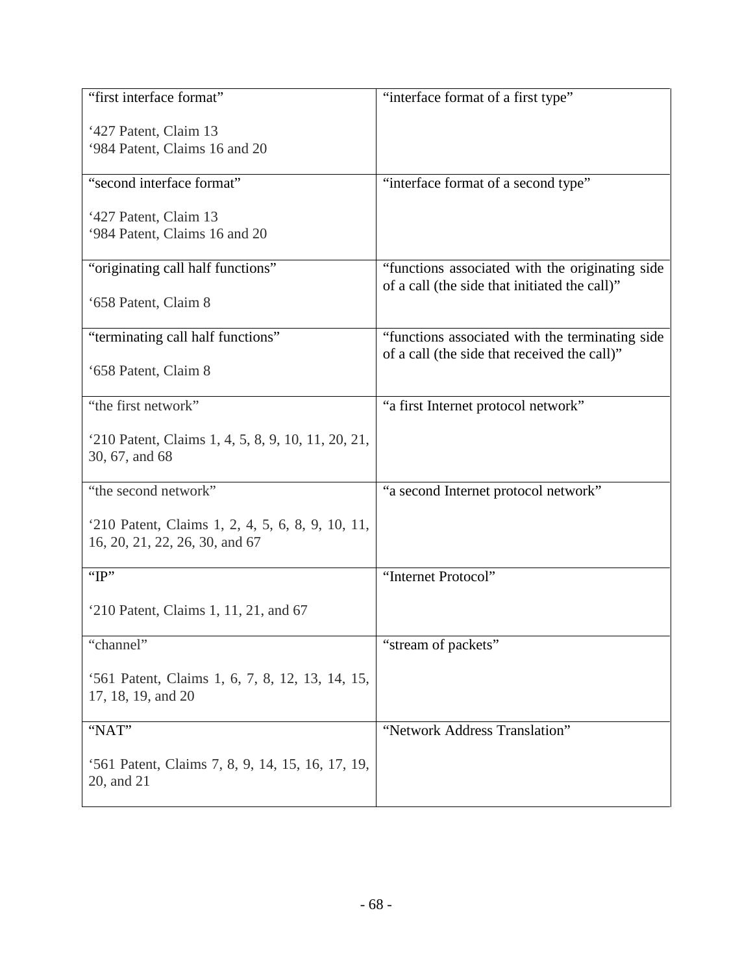| "first interface format"                           | "interface format of a first type"              |
|----------------------------------------------------|-------------------------------------------------|
| '427 Patent, Claim 13                              |                                                 |
| '984 Patent, Claims 16 and 20                      |                                                 |
|                                                    |                                                 |
| "second interface format"                          | "interface format of a second type"             |
| '427 Patent, Claim 13                              |                                                 |
| '984 Patent, Claims 16 and 20                      |                                                 |
|                                                    |                                                 |
| "originating call half functions"                  | "functions associated with the originating side |
| '658 Patent, Claim 8                               | of a call (the side that initiated the call)"   |
|                                                    |                                                 |
| "terminating call half functions"                  | "functions associated with the terminating side |
|                                                    | of a call (the side that received the call)"    |
| '658 Patent, Claim 8                               |                                                 |
| "the first network"                                | "a first Internet protocol network"             |
|                                                    |                                                 |
| '210 Patent, Claims 1, 4, 5, 8, 9, 10, 11, 20, 21, |                                                 |
| 30, 67, and 68                                     |                                                 |
| "the second network"                               | "a second Internet protocol network"            |
|                                                    |                                                 |
| '210 Patent, Claims 1, 2, 4, 5, 6, 8, 9, 10, 11,   |                                                 |
| 16, 20, 21, 22, 26, 30, and 67                     |                                                 |
| " $IP$ "                                           | "Internet Protocol"                             |
|                                                    |                                                 |
| '210 Patent, Claims 1, 11, 21, and 67              |                                                 |
| "channel"                                          | "stream of packets"                             |
|                                                    |                                                 |
| '561 Patent, Claims 1, 6, 7, 8, 12, 13, 14, 15,    |                                                 |
| 17, 18, 19, and 20                                 |                                                 |
| "NAT"                                              | "Network Address Translation"                   |
|                                                    |                                                 |
| '561 Patent, Claims 7, 8, 9, 14, 15, 16, 17, 19,   |                                                 |
| 20, and 21                                         |                                                 |
|                                                    |                                                 |